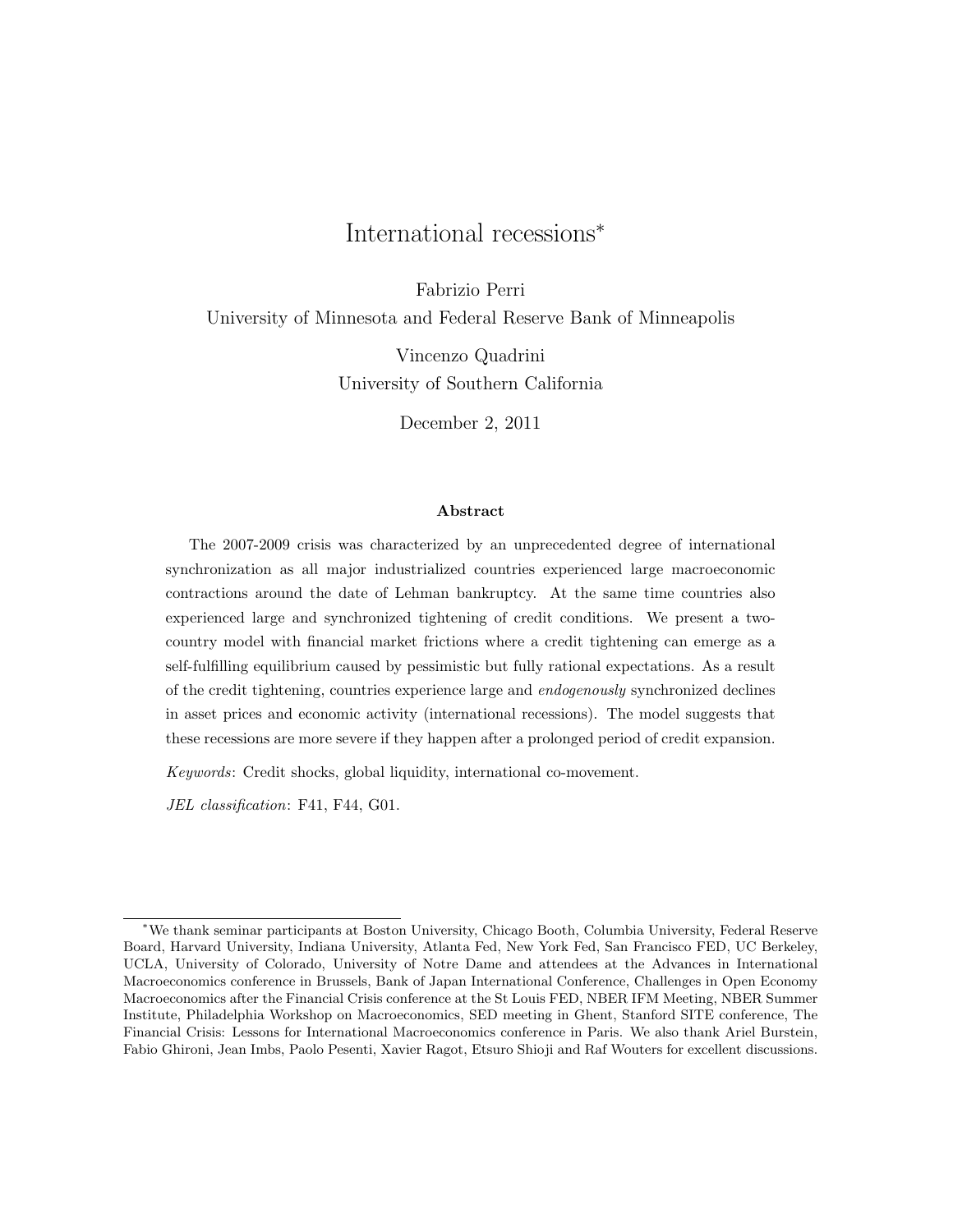# International recessions<sup>∗</sup>

Fabrizio Perri University of Minnesota and Federal Reserve Bank of Minneapolis

> Vincenzo Quadrini University of Southern California

> > December 2, 2011

#### Abstract

The 2007-2009 crisis was characterized by an unprecedented degree of international synchronization as all major industrialized countries experienced large macroeconomic contractions around the date of Lehman bankruptcy. At the same time countries also experienced large and synchronized tightening of credit conditions. We present a twocountry model with financial market frictions where a credit tightening can emerge as a self-fulfilling equilibrium caused by pessimistic but fully rational expectations. As a result of the credit tightening, countries experience large and endogenously synchronized declines in asset prices and economic activity (international recessions). The model suggests that these recessions are more severe if they happen after a prolonged period of credit expansion.

Keywords: Credit shocks, global liquidity, international co-movement.

JEL classification: F41, F44, G01.

<sup>∗</sup>We thank seminar participants at Boston University, Chicago Booth, Columbia University, Federal Reserve Board, Harvard University, Indiana University, Atlanta Fed, New York Fed, San Francisco FED, UC Berkeley, UCLA, University of Colorado, University of Notre Dame and attendees at the Advances in International Macroeconomics conference in Brussels, Bank of Japan International Conference, Challenges in Open Economy Macroeconomics after the Financial Crisis conference at the St Louis FED, NBER IFM Meeting, NBER Summer Institute, Philadelphia Workshop on Macroeconomics, SED meeting in Ghent, Stanford SITE conference, The Financial Crisis: Lessons for International Macroeconomics conference in Paris. We also thank Ariel Burstein, Fabio Ghironi, Jean Imbs, Paolo Pesenti, Xavier Ragot, Etsuro Shioji and Raf Wouters for excellent discussions.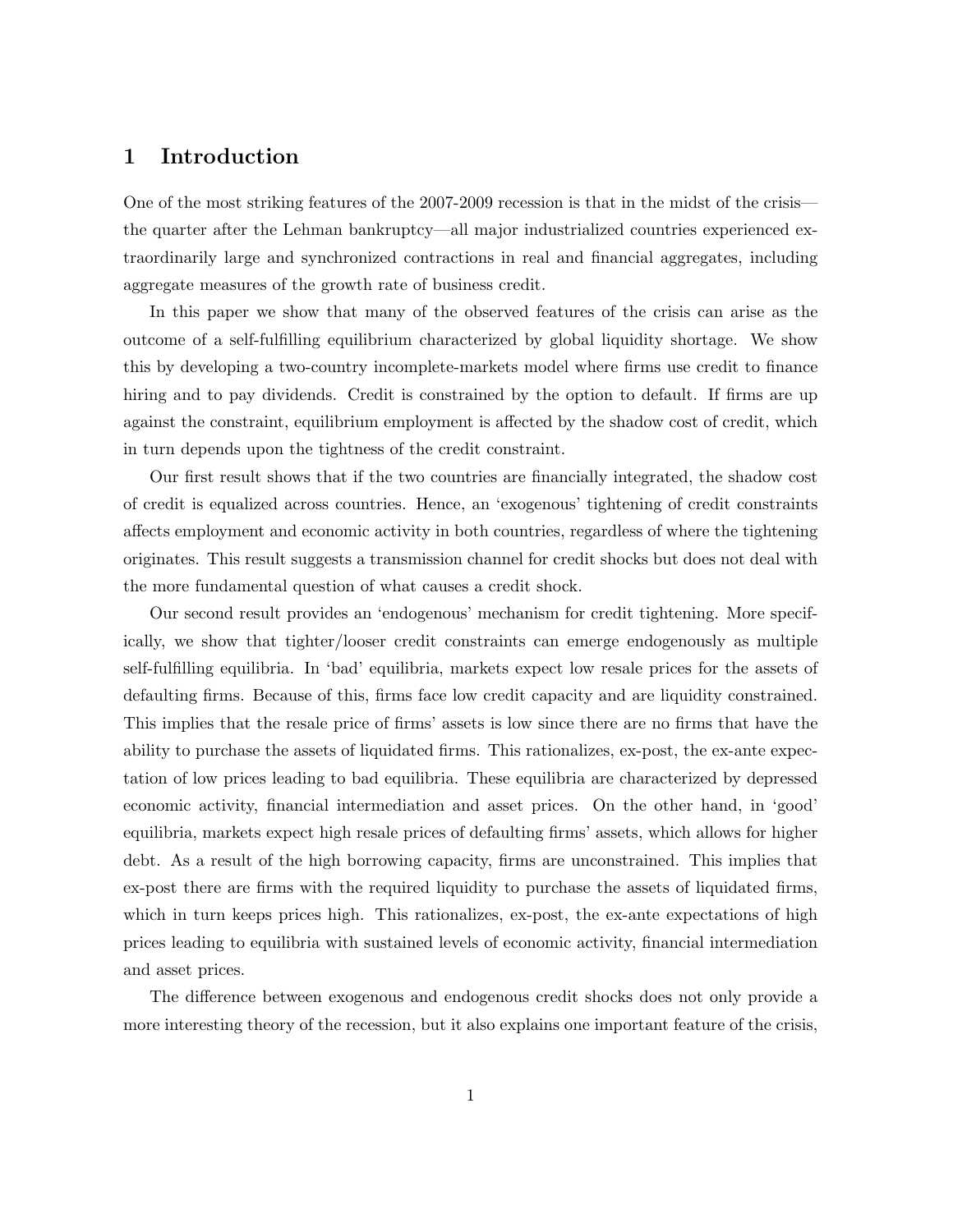### 1 Introduction

One of the most striking features of the 2007-2009 recession is that in the midst of the crisis the quarter after the Lehman bankruptcy—all major industrialized countries experienced extraordinarily large and synchronized contractions in real and financial aggregates, including aggregate measures of the growth rate of business credit.

In this paper we show that many of the observed features of the crisis can arise as the outcome of a self-fulfilling equilibrium characterized by global liquidity shortage. We show this by developing a two-country incomplete-markets model where firms use credit to finance hiring and to pay dividends. Credit is constrained by the option to default. If firms are up against the constraint, equilibrium employment is affected by the shadow cost of credit, which in turn depends upon the tightness of the credit constraint.

Our first result shows that if the two countries are financially integrated, the shadow cost of credit is equalized across countries. Hence, an 'exogenous' tightening of credit constraints affects employment and economic activity in both countries, regardless of where the tightening originates. This result suggests a transmission channel for credit shocks but does not deal with the more fundamental question of what causes a credit shock.

Our second result provides an 'endogenous' mechanism for credit tightening. More specifically, we show that tighter/looser credit constraints can emerge endogenously as multiple self-fulfilling equilibria. In 'bad' equilibria, markets expect low resale prices for the assets of defaulting firms. Because of this, firms face low credit capacity and are liquidity constrained. This implies that the resale price of firms' assets is low since there are no firms that have the ability to purchase the assets of liquidated firms. This rationalizes, ex-post, the ex-ante expectation of low prices leading to bad equilibria. These equilibria are characterized by depressed economic activity, financial intermediation and asset prices. On the other hand, in 'good' equilibria, markets expect high resale prices of defaulting firms' assets, which allows for higher debt. As a result of the high borrowing capacity, firms are unconstrained. This implies that ex-post there are firms with the required liquidity to purchase the assets of liquidated firms, which in turn keeps prices high. This rationalizes, ex-post, the ex-ante expectations of high prices leading to equilibria with sustained levels of economic activity, financial intermediation and asset prices.

The difference between exogenous and endogenous credit shocks does not only provide a more interesting theory of the recession, but it also explains one important feature of the crisis,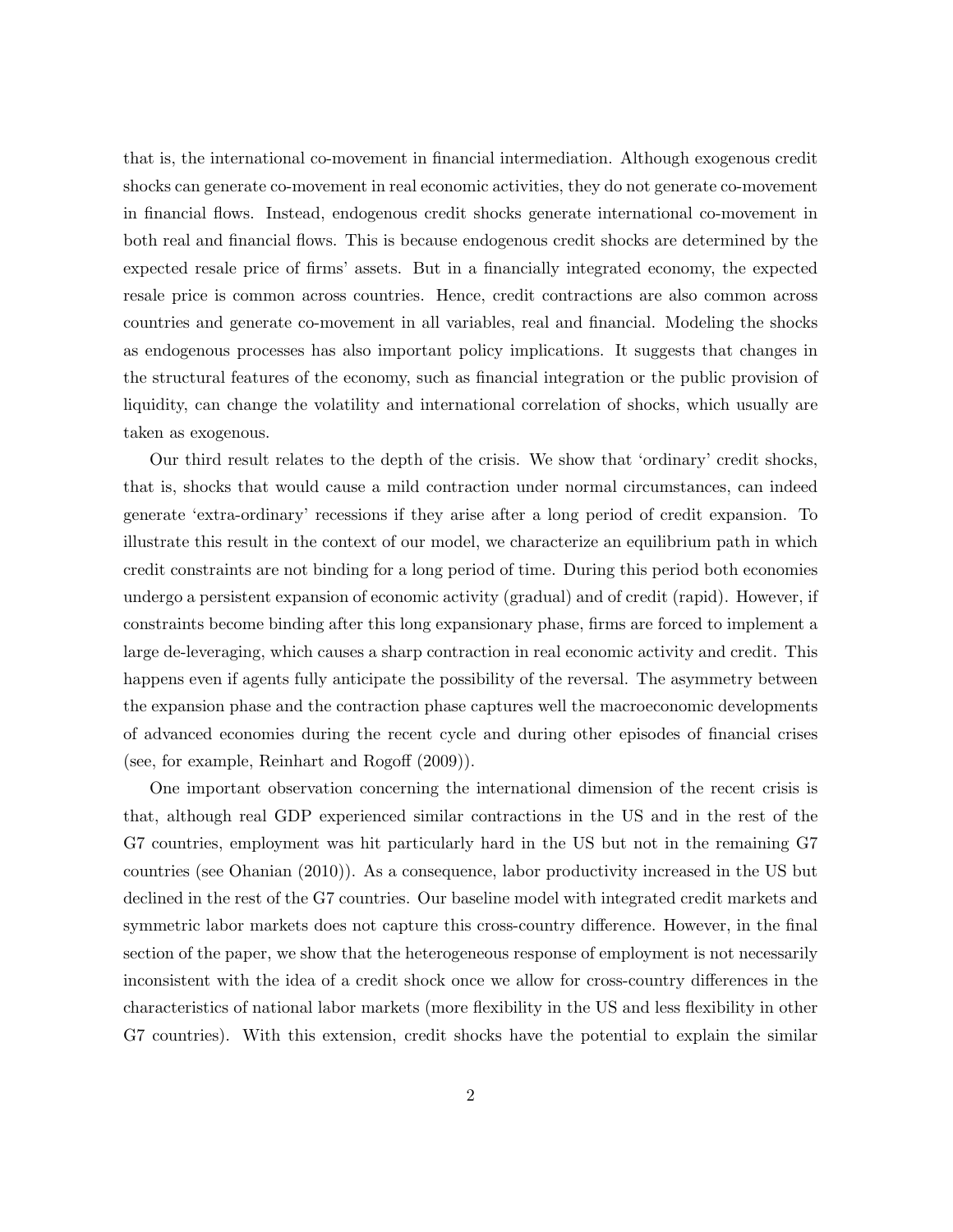that is, the international co-movement in financial intermediation. Although exogenous credit shocks can generate co-movement in real economic activities, they do not generate co-movement in financial flows. Instead, endogenous credit shocks generate international co-movement in both real and financial flows. This is because endogenous credit shocks are determined by the expected resale price of firms' assets. But in a financially integrated economy, the expected resale price is common across countries. Hence, credit contractions are also common across countries and generate co-movement in all variables, real and financial. Modeling the shocks as endogenous processes has also important policy implications. It suggests that changes in the structural features of the economy, such as financial integration or the public provision of liquidity, can change the volatility and international correlation of shocks, which usually are taken as exogenous.

Our third result relates to the depth of the crisis. We show that 'ordinary' credit shocks, that is, shocks that would cause a mild contraction under normal circumstances, can indeed generate 'extra-ordinary' recessions if they arise after a long period of credit expansion. To illustrate this result in the context of our model, we characterize an equilibrium path in which credit constraints are not binding for a long period of time. During this period both economies undergo a persistent expansion of economic activity (gradual) and of credit (rapid). However, if constraints become binding after this long expansionary phase, firms are forced to implement a large de-leveraging, which causes a sharp contraction in real economic activity and credit. This happens even if agents fully anticipate the possibility of the reversal. The asymmetry between the expansion phase and the contraction phase captures well the macroeconomic developments of advanced economies during the recent cycle and during other episodes of financial crises (see, for example, Reinhart and Rogoff (2009)).

One important observation concerning the international dimension of the recent crisis is that, although real GDP experienced similar contractions in the US and in the rest of the G7 countries, employment was hit particularly hard in the US but not in the remaining G7 countries (see Ohanian (2010)). As a consequence, labor productivity increased in the US but declined in the rest of the G7 countries. Our baseline model with integrated credit markets and symmetric labor markets does not capture this cross-country difference. However, in the final section of the paper, we show that the heterogeneous response of employment is not necessarily inconsistent with the idea of a credit shock once we allow for cross-country differences in the characteristics of national labor markets (more flexibility in the US and less flexibility in other G7 countries). With this extension, credit shocks have the potential to explain the similar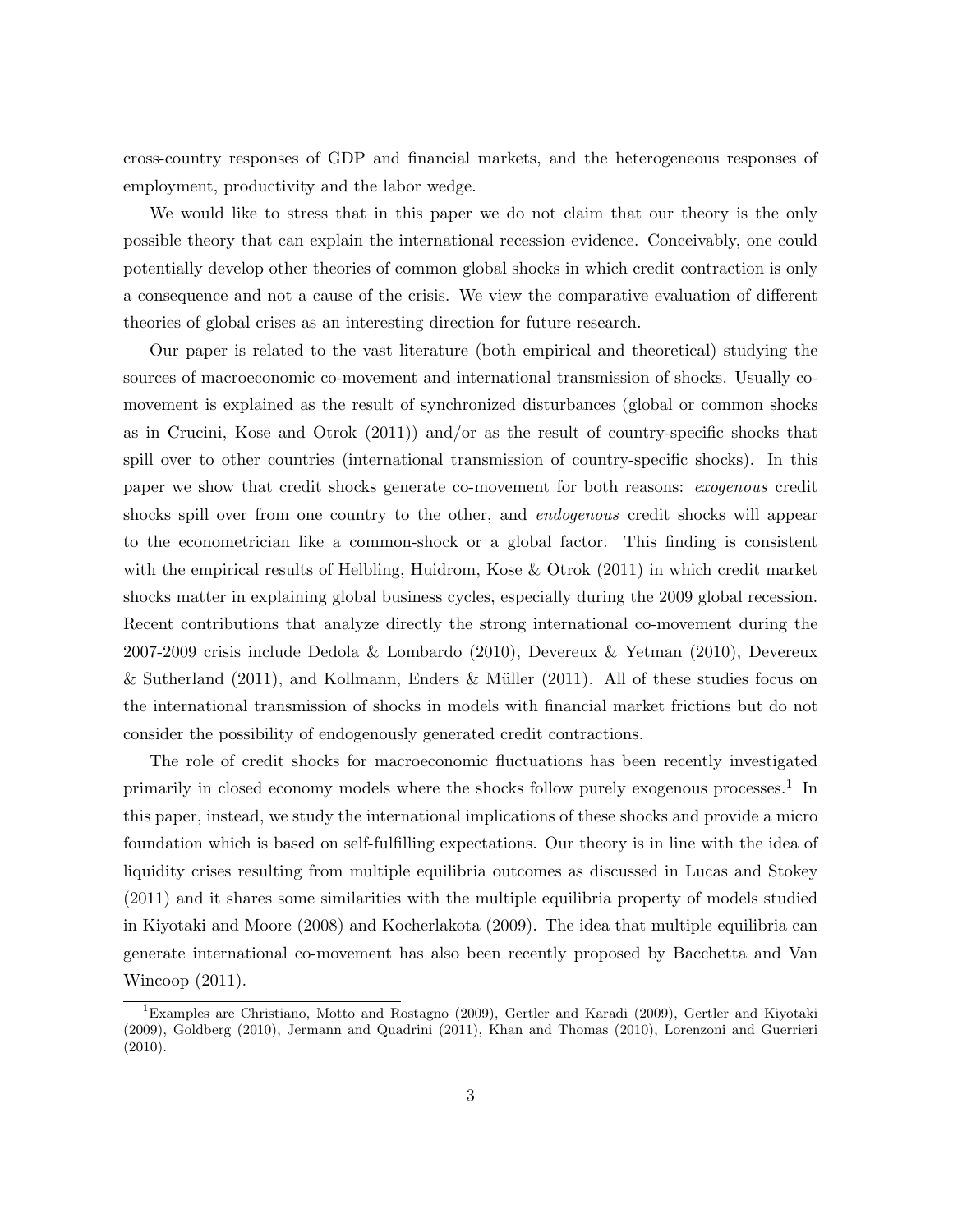cross-country responses of GDP and financial markets, and the heterogeneous responses of employment, productivity and the labor wedge.

We would like to stress that in this paper we do not claim that our theory is the only possible theory that can explain the international recession evidence. Conceivably, one could potentially develop other theories of common global shocks in which credit contraction is only a consequence and not a cause of the crisis. We view the comparative evaluation of different theories of global crises as an interesting direction for future research.

Our paper is related to the vast literature (both empirical and theoretical) studying the sources of macroeconomic co-movement and international transmission of shocks. Usually comovement is explained as the result of synchronized disturbances (global or common shocks as in Crucini, Kose and Otrok (2011)) and/or as the result of country-specific shocks that spill over to other countries (international transmission of country-specific shocks). In this paper we show that credit shocks generate co-movement for both reasons: exogenous credit shocks spill over from one country to the other, and *endogenous* credit shocks will appear to the econometrician like a common-shock or a global factor. This finding is consistent with the empirical results of Helbling, Huidrom, Kose & Otrok (2011) in which credit market shocks matter in explaining global business cycles, especially during the 2009 global recession. Recent contributions that analyze directly the strong international co-movement during the 2007-2009 crisis include Dedola & Lombardo (2010), Devereux & Yetman (2010), Devereux & Sutherland (2011), and Kollmann, Enders & Müller (2011). All of these studies focus on the international transmission of shocks in models with financial market frictions but do not consider the possibility of endogenously generated credit contractions.

The role of credit shocks for macroeconomic fluctuations has been recently investigated primarily in closed economy models where the shocks follow purely exogenous processes.<sup>1</sup> In this paper, instead, we study the international implications of these shocks and provide a micro foundation which is based on self-fulfilling expectations. Our theory is in line with the idea of liquidity crises resulting from multiple equilibria outcomes as discussed in Lucas and Stokey (2011) and it shares some similarities with the multiple equilibria property of models studied in Kiyotaki and Moore (2008) and Kocherlakota (2009). The idea that multiple equilibria can generate international co-movement has also been recently proposed by Bacchetta and Van Wincoop (2011).

<sup>&</sup>lt;sup>1</sup>Examples are Christiano, Motto and Rostagno (2009), Gertler and Karadi (2009), Gertler and Kiyotaki (2009), Goldberg (2010), Jermann and Quadrini (2011), Khan and Thomas (2010), Lorenzoni and Guerrieri (2010).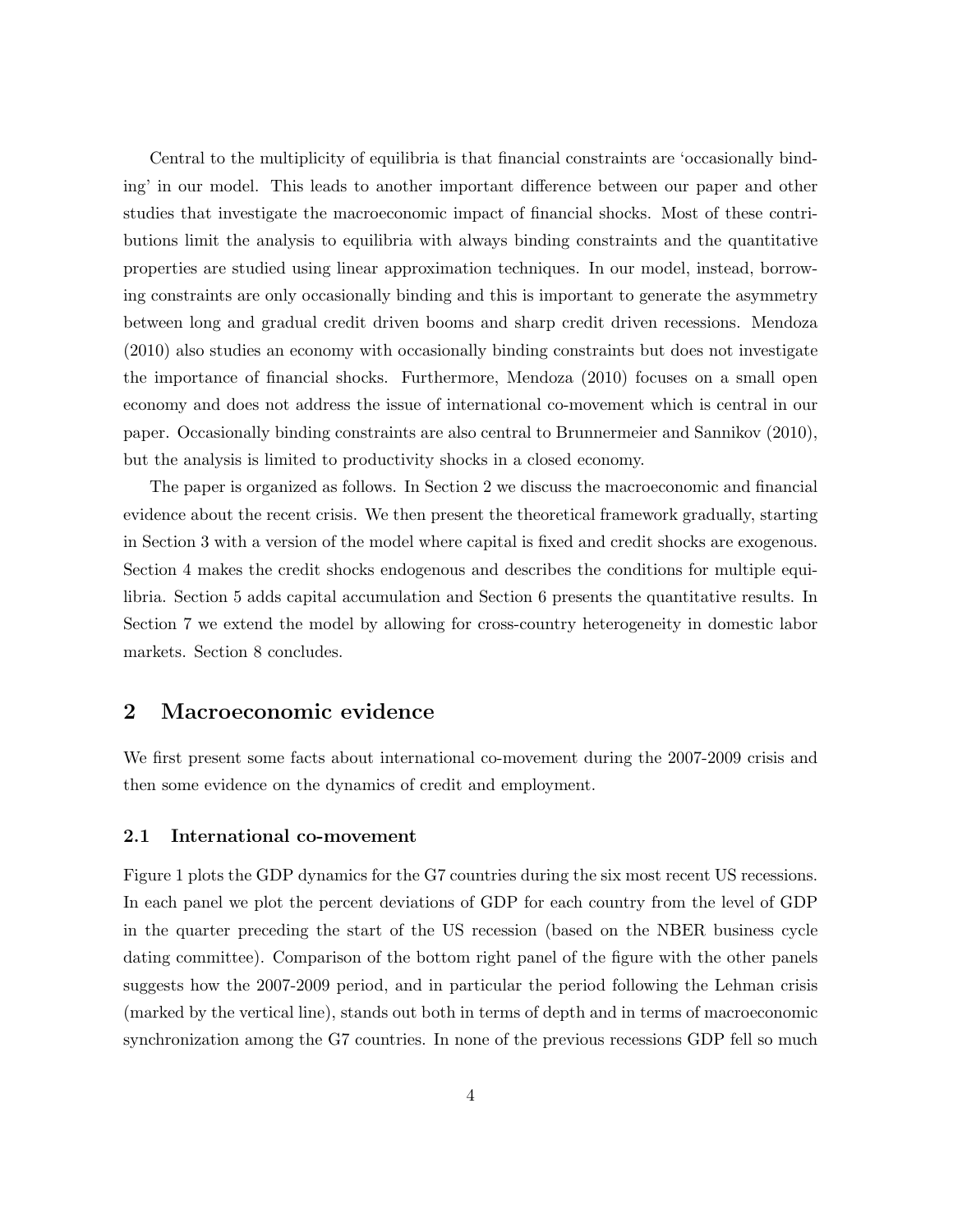Central to the multiplicity of equilibria is that financial constraints are 'occasionally binding' in our model. This leads to another important difference between our paper and other studies that investigate the macroeconomic impact of financial shocks. Most of these contributions limit the analysis to equilibria with always binding constraints and the quantitative properties are studied using linear approximation techniques. In our model, instead, borrowing constraints are only occasionally binding and this is important to generate the asymmetry between long and gradual credit driven booms and sharp credit driven recessions. Mendoza (2010) also studies an economy with occasionally binding constraints but does not investigate the importance of financial shocks. Furthermore, Mendoza (2010) focuses on a small open economy and does not address the issue of international co-movement which is central in our paper. Occasionally binding constraints are also central to Brunnermeier and Sannikov (2010), but the analysis is limited to productivity shocks in a closed economy.

The paper is organized as follows. In Section 2 we discuss the macroeconomic and financial evidence about the recent crisis. We then present the theoretical framework gradually, starting in Section 3 with a version of the model where capital is fixed and credit shocks are exogenous. Section 4 makes the credit shocks endogenous and describes the conditions for multiple equilibria. Section 5 adds capital accumulation and Section 6 presents the quantitative results. In Section 7 we extend the model by allowing for cross-country heterogeneity in domestic labor markets. Section 8 concludes.

### 2 Macroeconomic evidence

We first present some facts about international co-movement during the 2007-2009 crisis and then some evidence on the dynamics of credit and employment.

#### 2.1 International co-movement

Figure 1 plots the GDP dynamics for the G7 countries during the six most recent US recessions. In each panel we plot the percent deviations of GDP for each country from the level of GDP in the quarter preceding the start of the US recession (based on the NBER business cycle dating committee). Comparison of the bottom right panel of the figure with the other panels suggests how the 2007-2009 period, and in particular the period following the Lehman crisis (marked by the vertical line), stands out both in terms of depth and in terms of macroeconomic synchronization among the G7 countries. In none of the previous recessions GDP fell so much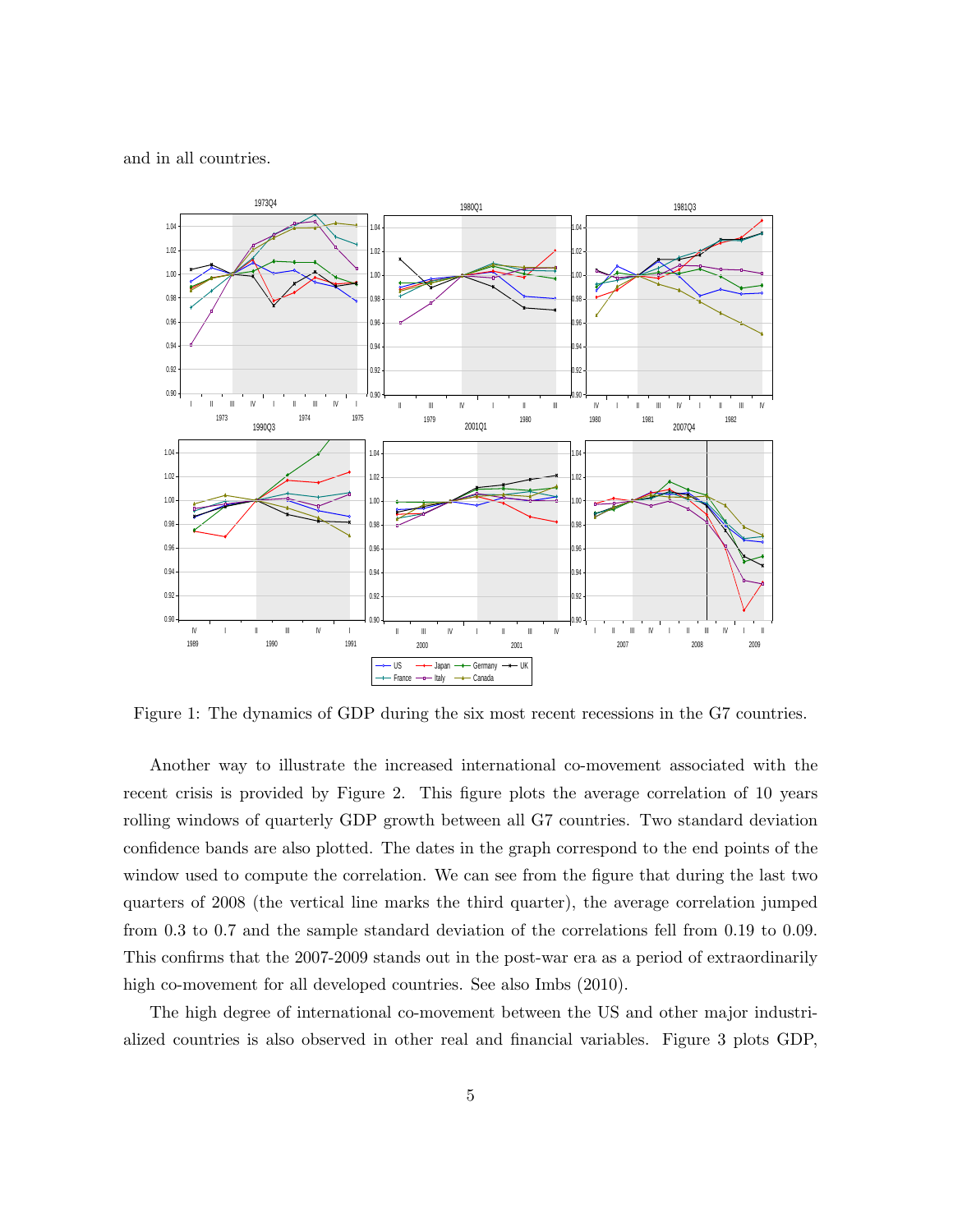and in all countries.



Figure 1: The dynamics of GDP during the six most recent recessions in the G7 countries.

Another way to illustrate the increased international co-movement associated with the recent crisis is provided by Figure 2. This figure plots the average correlation of 10 years rolling windows of quarterly GDP growth between all G7 countries. Two standard deviation confidence bands are also plotted. The dates in the graph correspond to the end points of the window used to compute the correlation. We can see from the figure that during the last two quarters of 2008 (the vertical line marks the third quarter), the average correlation jumped from 0.3 to 0.7 and the sample standard deviation of the correlations fell from 0.19 to 0.09. This confirms that the 2007-2009 stands out in the post-war era as a period of extraordinarily high co-movement for all developed countries. See also Imbs  $(2010)$ .

The high degree of international co-movement between the US and other major industrialized countries is also observed in other real and financial variables. Figure 3 plots GDP,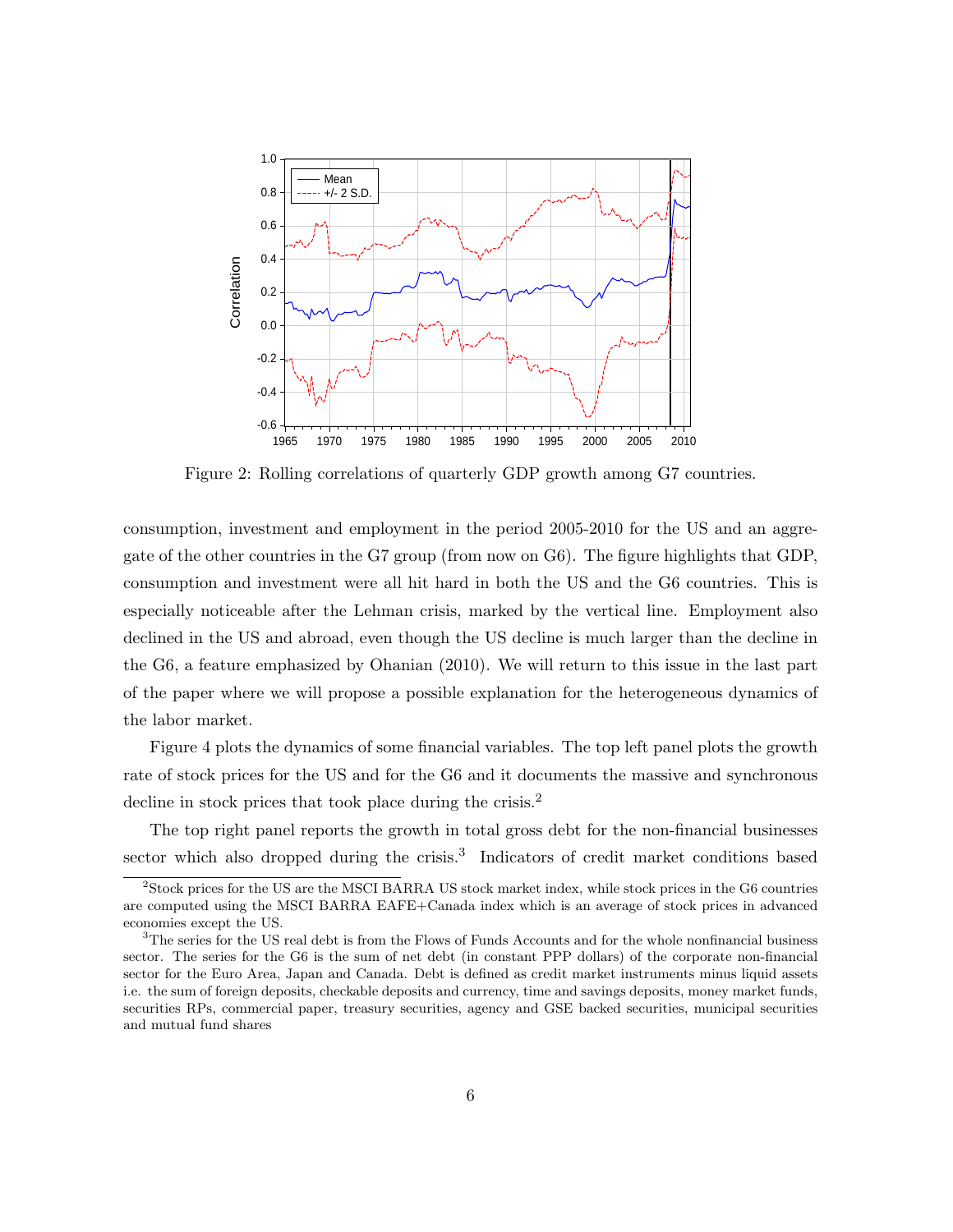

Figure 2: Rolling correlations of quarterly GDP growth among G7 countries.

consumption, investment and employment in the period 2005-2010 for the US and an aggregate of the other countries in the G7 group (from now on G6). The figure highlights that GDP, consumption and investment were all hit hard in both the US and the G6 countries. This is especially noticeable after the Lehman crisis, marked by the vertical line. Employment also declined in the US and abroad, even though the US decline is much larger than the decline in the G6, a feature emphasized by Ohanian (2010). We will return to this issue in the last part of the paper where we will propose a possible explanation for the heterogeneous dynamics of the labor market.

Figure 4 plots the dynamics of some financial variables. The top left panel plots the growth rate of stock prices for the US and for the G6 and it documents the massive and synchronous decline in stock prices that took place during the crisis.<sup>2</sup>

The top right panel reports the growth in total gross debt for the non-financial businesses sector which also dropped during the crisis.<sup>3</sup> Indicators of credit market conditions based

<sup>2</sup>Stock prices for the US are the MSCI BARRA US stock market index, while stock prices in the G6 countries are computed using the MSCI BARRA EAFE+Canada index which is an average of stock prices in advanced economies except the US.

<sup>&</sup>lt;sup>3</sup>The series for the US real debt is from the Flows of Funds Accounts and for the whole nonfinancial business sector. The series for the G6 is the sum of net debt (in constant PPP dollars) of the corporate non-financial sector for the Euro Area, Japan and Canada. Debt is defined as credit market instruments minus liquid assets i.e. the sum of foreign deposits, checkable deposits and currency, time and savings deposits, money market funds, securities RPs, commercial paper, treasury securities, agency and GSE backed securities, municipal securities and mutual fund shares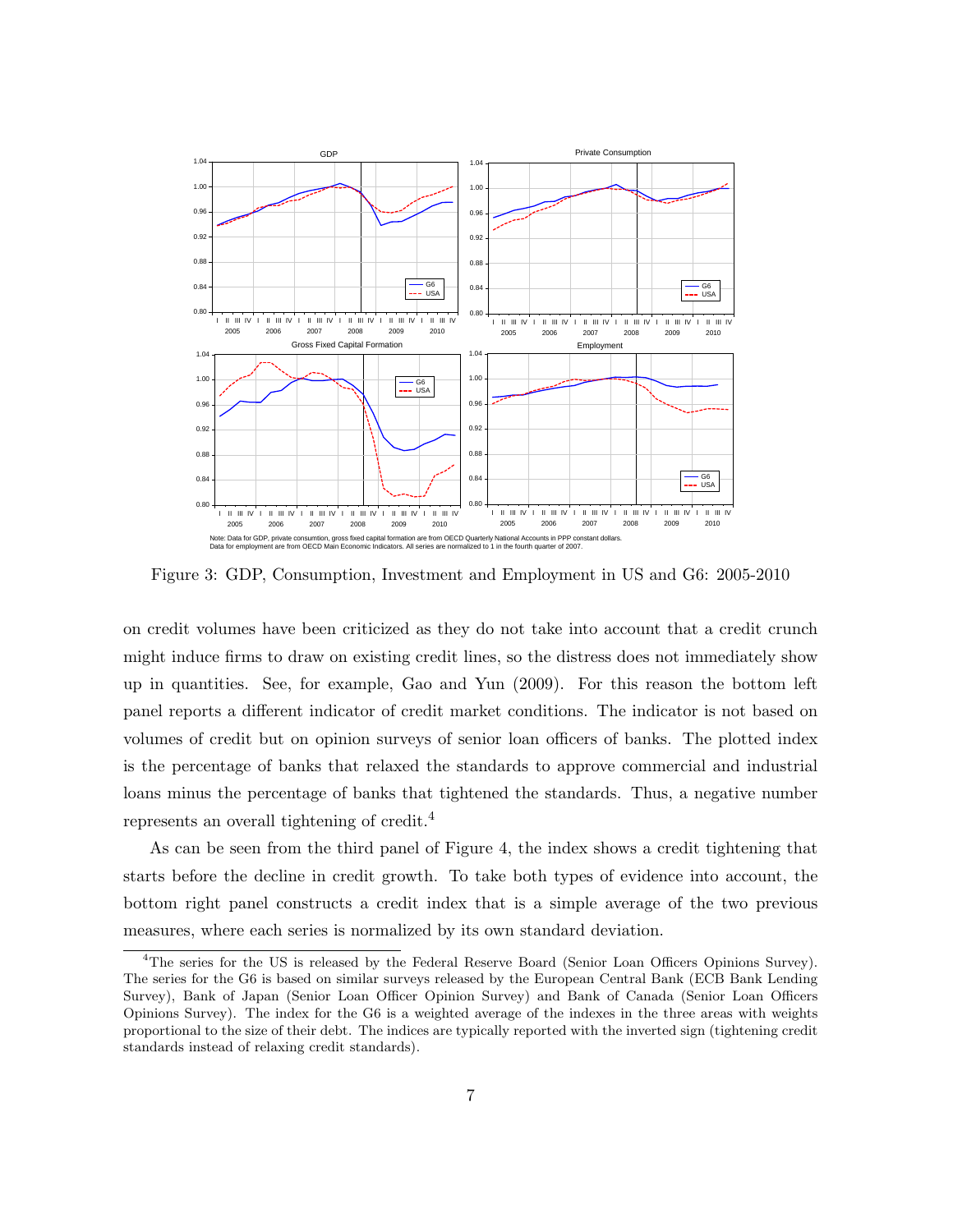

Figure 3: GDP, Consumption, Investment and Employment in US and G6: 2005-2010

on credit volumes have been criticized as they do not take into account that a credit crunch might induce firms to draw on existing credit lines, so the distress does not immediately show up in quantities. See, for example, Gao and Yun (2009). For this reason the bottom left panel reports a different indicator of credit market conditions. The indicator is not based on volumes of credit but on opinion surveys of senior loan officers of banks. The plotted index is the percentage of banks that relaxed the standards to approve commercial and industrial loans minus the percentage of banks that tightened the standards. Thus, a negative number represents an overall tightening of credit.<sup>4</sup>

As can be seen from the third panel of Figure 4, the index shows a credit tightening that starts before the decline in credit growth. To take both types of evidence into account, the bottom right panel constructs a credit index that is a simple average of the two previous measures, where each series is normalized by its own standard deviation.

<sup>&</sup>lt;sup>4</sup>The series for the US is released by the Federal Reserve Board (Senior Loan Officers Opinions Survey). The series for the G6 is based on similar surveys released by the European Central Bank (ECB Bank Lending Survey), Bank of Japan (Senior Loan Officer Opinion Survey) and Bank of Canada (Senior Loan Officers Opinions Survey). The index for the G6 is a weighted average of the indexes in the three areas with weights proportional to the size of their debt. The indices are typically reported with the inverted sign (tightening credit standards instead of relaxing credit standards).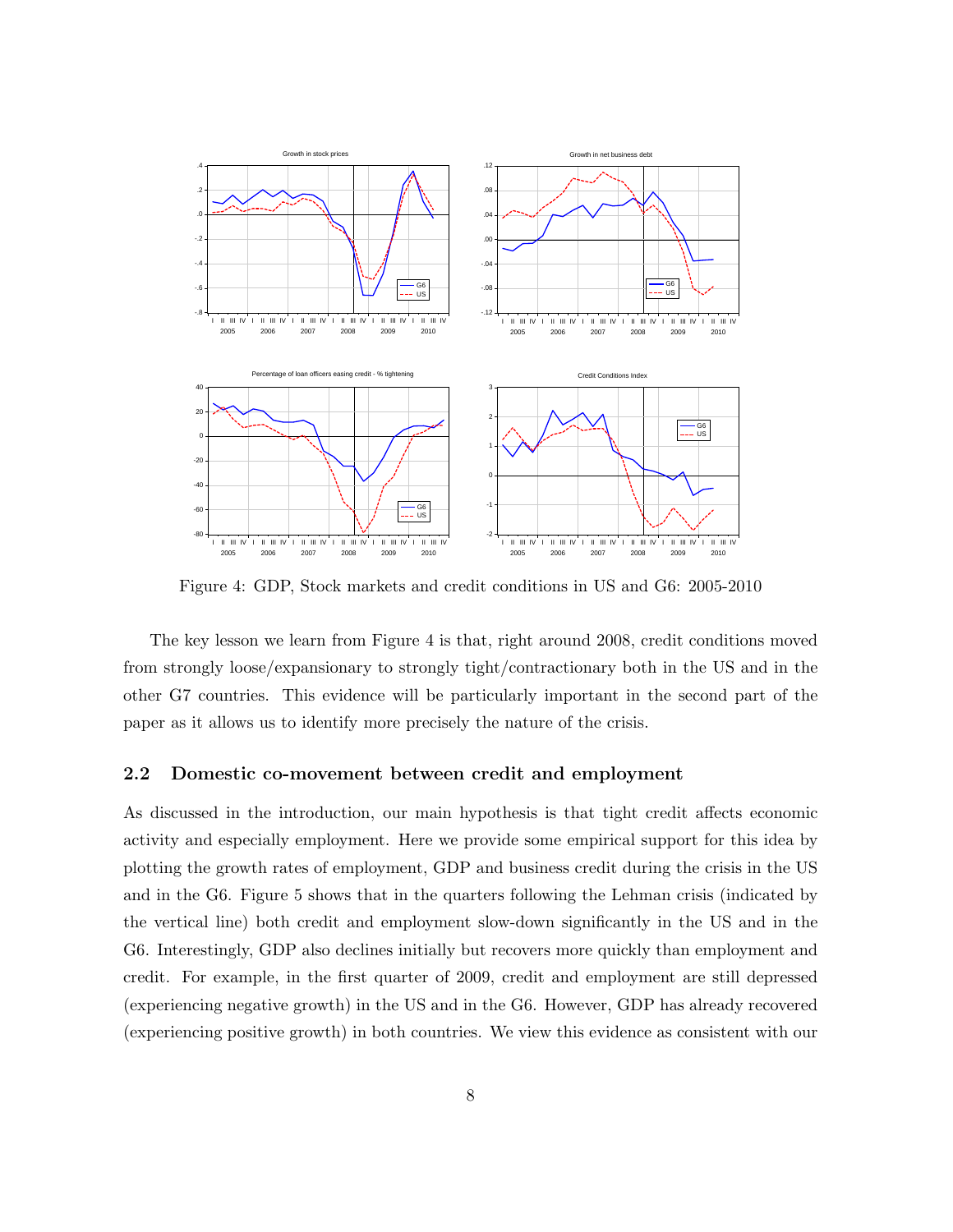

Figure 4: GDP, Stock markets and credit conditions in US and G6: 2005-2010

The key lesson we learn from Figure 4 is that, right around 2008, credit conditions moved from strongly loose/expansionary to strongly tight/contractionary both in the US and in the other G7 countries. This evidence will be particularly important in the second part of the paper as it allows us to identify more precisely the nature of the crisis.

#### 2.2 Domestic co-movement between credit and employment

As discussed in the introduction, our main hypothesis is that tight credit affects economic activity and especially employment. Here we provide some empirical support for this idea by plotting the growth rates of employment, GDP and business credit during the crisis in the US and in the G6. Figure 5 shows that in the quarters following the Lehman crisis (indicated by the vertical line) both credit and employment slow-down significantly in the US and in the G6. Interestingly, GDP also declines initially but recovers more quickly than employment and credit. For example, in the first quarter of 2009, credit and employment are still depressed (experiencing negative growth) in the US and in the G6. However, GDP has already recovered (experiencing positive growth) in both countries. We view this evidence as consistent with our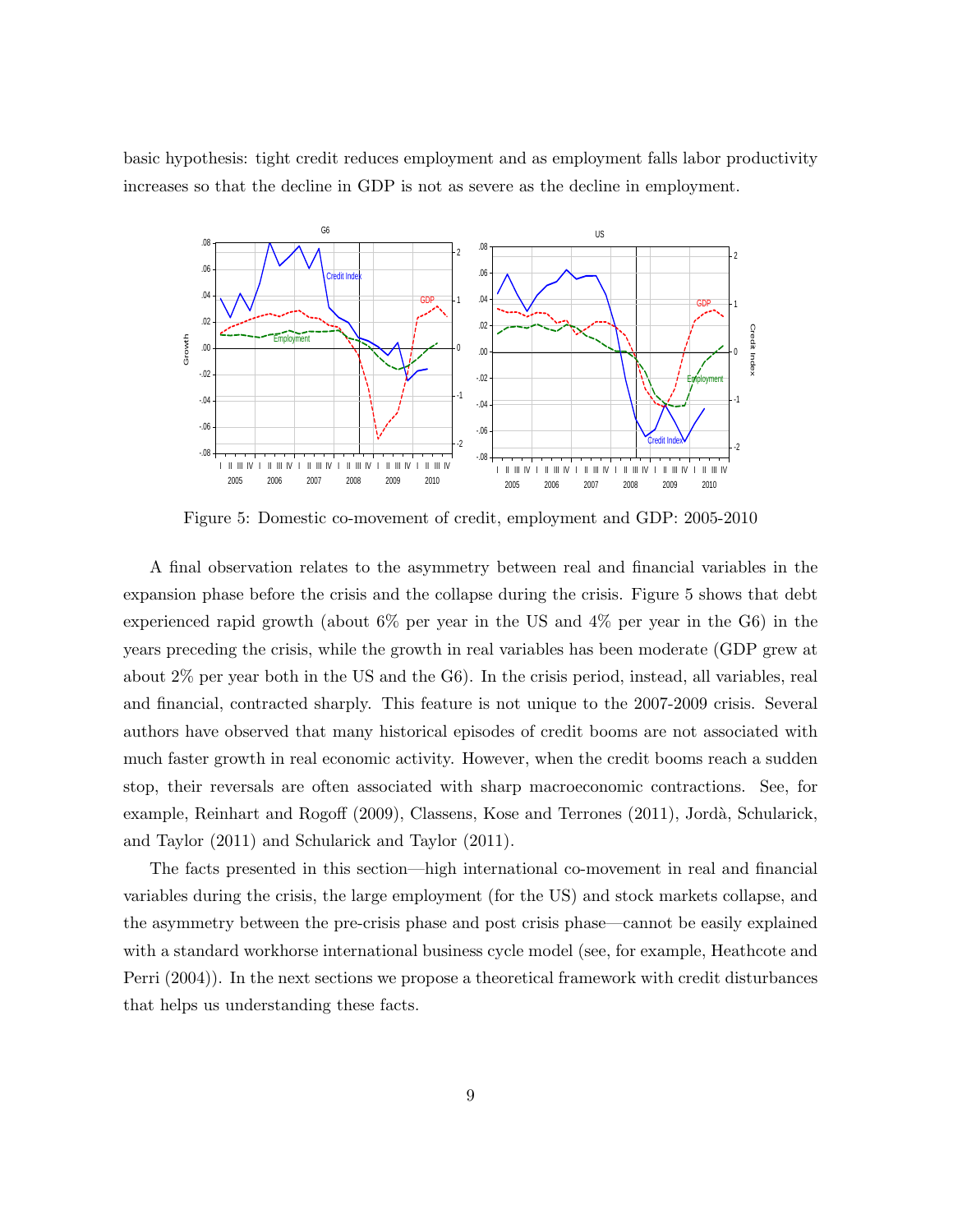basic hypothesis: tight credit reduces employment and as employment falls labor productivity increases so that the decline in GDP is not as severe as the decline in employment.



Figure 5: Domestic co-movement of credit, employment and GDP: 2005-2010

A final observation relates to the asymmetry between real and financial variables in the expansion phase before the crisis and the collapse during the crisis. Figure 5 shows that debt experienced rapid growth (about 6% per year in the US and 4% per year in the G6) in the years preceding the crisis, while the growth in real variables has been moderate (GDP grew at about 2% per year both in the US and the G6). In the crisis period, instead, all variables, real and financial, contracted sharply. This feature is not unique to the 2007-2009 crisis. Several authors have observed that many historical episodes of credit booms are not associated with much faster growth in real economic activity. However, when the credit booms reach a sudden stop, their reversals are often associated with sharp macroeconomic contractions. See, for example, Reinhart and Rogoff (2009), Classens, Kose and Terrones (2011), Jordà, Schularick, and Taylor (2011) and Schularick and Taylor (2011).

The facts presented in this section—high international co-movement in real and financial variables during the crisis, the large employment (for the US) and stock markets collapse, and the asymmetry between the pre-crisis phase and post crisis phase—cannot be easily explained with a standard workhorse international business cycle model (see, for example, Heathcote and Perri (2004)). In the next sections we propose a theoretical framework with credit disturbances that helps us understanding these facts.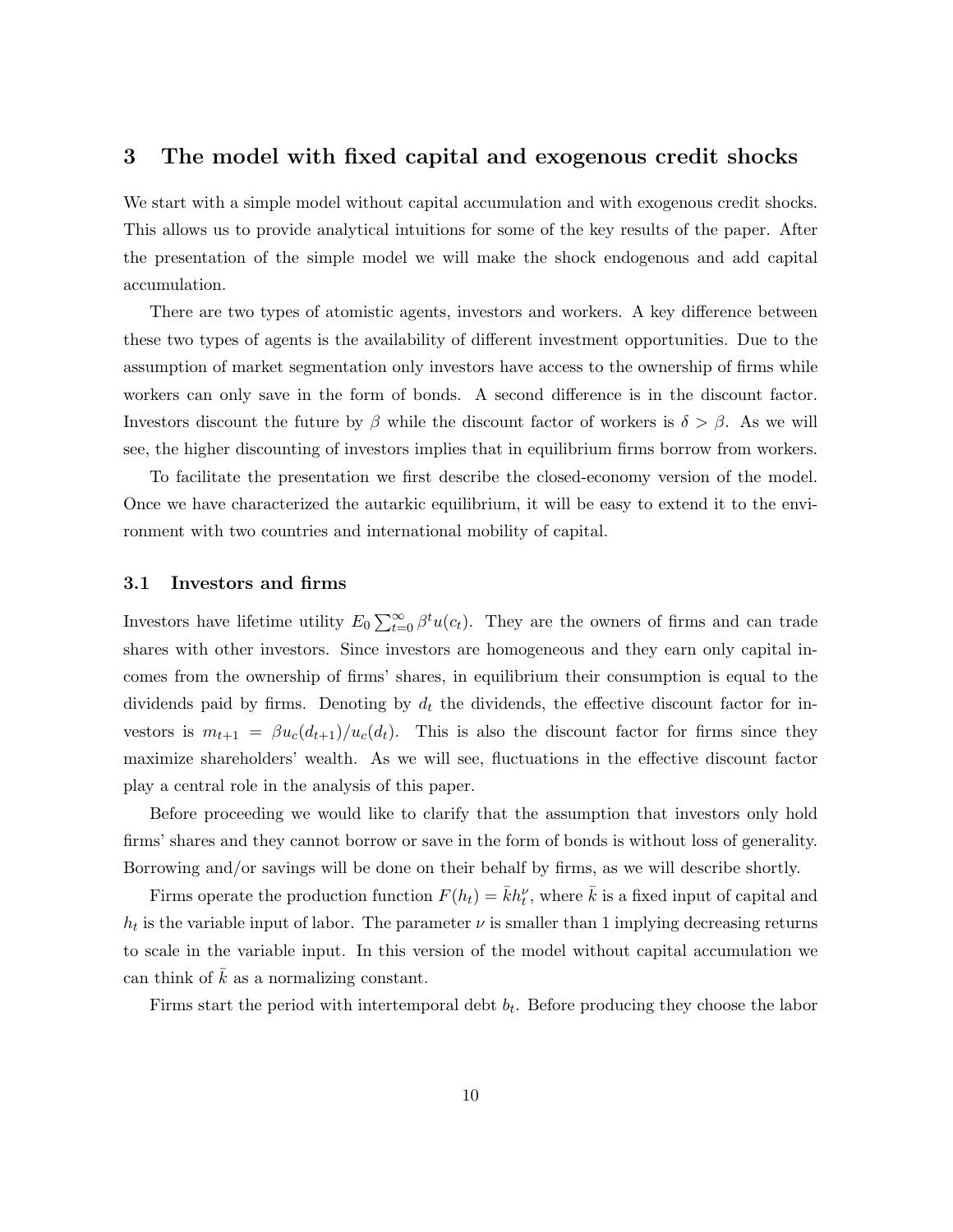### 3 The model with fixed capital and exogenous credit shocks

We start with a simple model without capital accumulation and with exogenous credit shocks. This allows us to provide analytical intuitions for some of the key results of the paper. After the presentation of the simple model we will make the shock endogenous and add capital accumulation.

There are two types of atomistic agents, investors and workers. A key difference between these two types of agents is the availability of different investment opportunities. Due to the assumption of market segmentation only investors have access to the ownership of firms while workers can only save in the form of bonds. A second difference is in the discount factor. Investors discount the future by  $\beta$  while the discount factor of workers is  $\delta > \beta$ . As we will see, the higher discounting of investors implies that in equilibrium firms borrow from workers.

To facilitate the presentation we first describe the closed-economy version of the model. Once we have characterized the autarkic equilibrium, it will be easy to extend it to the environment with two countries and international mobility of capital.

#### 3.1 Investors and firms

Investors have lifetime utility  $E_0 \sum_{t=0}^{\infty} \beta^t u(c_t)$ . They are the owners of firms and can trade shares with other investors. Since investors are homogeneous and they earn only capital incomes from the ownership of firms' shares, in equilibrium their consumption is equal to the dividends paid by firms. Denoting by  $d_t$  the dividends, the effective discount factor for investors is  $m_{t+1} = \beta u_c(d_{t+1})/u_c(d_t)$ . This is also the discount factor for firms since they maximize shareholders' wealth. As we will see, fluctuations in the effective discount factor play a central role in the analysis of this paper.

Before proceeding we would like to clarify that the assumption that investors only hold firms' shares and they cannot borrow or save in the form of bonds is without loss of generality. Borrowing and/or savings will be done on their behalf by firms, as we will describe shortly.

Firms operate the production function  $F(h_t) = \bar{k}h_t^{\nu}$ , where  $\bar{k}$  is a fixed input of capital and  $h_t$  is the variable input of labor. The parameter  $\nu$  is smaller than 1 implying decreasing returns to scale in the variable input. In this version of the model without capital accumulation we can think of  $k$  as a normalizing constant.

Firms start the period with intertemporal debt  $b_t$ . Before producing they choose the labor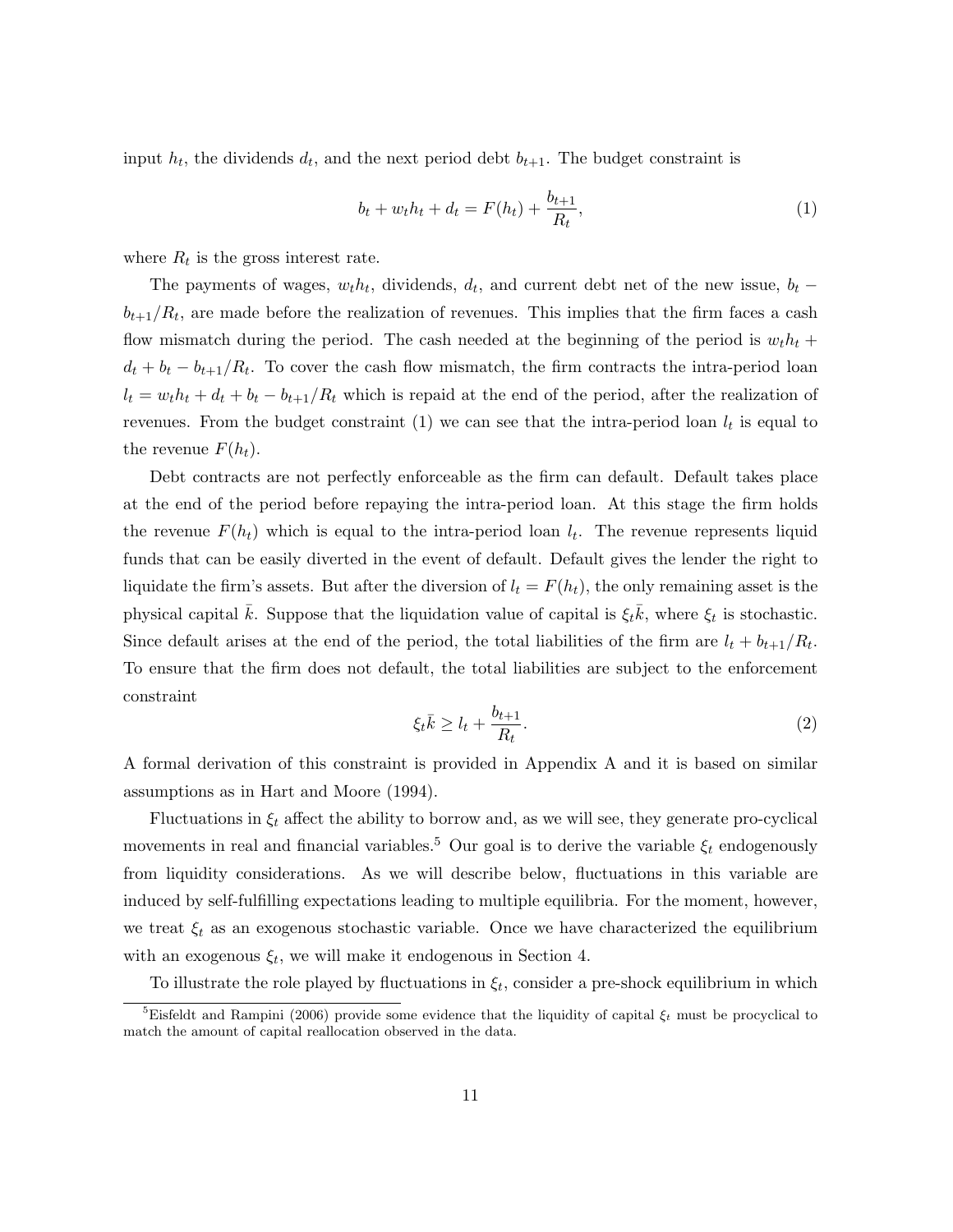input  $h_t$ , the dividends  $d_t$ , and the next period debt  $b_{t+1}$ . The budget constraint is

$$
b_t + w_t h_t + d_t = F(h_t) + \frac{b_{t+1}}{R_t},
$$
\n(1)

where  $R_t$  is the gross interest rate.

The payments of wages,  $w_t h_t$ , dividends,  $d_t$ , and current debt net of the new issue,  $b_t$  –  $b_{t+1}/R_t$ , are made before the realization of revenues. This implies that the firm faces a cash flow mismatch during the period. The cash needed at the beginning of the period is  $w_t h_t +$  $d_t + b_t - b_{t+1}/R_t$ . To cover the cash flow mismatch, the firm contracts the intra-period loan  $l_t = w_t h_t + d_t + b_t - b_{t+1}/R_t$  which is repaid at the end of the period, after the realization of revenues. From the budget constraint (1) we can see that the intra-period loan  $l_t$  is equal to the revenue  $F(h_t)$ .

Debt contracts are not perfectly enforceable as the firm can default. Default takes place at the end of the period before repaying the intra-period loan. At this stage the firm holds the revenue  $F(h_t)$  which is equal to the intra-period loan  $l_t$ . The revenue represents liquid funds that can be easily diverted in the event of default. Default gives the lender the right to liquidate the firm's assets. But after the diversion of  $l_t = F(h_t)$ , the only remaining asset is the physical capital  $\bar{k}$ . Suppose that the liquidation value of capital is  $\xi_t \bar{k}$ , where  $\xi_t$  is stochastic. Since default arises at the end of the period, the total liabilities of the firm are  $l_t + b_{t+1}/R_t$ . To ensure that the firm does not default, the total liabilities are subject to the enforcement constraint

$$
\xi_t \bar{k} \ge l_t + \frac{b_{t+1}}{R_t}.\tag{2}
$$

A formal derivation of this constraint is provided in Appendix A and it is based on similar assumptions as in Hart and Moore (1994).

Fluctuations in  $\xi_t$  affect the ability to borrow and, as we will see, they generate pro-cyclical movements in real and financial variables.<sup>5</sup> Our goal is to derive the variable  $\xi_t$  endogenously from liquidity considerations. As we will describe below, fluctuations in this variable are induced by self-fulfilling expectations leading to multiple equilibria. For the moment, however, we treat  $\xi_t$  as an exogenous stochastic variable. Once we have characterized the equilibrium with an exogenous  $\xi_t$ , we will make it endogenous in Section 4.

To illustrate the role played by fluctuations in  $\xi_t$ , consider a pre-shock equilibrium in which

<sup>&</sup>lt;sup>5</sup>Eisfeldt and Rampini (2006) provide some evidence that the liquidity of capital  $\xi_t$  must be procyclical to match the amount of capital reallocation observed in the data.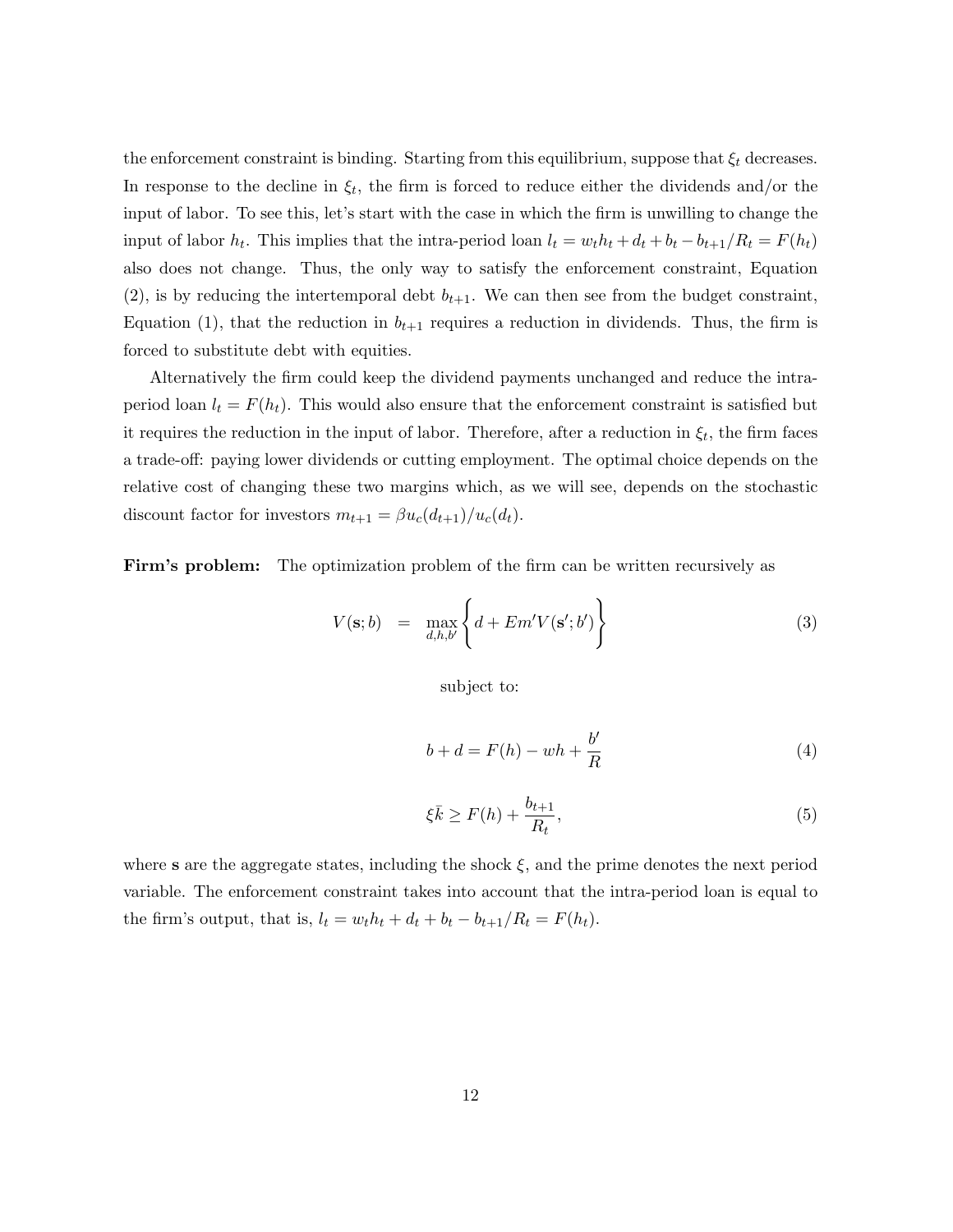the enforcement constraint is binding. Starting from this equilibrium, suppose that  $\xi_t$  decreases. In response to the decline in  $\xi_t$ , the firm is forced to reduce either the dividends and/or the input of labor. To see this, let's start with the case in which the firm is unwilling to change the input of labor  $h_t$ . This implies that the intra-period loan  $l_t = w_t h_t + d_t + b_t - b_{t+1}/R_t = F(h_t)$ also does not change. Thus, the only way to satisfy the enforcement constraint, Equation (2), is by reducing the intertemporal debt  $b_{t+1}$ . We can then see from the budget constraint, Equation (1), that the reduction in  $b_{t+1}$  requires a reduction in dividends. Thus, the firm is forced to substitute debt with equities.

Alternatively the firm could keep the dividend payments unchanged and reduce the intraperiod loan  $l_t = F(h_t)$ . This would also ensure that the enforcement constraint is satisfied but it requires the reduction in the input of labor. Therefore, after a reduction in  $\xi_t$ , the firm faces a trade-off: paying lower dividends or cutting employment. The optimal choice depends on the relative cost of changing these two margins which, as we will see, depends on the stochastic discount factor for investors  $m_{t+1} = \beta u_c(d_{t+1})/u_c(d_t)$ .

Firm's problem: The optimization problem of the firm can be written recursively as

$$
V(\mathbf{s};b) = \max_{d,h,b'} \left\{ d + Em'V(\mathbf{s}';b') \right\}
$$
 (3)

subject to:

$$
b + d = F(h) - wh + \frac{b'}{R}
$$
\n<sup>(4)</sup>

$$
\xi \bar{k} \ge F(h) + \frac{b_{t+1}}{R_t},\tag{5}
$$

where s are the aggregate states, including the shock  $\xi$ , and the prime denotes the next period variable. The enforcement constraint takes into account that the intra-period loan is equal to the firm's output, that is,  $l_t = w_t h_t + d_t + b_t - b_{t+1}/R_t = F(h_t)$ .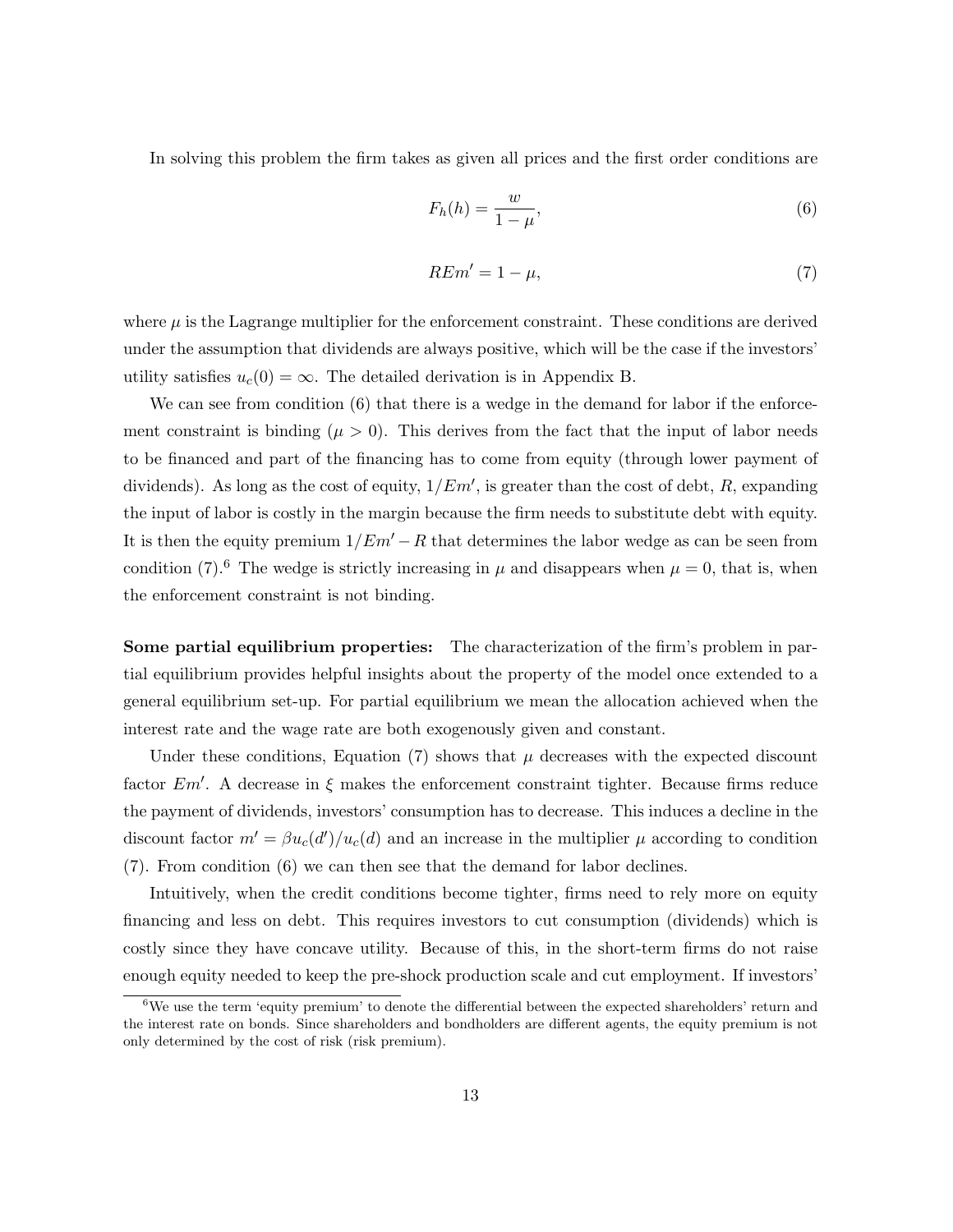In solving this problem the firm takes as given all prices and the first order conditions are

$$
F_h(h) = \frac{w}{1 - \mu},\tag{6}
$$

$$
REm' = 1 - \mu,\tag{7}
$$

where  $\mu$  is the Lagrange multiplier for the enforcement constraint. These conditions are derived under the assumption that dividends are always positive, which will be the case if the investors' utility satisfies  $u_c(0) = \infty$ . The detailed derivation is in Appendix B.

We can see from condition (6) that there is a wedge in the demand for labor if the enforcement constraint is binding ( $\mu > 0$ ). This derives from the fact that the input of labor needs to be financed and part of the financing has to come from equity (through lower payment of dividends). As long as the cost of equity,  $1/Em'$ , is greater than the cost of debt, R, expanding the input of labor is costly in the margin because the firm needs to substitute debt with equity. It is then the equity premium  $1/Em' - R$  that determines the labor wedge as can be seen from condition (7).<sup>6</sup> The wedge is strictly increasing in  $\mu$  and disappears when  $\mu = 0$ , that is, when the enforcement constraint is not binding.

Some partial equilibrium properties: The characterization of the firm's problem in partial equilibrium provides helpful insights about the property of the model once extended to a general equilibrium set-up. For partial equilibrium we mean the allocation achieved when the interest rate and the wage rate are both exogenously given and constant.

Under these conditions, Equation (7) shows that  $\mu$  decreases with the expected discount factor  $Em'$ . A decrease in  $\xi$  makes the enforcement constraint tighter. Because firms reduce the payment of dividends, investors' consumption has to decrease. This induces a decline in the discount factor  $m' = \beta u_c(d')/u_c(d)$  and an increase in the multiplier  $\mu$  according to condition (7). From condition (6) we can then see that the demand for labor declines.

Intuitively, when the credit conditions become tighter, firms need to rely more on equity financing and less on debt. This requires investors to cut consumption (dividends) which is costly since they have concave utility. Because of this, in the short-term firms do not raise enough equity needed to keep the pre-shock production scale and cut employment. If investors'

 $6$ We use the term 'equity premium' to denote the differential between the expected shareholders' return and the interest rate on bonds. Since shareholders and bondholders are different agents, the equity premium is not only determined by the cost of risk (risk premium).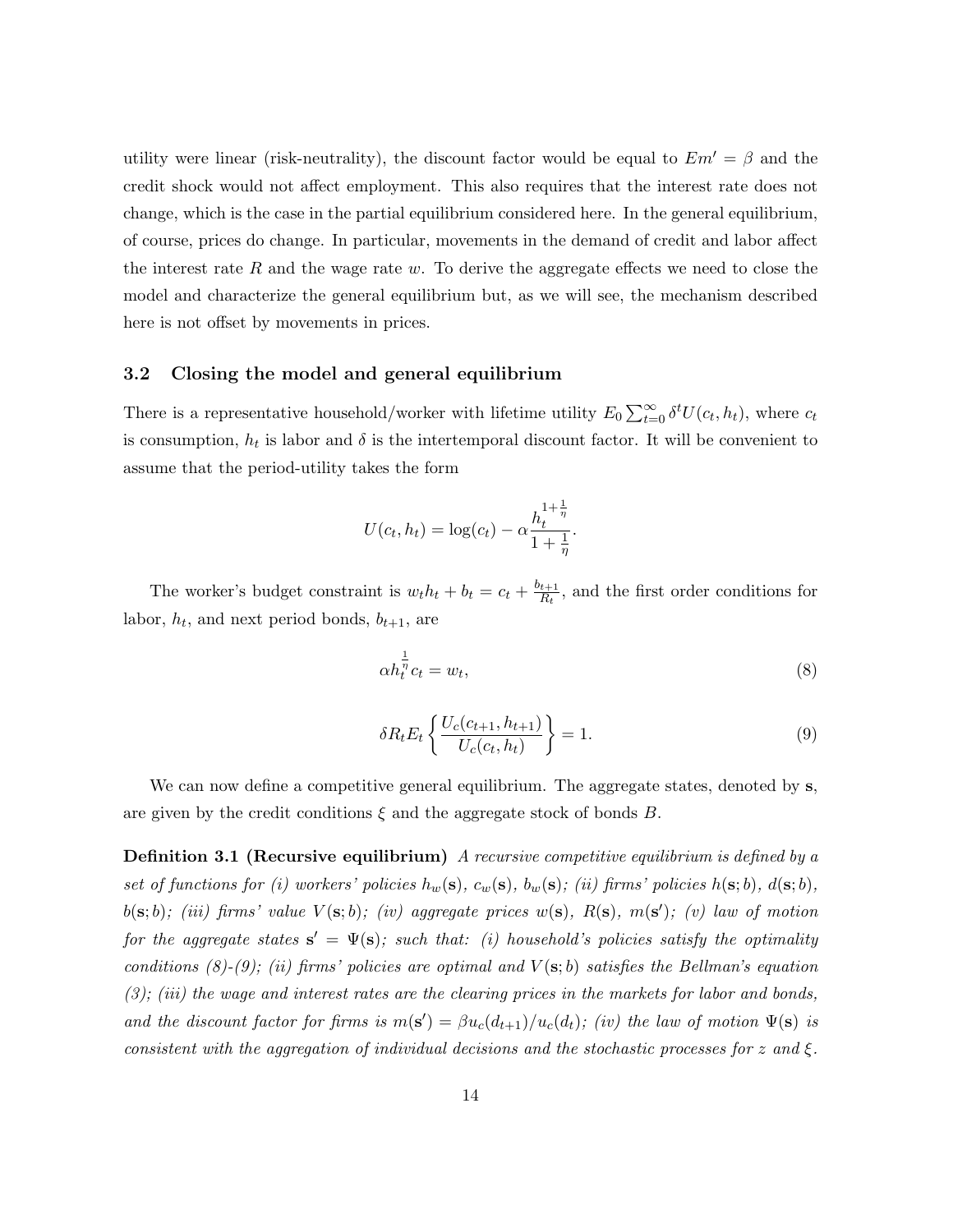utility were linear (risk-neutrality), the discount factor would be equal to  $Em' = \beta$  and the credit shock would not affect employment. This also requires that the interest rate does not change, which is the case in the partial equilibrium considered here. In the general equilibrium, of course, prices do change. In particular, movements in the demand of credit and labor affect the interest rate R and the wage rate  $w$ . To derive the aggregate effects we need to close the model and characterize the general equilibrium but, as we will see, the mechanism described here is not offset by movements in prices.

#### 3.2 Closing the model and general equilibrium

There is a representative household/worker with lifetime utility  $E_0 \sum_{t=0}^{\infty} \delta^t U(c_t, h_t)$ , where  $c_t$ is consumption,  $h_t$  is labor and  $\delta$  is the intertemporal discount factor. It will be convenient to assume that the period-utility takes the form

$$
U(c_t, h_t) = \log(c_t) - \alpha \frac{h_t^{1 + \frac{1}{\eta}}}{1 + \frac{1}{\eta}}.
$$

The worker's budget constraint is  $w_t h_t + b_t = c_t + \frac{b_{t+1}}{R_t}$  $\frac{t+1}{R_t}$ , and the first order conditions for labor,  $h_t$ , and next period bonds,  $b_{t+1}$ , are

$$
\alpha h_t^{\frac{1}{\eta}} c_t = w_t,\tag{8}
$$

$$
\delta R_t E_t \left\{ \frac{U_c(c_{t+1}, h_{t+1})}{U_c(c_t, h_t)} \right\} = 1.
$$
\n(9)

We can now define a competitive general equilibrium. The aggregate states, denoted by s, are given by the credit conditions  $\xi$  and the aggregate stock of bonds B.

**Definition 3.1 (Recursive equilibrium)** A recursive competitive equilibrium is defined by a set of functions for (i) workers' policies  $h_w(s)$ ,  $c_w(s)$ ,  $b_w(s)$ ; (ii) firms' policies  $h(s; b)$ ,  $d(s; b)$ ,  $b(\mathbf{s};b)$ ; (iii) firms' value  $V(\mathbf{s};b)$ ; (iv) aggregate prices  $w(\mathbf{s})$ ,  $R(\mathbf{s})$ ,  $m(\mathbf{s}')$ ; (v) law of motion for the aggregate states  $\mathbf{s}' = \Psi(\mathbf{s})$ ; such that: (i) household's policies satisfy the optimality conditions (8)-(9); (ii) firms' policies are optimal and  $V(s; b)$  satisfies the Bellman's equation (3); (iii) the wage and interest rates are the clearing prices in the markets for labor and bonds, and the discount factor for firms is  $m(s') = \beta u_c(d_{t+1})/u_c(d_t)$ ; (iv) the law of motion  $\Psi(s)$  is consistent with the aggregation of individual decisions and the stochastic processes for z and  $\xi$ .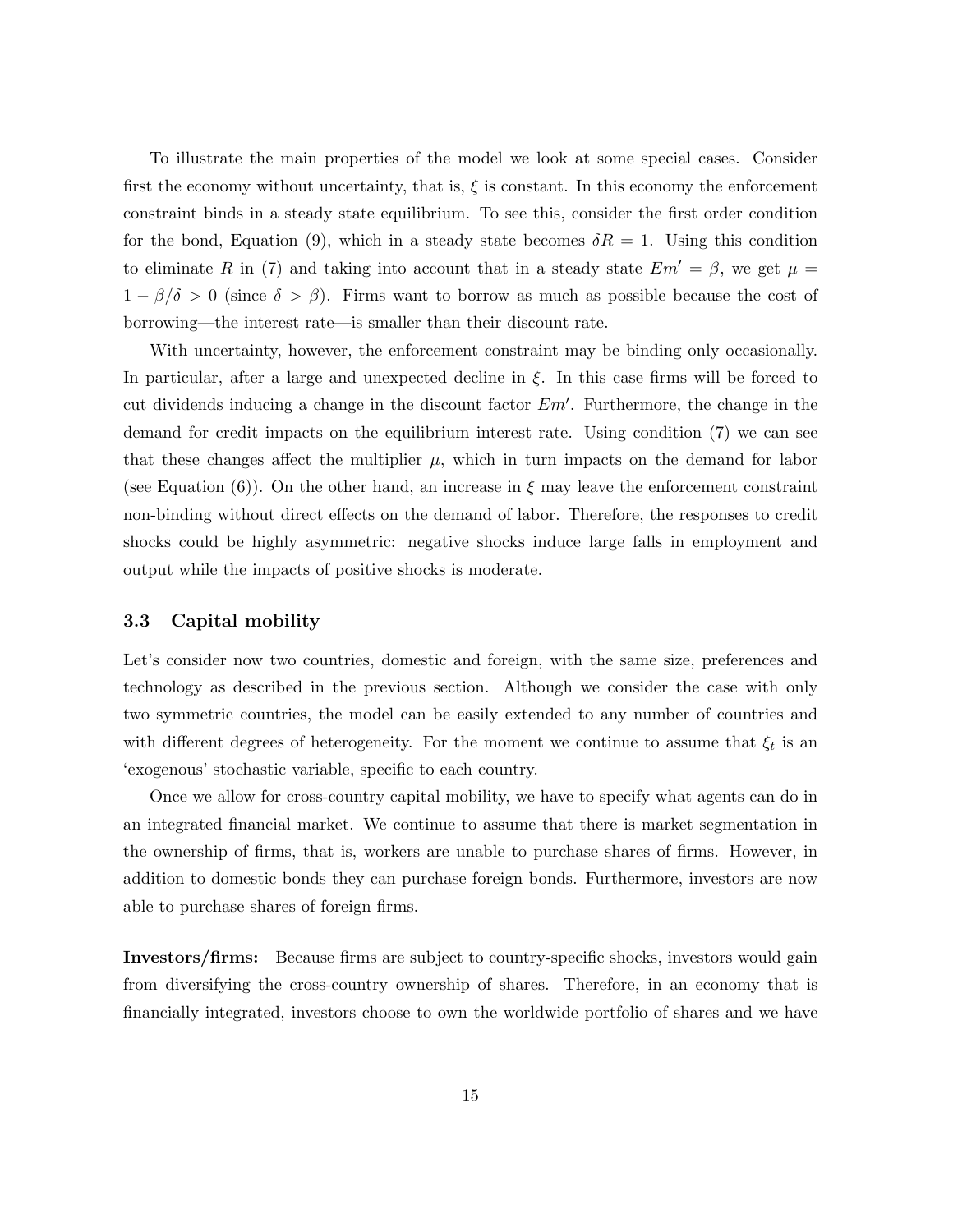To illustrate the main properties of the model we look at some special cases. Consider first the economy without uncertainty, that is,  $\xi$  is constant. In this economy the enforcement constraint binds in a steady state equilibrium. To see this, consider the first order condition for the bond, Equation (9), which in a steady state becomes  $\delta R = 1$ . Using this condition to eliminate R in (7) and taking into account that in a steady state  $Em' = \beta$ , we get  $\mu =$  $1 - \beta/\delta > 0$  (since  $\delta > \beta$ ). Firms want to borrow as much as possible because the cost of borrowing—the interest rate—is smaller than their discount rate.

With uncertainty, however, the enforcement constraint may be binding only occasionally. In particular, after a large and unexpected decline in  $\xi$ . In this case firms will be forced to cut dividends inducing a change in the discount factor  $Em'$ . Furthermore, the change in the demand for credit impacts on the equilibrium interest rate. Using condition (7) we can see that these changes affect the multiplier  $\mu$ , which in turn impacts on the demand for labor (see Equation (6)). On the other hand, an increase in  $\xi$  may leave the enforcement constraint non-binding without direct effects on the demand of labor. Therefore, the responses to credit shocks could be highly asymmetric: negative shocks induce large falls in employment and output while the impacts of positive shocks is moderate.

#### 3.3 Capital mobility

Let's consider now two countries, domestic and foreign, with the same size, preferences and technology as described in the previous section. Although we consider the case with only two symmetric countries, the model can be easily extended to any number of countries and with different degrees of heterogeneity. For the moment we continue to assume that  $\xi_t$  is an 'exogenous' stochastic variable, specific to each country.

Once we allow for cross-country capital mobility, we have to specify what agents can do in an integrated financial market. We continue to assume that there is market segmentation in the ownership of firms, that is, workers are unable to purchase shares of firms. However, in addition to domestic bonds they can purchase foreign bonds. Furthermore, investors are now able to purchase shares of foreign firms.

Investors/firms: Because firms are subject to country-specific shocks, investors would gain from diversifying the cross-country ownership of shares. Therefore, in an economy that is financially integrated, investors choose to own the worldwide portfolio of shares and we have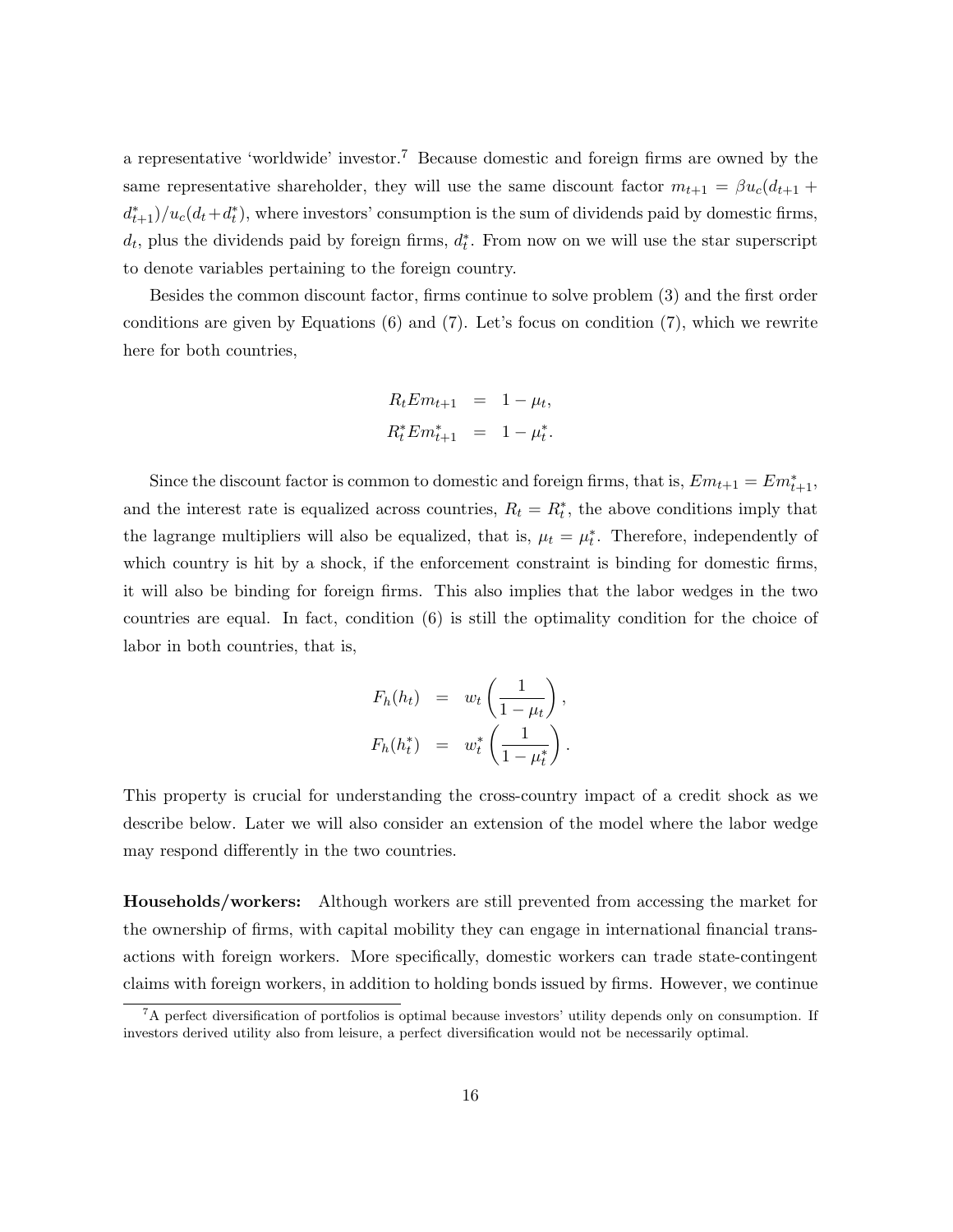a representative 'worldwide' investor.<sup>7</sup> Because domestic and foreign firms are owned by the same representative shareholder, they will use the same discount factor  $m_{t+1} = \beta u_c (d_{t+1} +$  $\frac{d_{t+1}^*}{dt+1}$ , where investors' consumption is the sum of dividends paid by domestic firms,  $d_t$ , plus the dividends paid by foreign firms,  $d_t^*$ . From now on we will use the star superscript to denote variables pertaining to the foreign country.

Besides the common discount factor, firms continue to solve problem (3) and the first order conditions are given by Equations  $(6)$  and  $(7)$ . Let's focus on condition  $(7)$ , which we rewrite here for both countries,

$$
R_t E m_{t+1} = 1 - \mu_t,
$$
  

$$
R_t^* E m_{t+1}^* = 1 - \mu_t^*.
$$

Since the discount factor is common to domestic and foreign firms, that is,  $Em_{t+1} = Em_{t+1}^*$ , and the interest rate is equalized across countries,  $R_t = R_t^*$ , the above conditions imply that the lagrange multipliers will also be equalized, that is,  $\mu_t = \mu_t^*$ . Therefore, independently of which country is hit by a shock, if the enforcement constraint is binding for domestic firms, it will also be binding for foreign firms. This also implies that the labor wedges in the two countries are equal. In fact, condition (6) is still the optimality condition for the choice of labor in both countries, that is,

$$
F_h(h_t) = w_t \left(\frac{1}{1-\mu_t}\right),
$$
  

$$
F_h(h_t^*) = w_t^* \left(\frac{1}{1-\mu_t^*}\right).
$$

This property is crucial for understanding the cross-country impact of a credit shock as we describe below. Later we will also consider an extension of the model where the labor wedge may respond differently in the two countries.

Households/workers: Although workers are still prevented from accessing the market for the ownership of firms, with capital mobility they can engage in international financial transactions with foreign workers. More specifically, domestic workers can trade state-contingent claims with foreign workers, in addition to holding bonds issued by firms. However, we continue

<sup>7</sup>A perfect diversification of portfolios is optimal because investors' utility depends only on consumption. If investors derived utility also from leisure, a perfect diversification would not be necessarily optimal.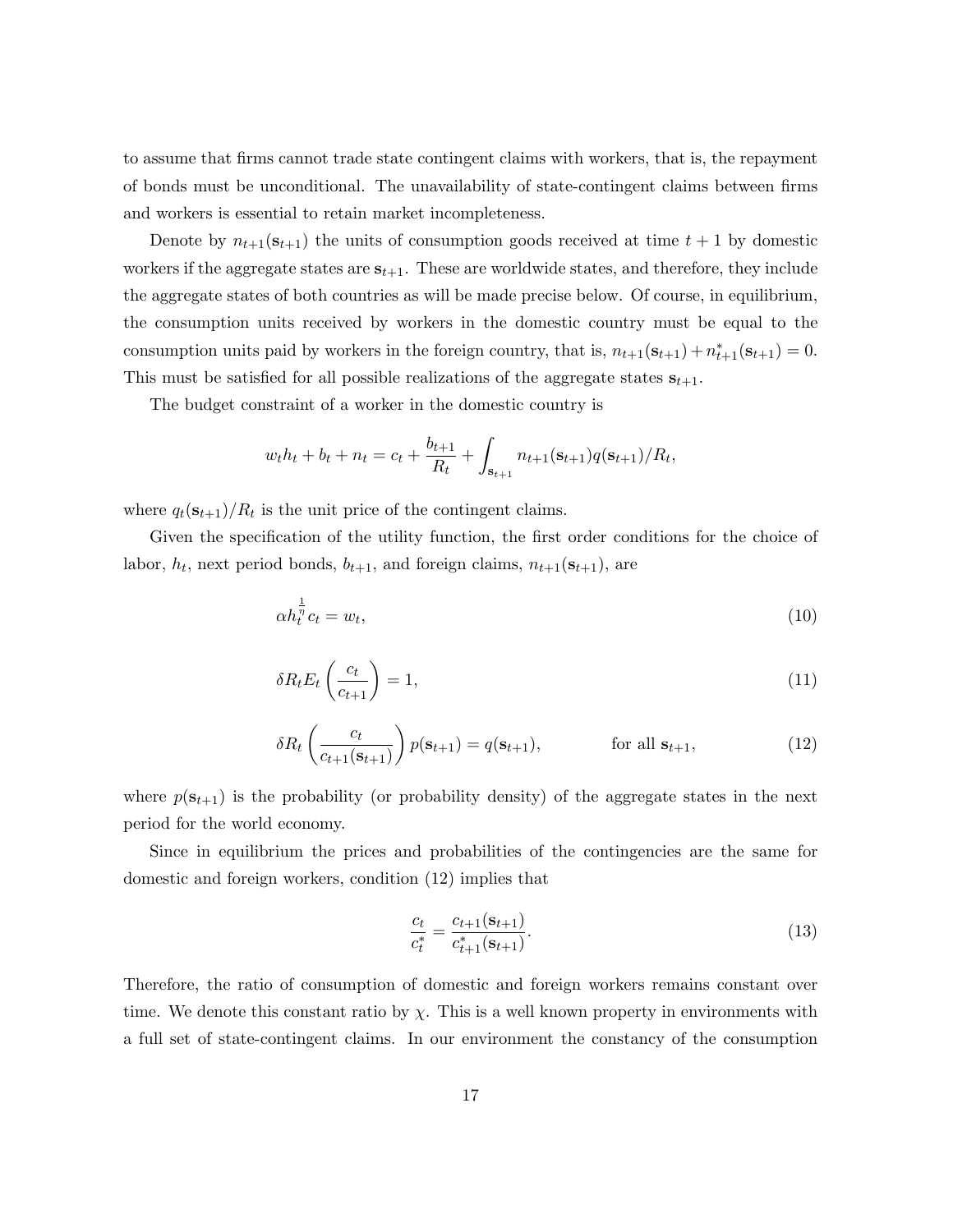to assume that firms cannot trade state contingent claims with workers, that is, the repayment of bonds must be unconditional. The unavailability of state-contingent claims between firms and workers is essential to retain market incompleteness.

Denote by  $n_{t+1}(\mathbf{s}_{t+1})$  the units of consumption goods received at time  $t+1$  by domestic workers if the aggregate states are  $s_{t+1}$ . These are worldwide states, and therefore, they include the aggregate states of both countries as will be made precise below. Of course, in equilibrium, the consumption units received by workers in the domestic country must be equal to the consumption units paid by workers in the foreign country, that is,  $n_{t+1}(\mathbf{s}_{t+1}) + n_{t+1}^*(\mathbf{s}_{t+1}) = 0$ . This must be satisfied for all possible realizations of the aggregate states  $s_{t+1}$ .

The budget constraint of a worker in the domestic country is

$$
w_t h_t + b_t + n_t = c_t + \frac{b_{t+1}}{R_t} + \int_{\mathbf{s}_{t+1}} n_{t+1}(\mathbf{s}_{t+1}) q(\mathbf{s}_{t+1}) / R_t,
$$

where  $q_t(\mathbf{s}_{t+1})/R_t$  is the unit price of the contingent claims.

Given the specification of the utility function, the first order conditions for the choice of labor,  $h_t$ , next period bonds,  $b_{t+1}$ , and foreign claims,  $n_{t+1}(\mathbf{s}_{t+1})$ , are

$$
\alpha h_t^{\frac{1}{\eta}} c_t = w_t,\tag{10}
$$

$$
\delta R_t E_t \left( \frac{c_t}{c_{t+1}} \right) = 1,\tag{11}
$$

$$
\delta R_t \left( \frac{c_t}{c_{t+1}(\mathbf{s}_{t+1})} \right) p(\mathbf{s}_{t+1}) = q(\mathbf{s}_{t+1}), \quad \text{for all } \mathbf{s}_{t+1}, \tag{12}
$$

where  $p(\mathbf{s}_{t+1})$  is the probability (or probability density) of the aggregate states in the next period for the world economy.

Since in equilibrium the prices and probabilities of the contingencies are the same for domestic and foreign workers, condition (12) implies that

$$
\frac{c_t}{c_t^*} = \frac{c_{t+1}(\mathbf{s}_{t+1})}{c_{t+1}^*(\mathbf{s}_{t+1})}.
$$
\n(13)

Therefore, the ratio of consumption of domestic and foreign workers remains constant over time. We denote this constant ratio by  $\chi$ . This is a well known property in environments with a full set of state-contingent claims. In our environment the constancy of the consumption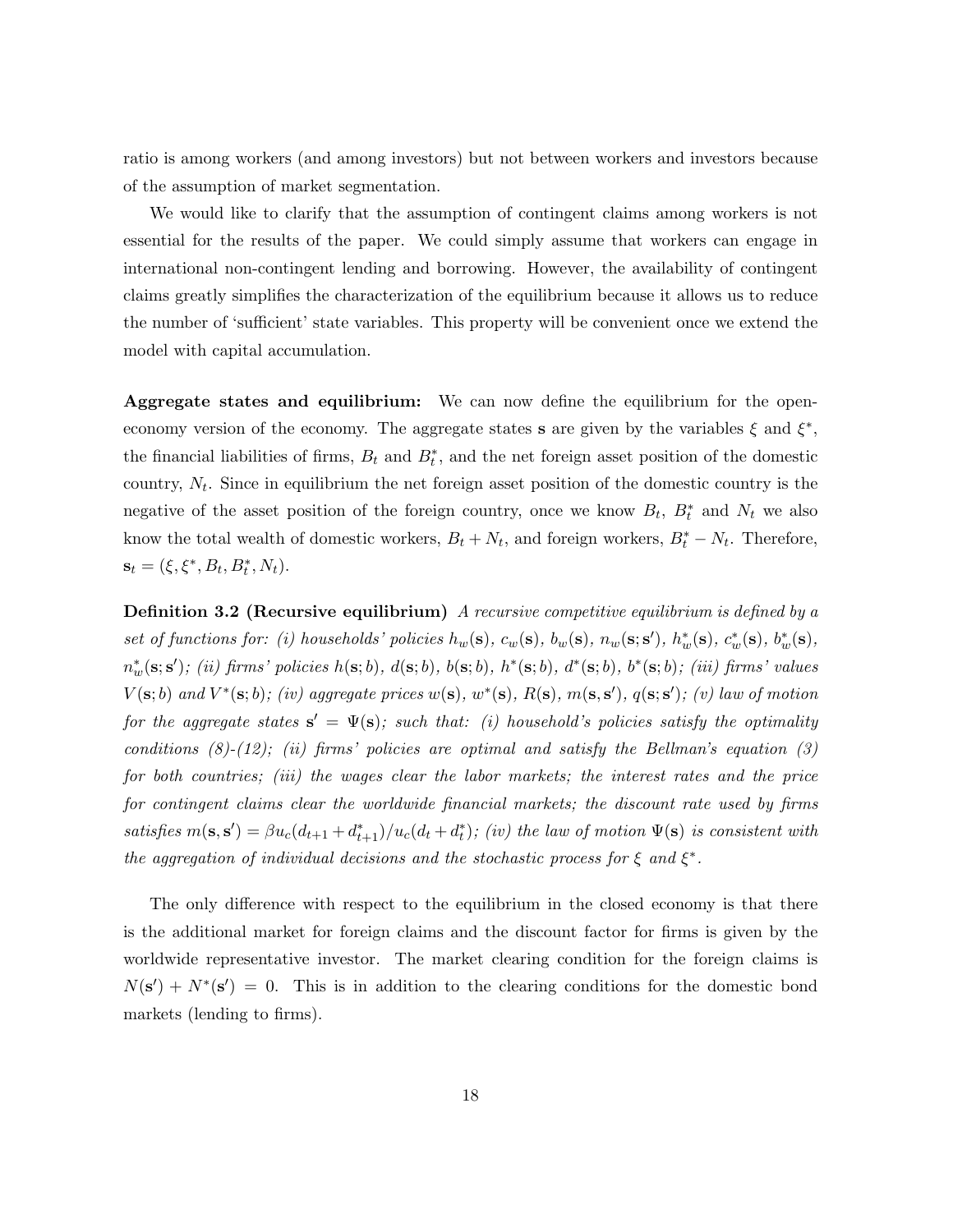ratio is among workers (and among investors) but not between workers and investors because of the assumption of market segmentation.

We would like to clarify that the assumption of contingent claims among workers is not essential for the results of the paper. We could simply assume that workers can engage in international non-contingent lending and borrowing. However, the availability of contingent claims greatly simplifies the characterization of the equilibrium because it allows us to reduce the number of 'sufficient' state variables. This property will be convenient once we extend the model with capital accumulation.

Aggregate states and equilibrium: We can now define the equilibrium for the openeconomy version of the economy. The aggregate states s are given by the variables  $\xi$  and  $\xi^*$ , the financial liabilities of firms,  $B_t$  and  $B_t^*$ , and the net foreign asset position of the domestic country,  $N_t$ . Since in equilibrium the net foreign asset position of the domestic country is the negative of the asset position of the foreign country, once we know  $B_t$ ,  $B_t^*$  and  $N_t$  we also know the total wealth of domestic workers,  $B_t + N_t$ , and foreign workers,  $B_t^* - N_t$ . Therefore,  $\mathbf{s}_t = (\xi, \xi^*, B_t, B_t^*, N_t).$ 

**Definition 3.2 (Recursive equilibrium)** A recursive competitive equilibrium is defined by a set of functions for: (i) households' policies  $h_w(\mathbf{s}), c_w(\mathbf{s}), b_w(\mathbf{s}), n_w(\mathbf{s}; \mathbf{s}'), h_w^*(\mathbf{s}), c_w^*(\mathbf{s}), b_w^*(\mathbf{s}),$  $n_w^*(\mathbf{s}; \mathbf{s}')$ ; (ii) firms' policies  $h(\mathbf{s}; b)$ ,  $d(\mathbf{s}; b)$ ,  $b(\mathbf{s}; b)$ ,  $h^*(\mathbf{s}; b)$ ,  $d^*(\mathbf{s}; b)$ ,  $b^*(\mathbf{s}; b)$ ; (iii) firms' values  $V(\mathbf{s};b)$  and  $V^*(\mathbf{s};b)$ ; (iv) aggregate prices  $w(\mathbf{s}), w^*(\mathbf{s}), R(\mathbf{s}), m(\mathbf{s}, \mathbf{s}'), q(\mathbf{s}; \mathbf{s}')$ ; (v) law of motion for the aggregate states  $\mathbf{s}' = \Psi(\mathbf{s})$ ; such that: (i) household's policies satisfy the optimality conditions  $(8)-(12)$ ; (ii) firms' policies are optimal and satisfy the Bellman's equation  $(3)$ for both countries; (iii) the wages clear the labor markets; the interest rates and the price for contingent claims clear the worldwide financial markets; the discount rate used by firms satisfies  $m(\mathbf{s}, \mathbf{s}') = \beta u_c(d_{t+1} + d_{t+1}^*)/u_c(d_t + d_t^*)$ ; (iv) the law of motion  $\Psi(\mathbf{s})$  is consistent with the aggregation of individual decisions and the stochastic process for  $\xi$  and  $\xi^*$ .

The only difference with respect to the equilibrium in the closed economy is that there is the additional market for foreign claims and the discount factor for firms is given by the worldwide representative investor. The market clearing condition for the foreign claims is  $N(s') + N^*(s') = 0$ . This is in addition to the clearing conditions for the domestic bond markets (lending to firms).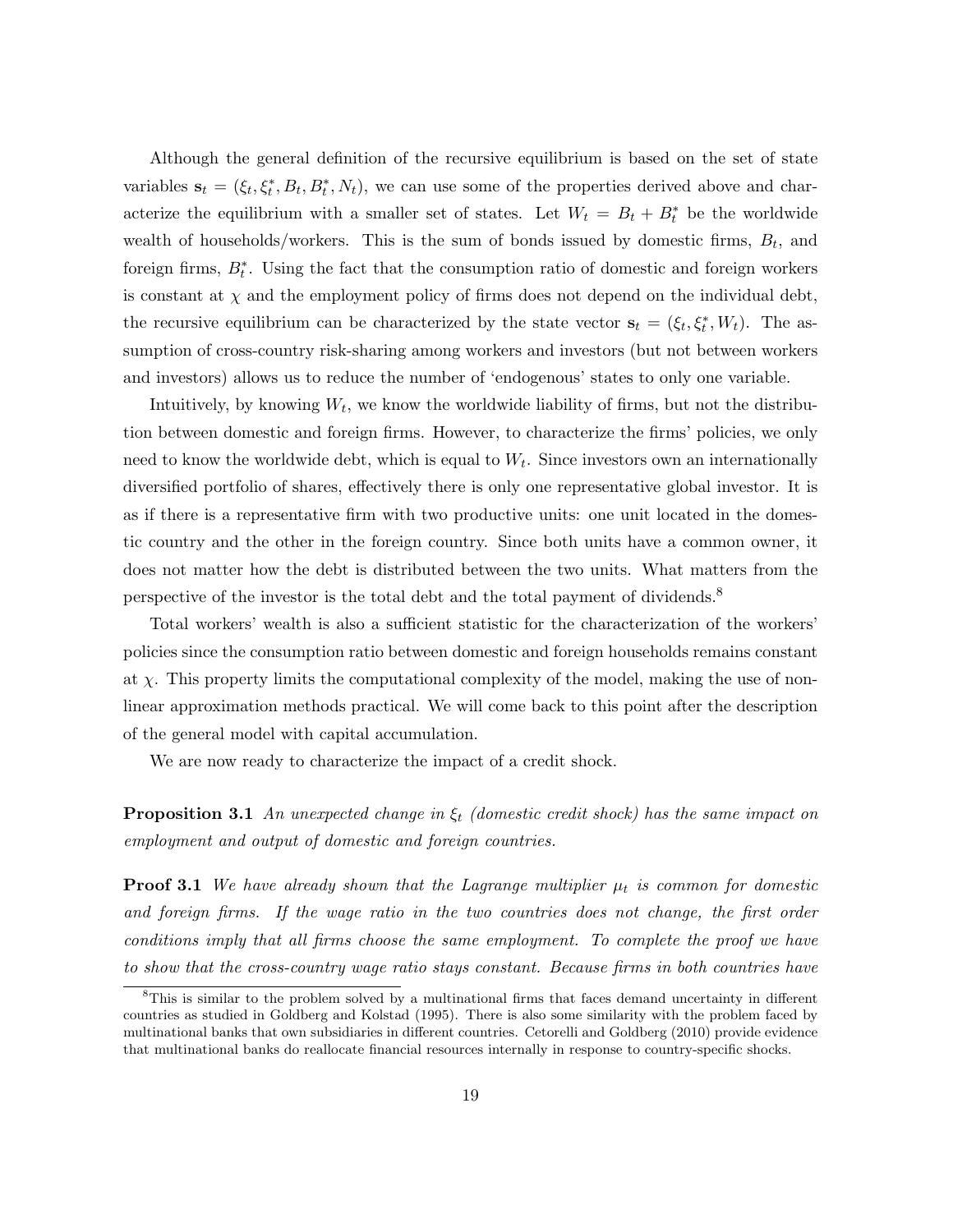Although the general definition of the recursive equilibrium is based on the set of state variables  $\mathbf{s}_t = (\xi_t, \xi_t^*, B_t, B_t^*, N_t)$ , we can use some of the properties derived above and characterize the equilibrium with a smaller set of states. Let  $W_t = B_t + B_t^*$  be the worldwide wealth of households/workers. This is the sum of bonds issued by domestic firms,  $B_t$ , and foreign firms,  $B_t^*$ . Using the fact that the consumption ratio of domestic and foreign workers is constant at  $\chi$  and the employment policy of firms does not depend on the individual debt, the recursive equilibrium can be characterized by the state vector  $\mathbf{s}_t = (\xi_t, \xi_t^*, W_t)$ . The assumption of cross-country risk-sharing among workers and investors (but not between workers and investors) allows us to reduce the number of 'endogenous' states to only one variable.

Intuitively, by knowing  $W_t$ , we know the worldwide liability of firms, but not the distribution between domestic and foreign firms. However, to characterize the firms' policies, we only need to know the worldwide debt, which is equal to  $W_t$ . Since investors own an internationally diversified portfolio of shares, effectively there is only one representative global investor. It is as if there is a representative firm with two productive units: one unit located in the domestic country and the other in the foreign country. Since both units have a common owner, it does not matter how the debt is distributed between the two units. What matters from the perspective of the investor is the total debt and the total payment of dividends.<sup>8</sup>

Total workers' wealth is also a sufficient statistic for the characterization of the workers' policies since the consumption ratio between domestic and foreign households remains constant at  $\chi$ . This property limits the computational complexity of the model, making the use of nonlinear approximation methods practical. We will come back to this point after the description of the general model with capital accumulation.

We are now ready to characterize the impact of a credit shock.

**Proposition 3.1** An unexpected change in  $\xi_t$  (domestic credit shock) has the same impact on employment and output of domestic and foreign countries.

**Proof 3.1** We have already shown that the Lagrange multiplier  $\mu_t$  is common for domestic and foreign firms. If the wage ratio in the two countries does not change, the first order conditions imply that all firms choose the same employment. To complete the proof we have to show that the cross-country wage ratio stays constant. Because firms in both countries have

<sup>8</sup>This is similar to the problem solved by a multinational firms that faces demand uncertainty in different countries as studied in Goldberg and Kolstad (1995). There is also some similarity with the problem faced by multinational banks that own subsidiaries in different countries. Cetorelli and Goldberg (2010) provide evidence that multinational banks do reallocate financial resources internally in response to country-specific shocks.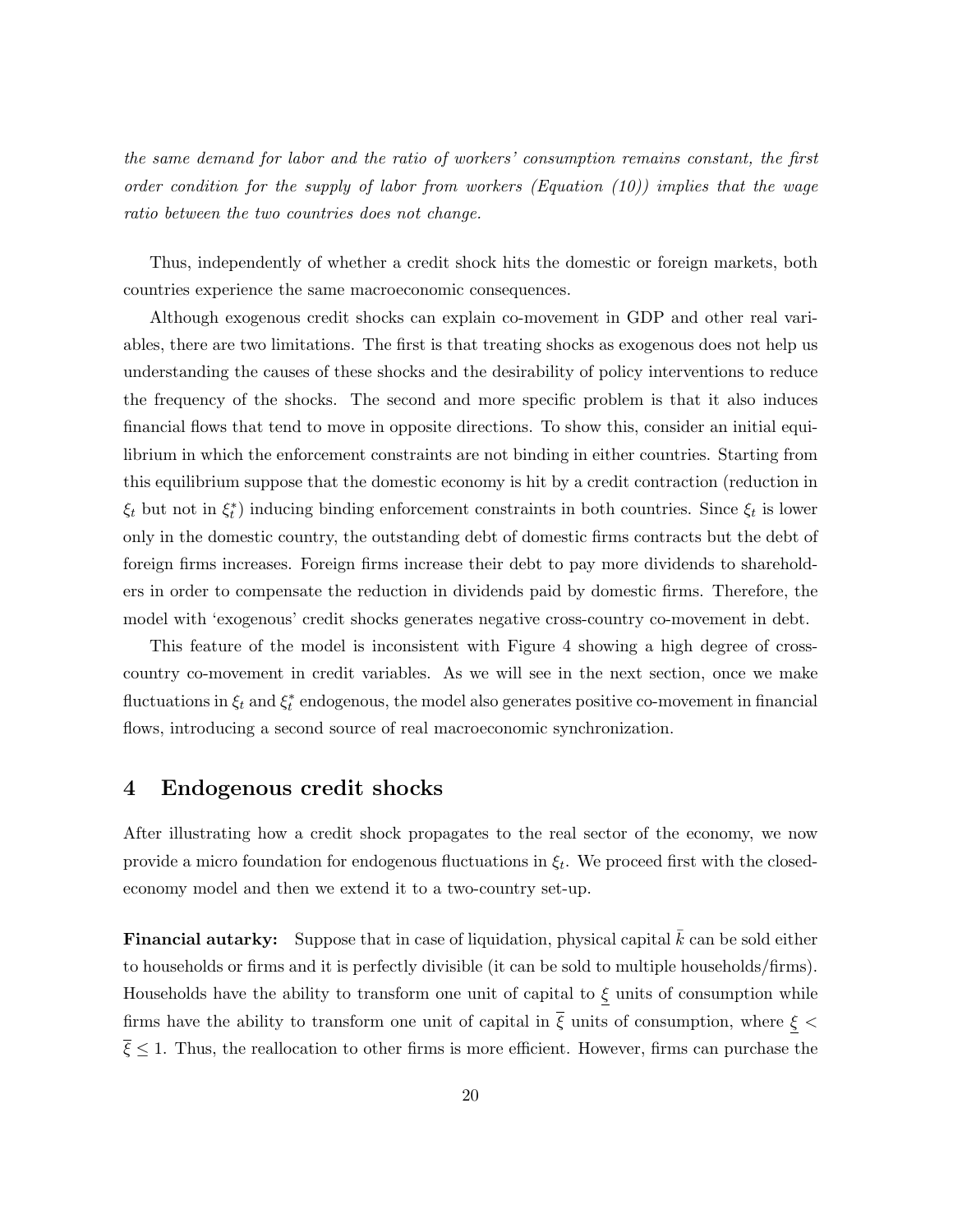the same demand for labor and the ratio of workers' consumption remains constant, the first order condition for the supply of labor from workers (Equation  $(10)$ ) implies that the wage ratio between the two countries does not change.

Thus, independently of whether a credit shock hits the domestic or foreign markets, both countries experience the same macroeconomic consequences.

Although exogenous credit shocks can explain co-movement in GDP and other real variables, there are two limitations. The first is that treating shocks as exogenous does not help us understanding the causes of these shocks and the desirability of policy interventions to reduce the frequency of the shocks. The second and more specific problem is that it also induces financial flows that tend to move in opposite directions. To show this, consider an initial equilibrium in which the enforcement constraints are not binding in either countries. Starting from this equilibrium suppose that the domestic economy is hit by a credit contraction (reduction in  $\xi_t$  but not in  $\xi_t^*$ ) inducing binding enforcement constraints in both countries. Since  $\xi_t$  is lower only in the domestic country, the outstanding debt of domestic firms contracts but the debt of foreign firms increases. Foreign firms increase their debt to pay more dividends to shareholders in order to compensate the reduction in dividends paid by domestic firms. Therefore, the model with 'exogenous' credit shocks generates negative cross-country co-movement in debt.

This feature of the model is inconsistent with Figure 4 showing a high degree of crosscountry co-movement in credit variables. As we will see in the next section, once we make fluctuations in  $\xi_t$  and  $\xi_t^*$  endogenous, the model also generates positive co-movement in financial flows, introducing a second source of real macroeconomic synchronization.

### 4 Endogenous credit shocks

After illustrating how a credit shock propagates to the real sector of the economy, we now provide a micro foundation for endogenous fluctuations in  $\xi_t$ . We proceed first with the closedeconomy model and then we extend it to a two-country set-up.

**Financial autarky:** Suppose that in case of liquidation, physical capital  $k$  can be sold either to households or firms and it is perfectly divisible (it can be sold to multiple households/firms). Households have the ability to transform one unit of capital to  $\xi$  units of consumption while firms have the ability to transform one unit of capital in  $\bar{\xi}$  units of consumption, where  $\xi$  <  $\overline{\xi} \leq 1$ . Thus, the reallocation to other firms is more efficient. However, firms can purchase the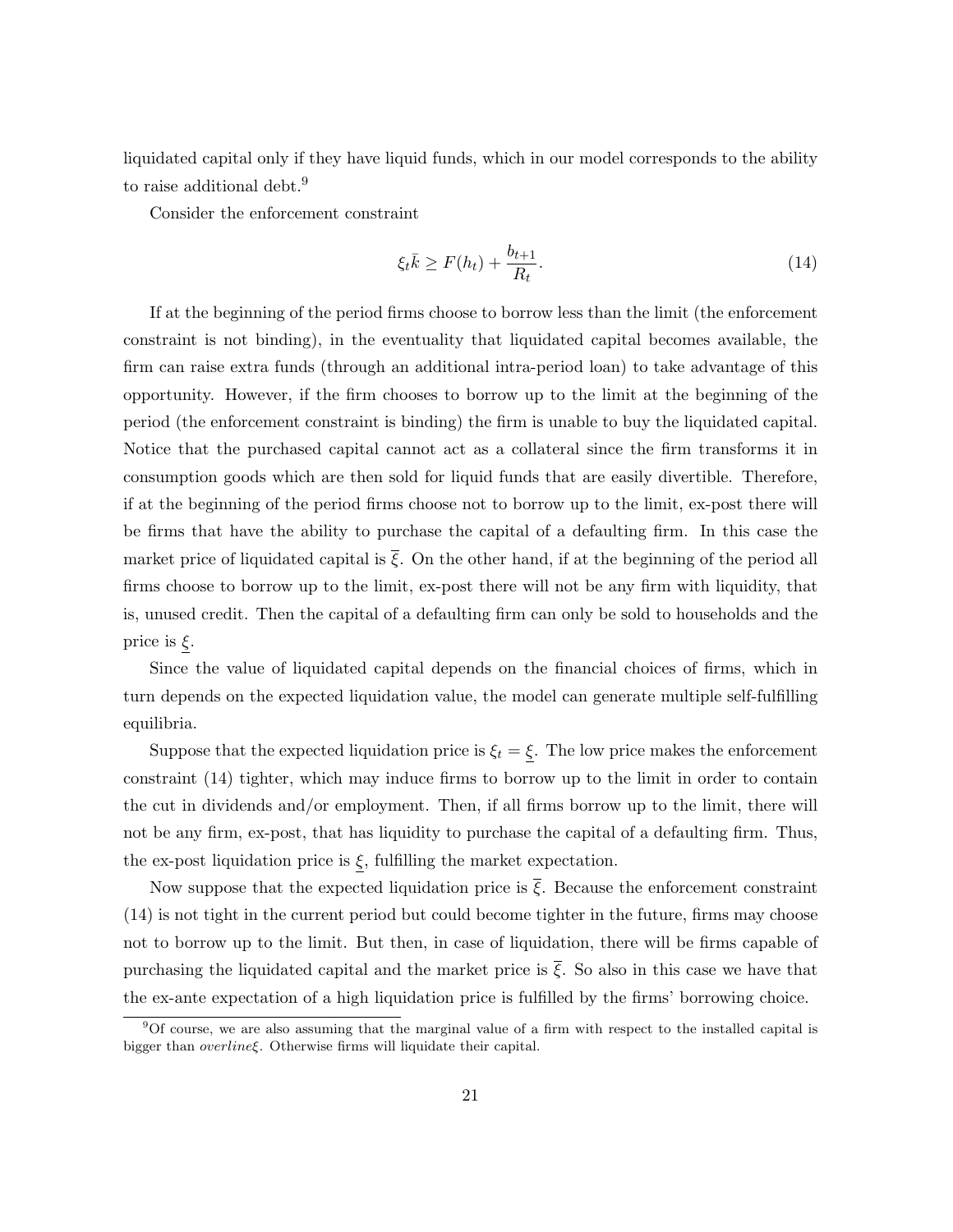liquidated capital only if they have liquid funds, which in our model corresponds to the ability to raise additional debt.<sup>9</sup>

Consider the enforcement constraint

$$
\xi_t \bar{k} \ge F(h_t) + \frac{b_{t+1}}{R_t}.\tag{14}
$$

If at the beginning of the period firms choose to borrow less than the limit (the enforcement constraint is not binding), in the eventuality that liquidated capital becomes available, the firm can raise extra funds (through an additional intra-period loan) to take advantage of this opportunity. However, if the firm chooses to borrow up to the limit at the beginning of the period (the enforcement constraint is binding) the firm is unable to buy the liquidated capital. Notice that the purchased capital cannot act as a collateral since the firm transforms it in consumption goods which are then sold for liquid funds that are easily divertible. Therefore, if at the beginning of the period firms choose not to borrow up to the limit, ex-post there will be firms that have the ability to purchase the capital of a defaulting firm. In this case the market price of liquidated capital is  $\bar{\xi}$ . On the other hand, if at the beginning of the period all firms choose to borrow up to the limit, ex-post there will not be any firm with liquidity, that is, unused credit. Then the capital of a defaulting firm can only be sold to households and the price is  $\xi$ .

Since the value of liquidated capital depends on the financial choices of firms, which in turn depends on the expected liquidation value, the model can generate multiple self-fulfilling equilibria.

Suppose that the expected liquidation price is  $\xi_t = \xi$ . The low price makes the enforcement constraint (14) tighter, which may induce firms to borrow up to the limit in order to contain the cut in dividends and/or employment. Then, if all firms borrow up to the limit, there will not be any firm, ex-post, that has liquidity to purchase the capital of a defaulting firm. Thus, the ex-post liquidation price is  $\xi$ , fulfilling the market expectation.

Now suppose that the expected liquidation price is  $\xi$ . Because the enforcement constraint (14) is not tight in the current period but could become tighter in the future, firms may choose not to borrow up to the limit. But then, in case of liquidation, there will be firms capable of purchasing the liquidated capital and the market price is  $\bar{\xi}$ . So also in this case we have that the ex-ante expectation of a high liquidation price is fulfilled by the firms' borrowing choice.

<sup>9</sup>Of course, we are also assuming that the marginal value of a firm with respect to the installed capital is bigger than overlineξ. Otherwise firms will liquidate their capital.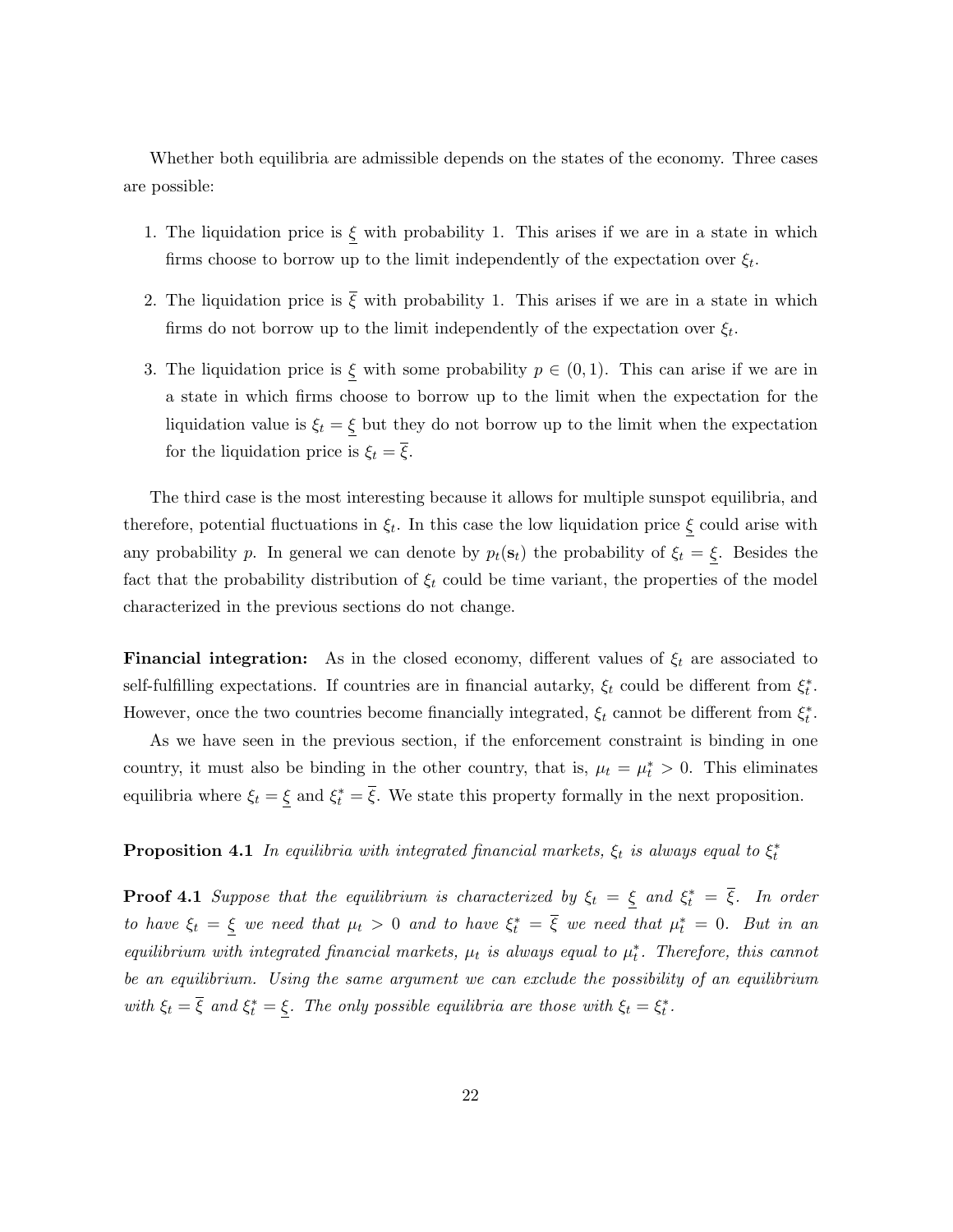Whether both equilibria are admissible depends on the states of the economy. Three cases are possible:

- 1. The liquidation price is  $\xi$  with probability 1. This arises if we are in a state in which firms choose to borrow up to the limit independently of the expectation over  $\xi_t$ .
- 2. The liquidation price is  $\overline{\xi}$  with probability 1. This arises if we are in a state in which firms do not borrow up to the limit independently of the expectation over  $\xi_t$ .
- 3. The liquidation price is  $\xi$  with some probability  $p \in (0,1)$ . This can arise if we are in a state in which firms choose to borrow up to the limit when the expectation for the liquidation value is  $\xi_t = \xi$  but they do not borrow up to the limit when the expectation for the liquidation price is  $\xi_t = \overline{\xi}$ .

The third case is the most interesting because it allows for multiple sunspot equilibria, and therefore, potential fluctuations in  $\xi_t$ . In this case the low liquidation price  $\xi$  could arise with any probability p. In general we can denote by  $p_t(\mathbf{s}_t)$  the probability of  $\xi_t = \underline{\xi}$ . Besides the fact that the probability distribution of  $\xi_t$  could be time variant, the properties of the model characterized in the previous sections do not change.

**Financial integration:** As in the closed economy, different values of  $\xi_t$  are associated to self-fulfilling expectations. If countries are in financial autarky,  $\xi_t$  could be different from  $\xi_t^*$ . However, once the two countries become financially integrated,  $\xi_t$  cannot be different from  $\xi_t^*$ .

As we have seen in the previous section, if the enforcement constraint is binding in one country, it must also be binding in the other country, that is,  $\mu_t = \mu_t^* > 0$ . This eliminates equilibria where  $\xi_t = \xi$  and  $\xi_t^* = \overline{\xi}$ . We state this property formally in the next proposition.

**Proposition 4.1** In equilibria with integrated financial markets,  $\xi_t$  is always equal to  $\xi_t^*$ 

**Proof 4.1** Suppose that the equilibrium is characterized by  $\xi_t = \xi$  and  $\xi_t^* = \overline{\xi}$ . In order to have  $\xi_t = \xi$  we need that  $\mu_t > 0$  and to have  $\xi_t^* = \overline{\xi}$  we need that  $\mu_t^* = 0$ . But in an equilibrium with integrated financial markets,  $\mu_t$  is always equal to  $\mu_t^*$ . Therefore, this cannot be an equilibrium. Using the same argument we can exclude the possibility of an equilibrium with  $\xi_t = \overline{\xi}$  and  $\xi_t^* = \underline{\xi}$ . The only possible equilibria are those with  $\xi_t = \xi_t^*$ .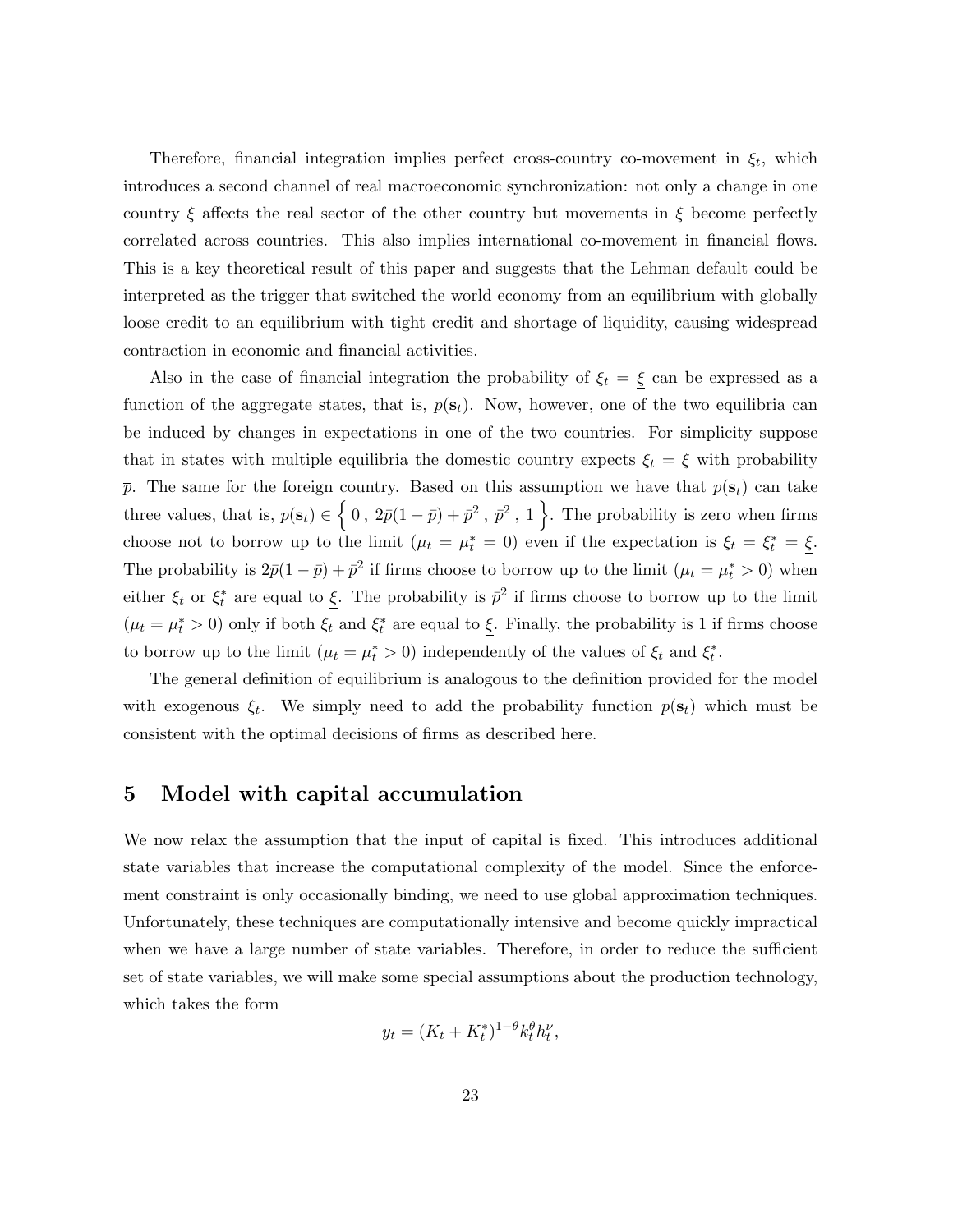Therefore, financial integration implies perfect cross-country co-movement in  $\xi_t$ , which introduces a second channel of real macroeconomic synchronization: not only a change in one country  $\xi$  affects the real sector of the other country but movements in  $\xi$  become perfectly correlated across countries. This also implies international co-movement in financial flows. This is a key theoretical result of this paper and suggests that the Lehman default could be interpreted as the trigger that switched the world economy from an equilibrium with globally loose credit to an equilibrium with tight credit and shortage of liquidity, causing widespread contraction in economic and financial activities.

Also in the case of financial integration the probability of  $\xi_t = \xi$  can be expressed as a function of the aggregate states, that is,  $p(s_t)$ . Now, however, one of the two equilibria can be induced by changes in expectations in one of the two countries. For simplicity suppose that in states with multiple equilibria the domestic country expects  $\xi_t = \xi$  with probability  $\bar{p}$ . The same for the foreign country. Based on this assumption we have that  $p(\mathbf{s}_t)$  can take three values, that is,  $p(\mathbf{s}_t) \in \left\{0, 2\bar{p}(1-\bar{p}) + \bar{p}^2, \bar{p}^2, 1\right\}$ . The probability is zero when firms choose not to borrow up to the limit  $(\mu_t = \mu_t^* = 0)$  even if the expectation is  $\xi_t = \xi_t^* = \underline{\xi}$ . The probability is  $2\bar{p}(1-\bar{p}) + \bar{p}^2$  if firms choose to borrow up to the limit  $(\mu_t = \mu_t^* > 0)$  when either  $\xi_t$  or  $\xi_t^*$  are equal to  $\underline{\xi}$ . The probability is  $\bar{p}^2$  if firms choose to borrow up to the limit  $(\mu_t = \mu_t^* > 0)$  only if both  $\xi_t$  and  $\xi_t^*$  are equal to  $\xi$ . Finally, the probability is 1 if firms choose to borrow up to the limit  $(\mu_t = \mu_t^* > 0)$  independently of the values of  $\xi_t$  and  $\xi_t^*$ .

The general definition of equilibrium is analogous to the definition provided for the model with exogenous  $\xi_t$ . We simply need to add the probability function  $p(\mathbf{s}_t)$  which must be consistent with the optimal decisions of firms as described here.

### 5 Model with capital accumulation

We now relax the assumption that the input of capital is fixed. This introduces additional state variables that increase the computational complexity of the model. Since the enforcement constraint is only occasionally binding, we need to use global approximation techniques. Unfortunately, these techniques are computationally intensive and become quickly impractical when we have a large number of state variables. Therefore, in order to reduce the sufficient set of state variables, we will make some special assumptions about the production technology, which takes the form

$$
y_t = (K_t + K_t^*)^{1-\theta} k_t^{\theta} h_t^{\nu},
$$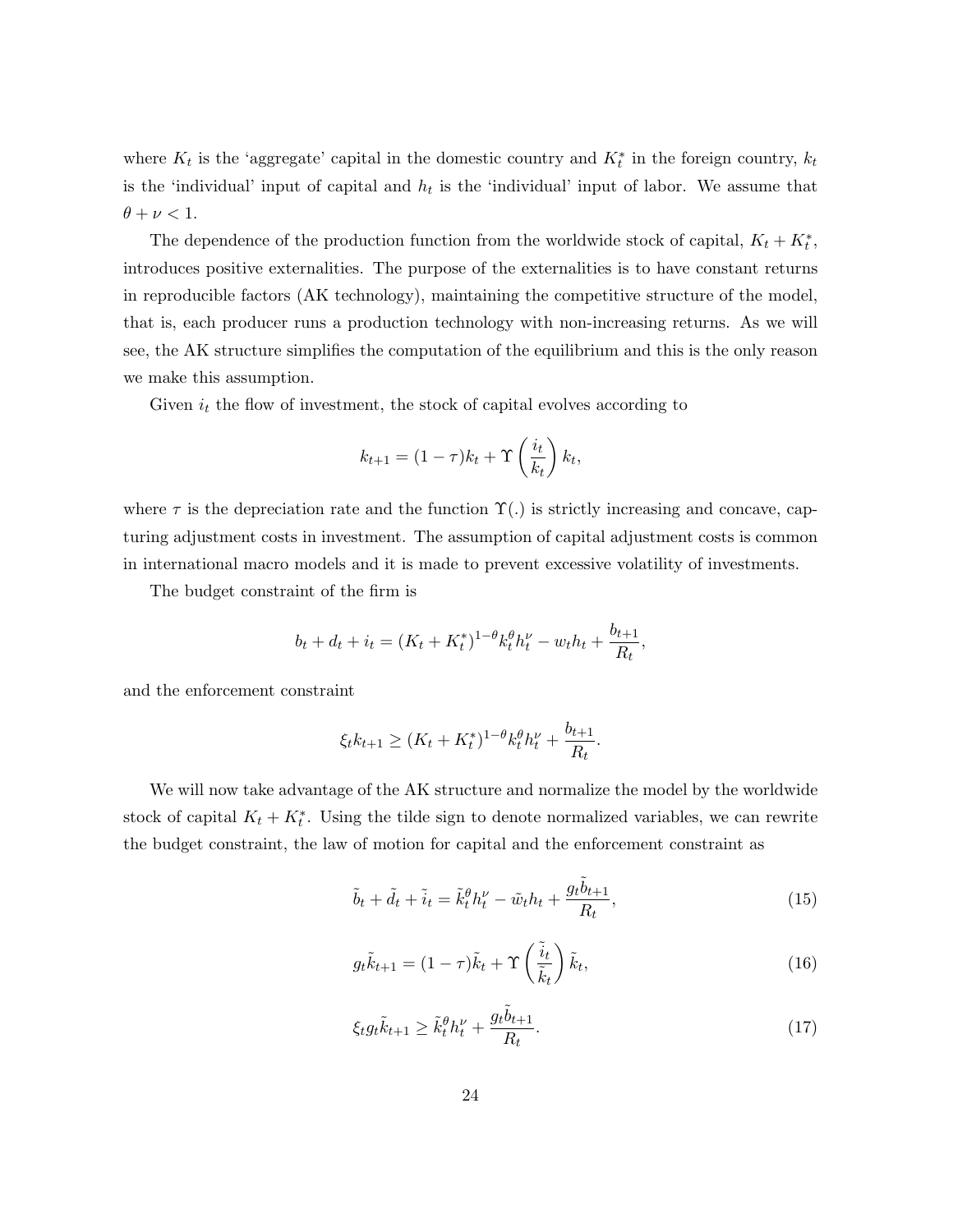where  $K_t$  is the 'aggregate' capital in the domestic country and  $K_t^*$  in the foreign country,  $k_t$ is the 'individual' input of capital and  $h_t$  is the 'individual' input of labor. We assume that  $\theta + \nu < 1.$ 

The dependence of the production function from the worldwide stock of capital,  $K_t + K_t^*$ , introduces positive externalities. The purpose of the externalities is to have constant returns in reproducible factors (AK technology), maintaining the competitive structure of the model, that is, each producer runs a production technology with non-increasing returns. As we will see, the AK structure simplifies the computation of the equilibrium and this is the only reason we make this assumption.

Given  $i_t$  the flow of investment, the stock of capital evolves according to

$$
k_{t+1} = (1 - \tau)k_t + \Upsilon\left(\frac{i_t}{k_t}\right)k_t,
$$

where  $\tau$  is the depreciation rate and the function  $\Upsilon(.)$  is strictly increasing and concave, capturing adjustment costs in investment. The assumption of capital adjustment costs is common in international macro models and it is made to prevent excessive volatility of investments.

The budget constraint of the firm is

$$
b_t + d_t + i_t = (K_t + K_t^*)^{1-\theta} k_t^{\theta} h_t^{\nu} - w_t h_t + \frac{b_{t+1}}{R_t},
$$

and the enforcement constraint

$$
\xi_t k_{t+1} \ge (K_t + K_t^*)^{1-\theta} k_t^{\theta} h_t^{\nu} + \frac{b_{t+1}}{R_t}.
$$

We will now take advantage of the AK structure and normalize the model by the worldwide stock of capital  $K_t + K_t^*$ . Using the tilde sign to denote normalized variables, we can rewrite the budget constraint, the law of motion for capital and the enforcement constraint as

$$
\tilde{b}_t + \tilde{d}_t + \tilde{i}_t = \tilde{k}_t^{\theta} h_t^{\nu} - \tilde{w}_t h_t + \frac{g_t \tilde{b}_{t+1}}{R_t},\tag{15}
$$

$$
g_t \tilde{k}_{t+1} = (1 - \tau)\tilde{k}_t + \Upsilon \left(\frac{\tilde{i}_t}{\tilde{k}_t}\right) \tilde{k}_t, \tag{16}
$$

$$
\xi_t g_t \tilde{k}_{t+1} \ge \tilde{k}_t^{\theta} h_t^{\nu} + \frac{g_t \tilde{b}_{t+1}}{R_t}.
$$
\n(17)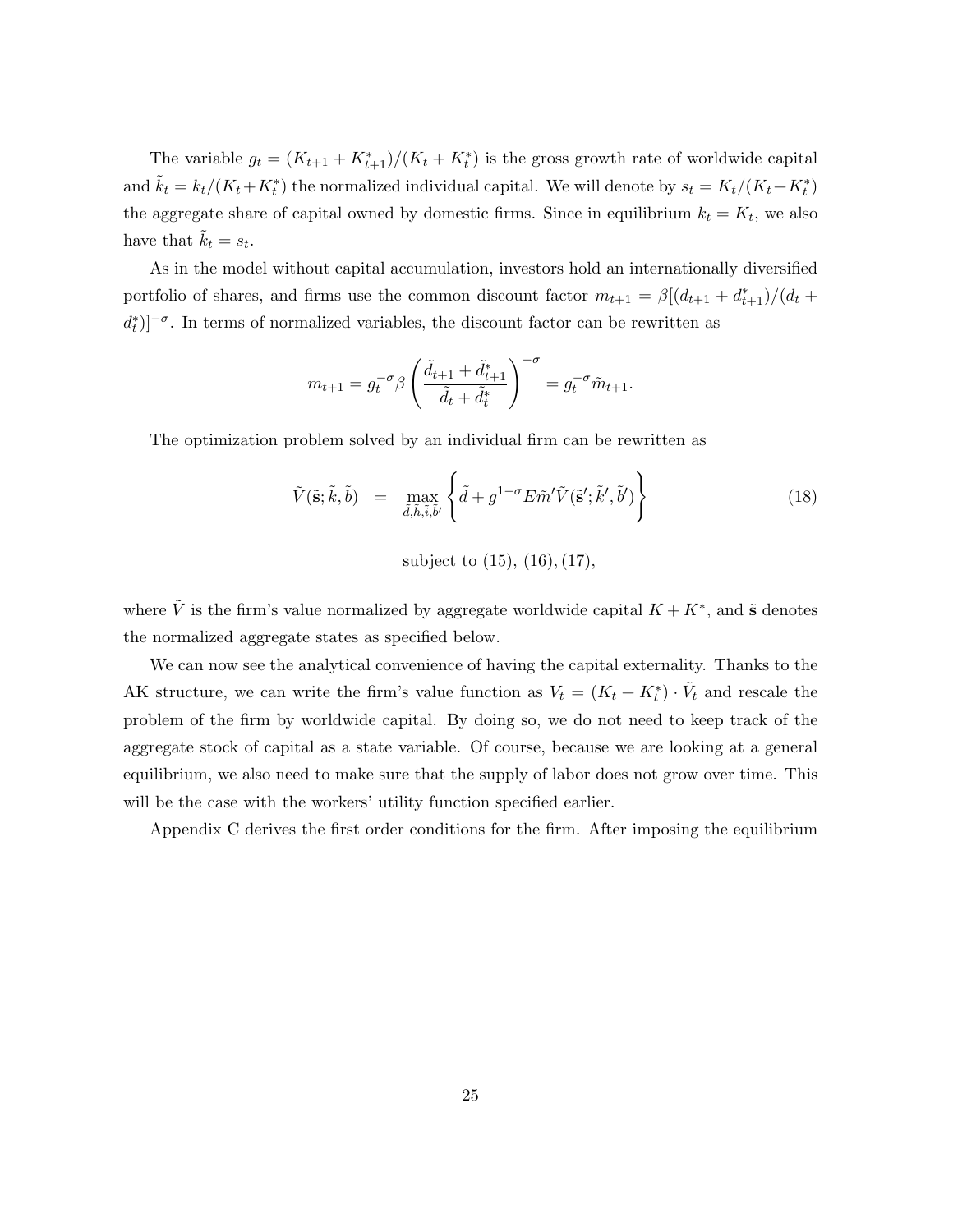The variable  $g_t = (K_{t+1} + K_{t+1}^*)/(K_t + K_t^*)$  is the gross growth rate of worldwide capital and  $\tilde{k}_t = k_t/(K_t + K_t^*)$  the normalized individual capital. We will denote by  $s_t = K_t/(K_t + K_t^*)$ the aggregate share of capital owned by domestic firms. Since in equilibrium  $k_t = K_t$ , we also have that  $\tilde{k}_t = s_t$ .

As in the model without capital accumulation, investors hold an internationally diversified portfolio of shares, and firms use the common discount factor  $m_{t+1} = \beta \left[ \frac{d_{t+1} + d_{t+1}}{d_t} \right] / \left( d_t + d_t \right)$  $(d_t^*)$ ]<sup>- $\sigma$ </sup>. In terms of normalized variables, the discount factor can be rewritten as

$$
m_{t+1} = g_t^{-\sigma} \beta \left( \frac{\tilde{d}_{t+1} + \tilde{d}_{t+1}^*}{\tilde{d}_t + \tilde{d}_t^*} \right)^{-\sigma} = g_t^{-\sigma} \tilde{m}_{t+1}.
$$

The optimization problem solved by an individual firm can be rewritten as

$$
\tilde{V}(\tilde{\mathbf{s}}; \tilde{k}, \tilde{b}) = \max_{\tilde{d}, \tilde{h}, \tilde{i}, \tilde{b}'} \left\{ \tilde{d} + g^{1-\sigma} E \tilde{m}' \tilde{V}(\tilde{\mathbf{s}}'; \tilde{k}', \tilde{b}') \right\}
$$
\n(18)

subject to  $(15)$ ,  $(16)$ ,  $(17)$ ,

where  $\tilde{V}$  is the firm's value normalized by aggregate worldwide capital  $K + K^*$ , and  $\tilde{s}$  denotes the normalized aggregate states as specified below.

We can now see the analytical convenience of having the capital externality. Thanks to the AK structure, we can write the firm's value function as  $V_t = (K_t + K_t^*) \cdot \tilde{V}_t$  and rescale the problem of the firm by worldwide capital. By doing so, we do not need to keep track of the aggregate stock of capital as a state variable. Of course, because we are looking at a general equilibrium, we also need to make sure that the supply of labor does not grow over time. This will be the case with the workers' utility function specified earlier.

Appendix C derives the first order conditions for the firm. After imposing the equilibrium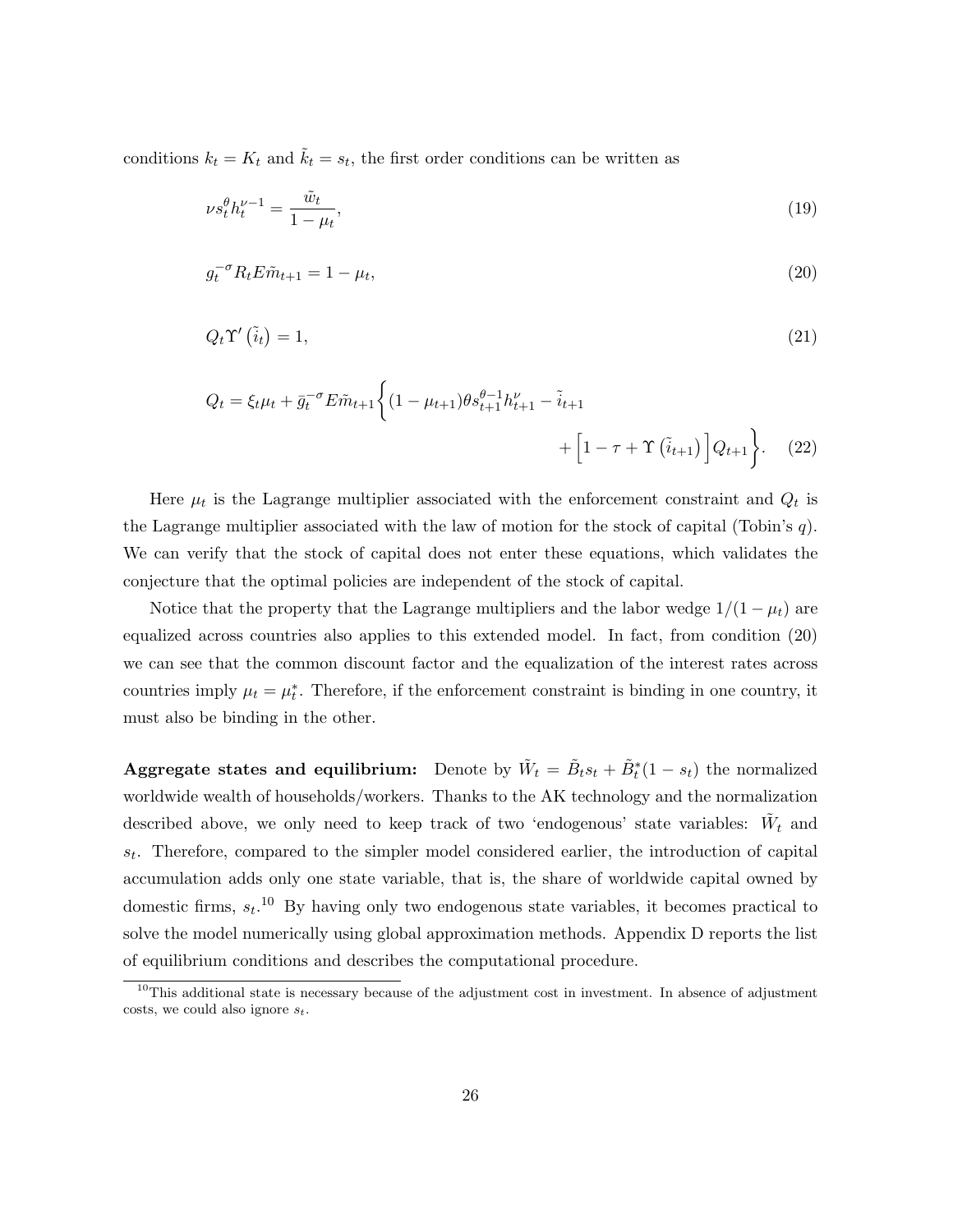conditions  $k_t = K_t$  and  $\tilde{k}_t = s_t$ , the first order conditions can be written as

$$
\nu s_t^{\theta} h_t^{\nu - 1} = \frac{\tilde{w}_t}{1 - \mu_t},\tag{19}
$$

$$
g_t^{-\sigma} R_t E \tilde{m}_{t+1} = 1 - \mu_t,\tag{20}
$$

$$
Q_t \Upsilon'(\tilde{i}_t) = 1,\tag{21}
$$

$$
Q_{t} = \xi_{t}\mu_{t} + \bar{g}_{t}^{-\sigma}E\tilde{m}_{t+1}\left\{ (1 - \mu_{t+1})\theta s_{t+1}^{\theta - 1}h_{t+1}^{\nu} - \tilde{i}_{t+1} + \left[1 - \tau + \Upsilon(\tilde{i}_{t+1})\right]Q_{t+1} \right\}.
$$
 (22)

Here  $\mu_t$  is the Lagrange multiplier associated with the enforcement constraint and  $Q_t$  is the Lagrange multiplier associated with the law of motion for the stock of capital (Tobin's  $q$ ). We can verify that the stock of capital does not enter these equations, which validates the conjecture that the optimal policies are independent of the stock of capital.

Notice that the property that the Lagrange multipliers and the labor wedge  $1/(1 - \mu_t)$  are equalized across countries also applies to this extended model. In fact, from condition (20) we can see that the common discount factor and the equalization of the interest rates across countries imply  $\mu_t = \mu_t^*$ . Therefore, if the enforcement constraint is binding in one country, it must also be binding in the other.

Aggregate states and equilibrium: Denote by  $\tilde{W}_t = \tilde{B}_t s_t + \tilde{B}_t^*(1 - s_t)$  the normalized worldwide wealth of households/workers. Thanks to the AK technology and the normalization described above, we only need to keep track of two 'endogenous' state variables:  $\tilde{W}_t$  and  $s_t$ . Therefore, compared to the simpler model considered earlier, the introduction of capital accumulation adds only one state variable, that is, the share of worldwide capital owned by domestic firms,  $s_t$ <sup>10</sup> By having only two endogenous state variables, it becomes practical to solve the model numerically using global approximation methods. Appendix D reports the list of equilibrium conditions and describes the computational procedure.

 $10$ This additional state is necessary because of the adjustment cost in investment. In absence of adjustment costs, we could also ignore  $s_t$ .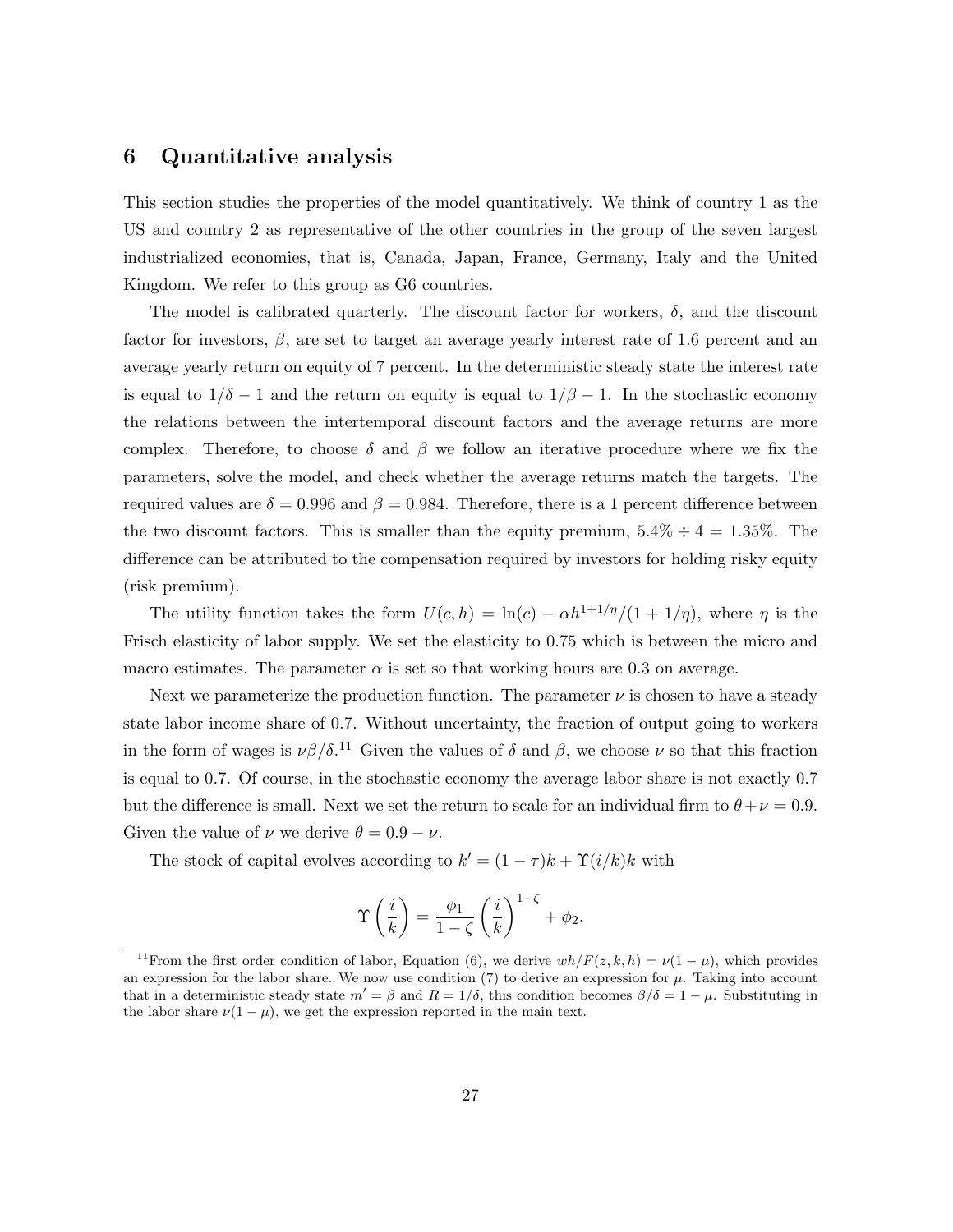### 6 Quantitative analysis

This section studies the properties of the model quantitatively. We think of country 1 as the US and country 2 as representative of the other countries in the group of the seven largest industrialized economies, that is, Canada, Japan, France, Germany, Italy and the United Kingdom. We refer to this group as G6 countries.

The model is calibrated quarterly. The discount factor for workers,  $\delta$ , and the discount factor for investors,  $\beta$ , are set to target an average yearly interest rate of 1.6 percent and an average yearly return on equity of 7 percent. In the deterministic steady state the interest rate is equal to  $1/\delta - 1$  and the return on equity is equal to  $1/\beta - 1$ . In the stochastic economy the relations between the intertemporal discount factors and the average returns are more complex. Therefore, to choose  $\delta$  and  $\beta$  we follow an iterative procedure where we fix the parameters, solve the model, and check whether the average returns match the targets. The required values are  $\delta = 0.996$  and  $\beta = 0.984$ . Therefore, there is a 1 percent difference between the two discount factors. This is smaller than the equity premium,  $5.4\% \div 4 = 1.35\%$ . The difference can be attributed to the compensation required by investors for holding risky equity (risk premium).

The utility function takes the form  $U(c, h) = \ln(c) - \alpha h^{1+1/\eta}/(1+1/\eta)$ , where  $\eta$  is the Frisch elasticity of labor supply. We set the elasticity to 0.75 which is between the micro and macro estimates. The parameter  $\alpha$  is set so that working hours are 0.3 on average.

Next we parameterize the production function. The parameter  $\nu$  is chosen to have a steady state labor income share of 0.7. Without uncertainty, the fraction of output going to workers in the form of wages is  $\nu\beta/\delta$ <sup>11</sup> Given the values of  $\delta$  and  $\beta$ , we choose  $\nu$  so that this fraction is equal to 0.7. Of course, in the stochastic economy the average labor share is not exactly 0.7 but the difference is small. Next we set the return to scale for an individual firm to  $\theta + \nu = 0.9$ . Given the value of  $\nu$  we derive  $\theta = 0.9 - \nu$ .

The stock of capital evolves according to  $k' = (1 - \tau)k + \Upsilon(i/k)k$  with

$$
\Upsilon\left(\frac{i}{k}\right) = \frac{\phi_1}{1-\zeta} \left(\frac{i}{k}\right)^{1-\zeta} + \phi_2.
$$

<sup>&</sup>lt;sup>11</sup>From the first order condition of labor, Equation (6), we derive  $wh/F(z, k, h) = \nu(1 - \mu)$ , which provides an expression for the labor share. We now use condition  $(7)$  to derive an expression for  $\mu$ . Taking into account that in a deterministic steady state  $m' = \beta$  and  $R = 1/\delta$ , this condition becomes  $\beta/\delta = 1 - \mu$ . Substituting in the labor share  $\nu(1 - \mu)$ , we get the expression reported in the main text.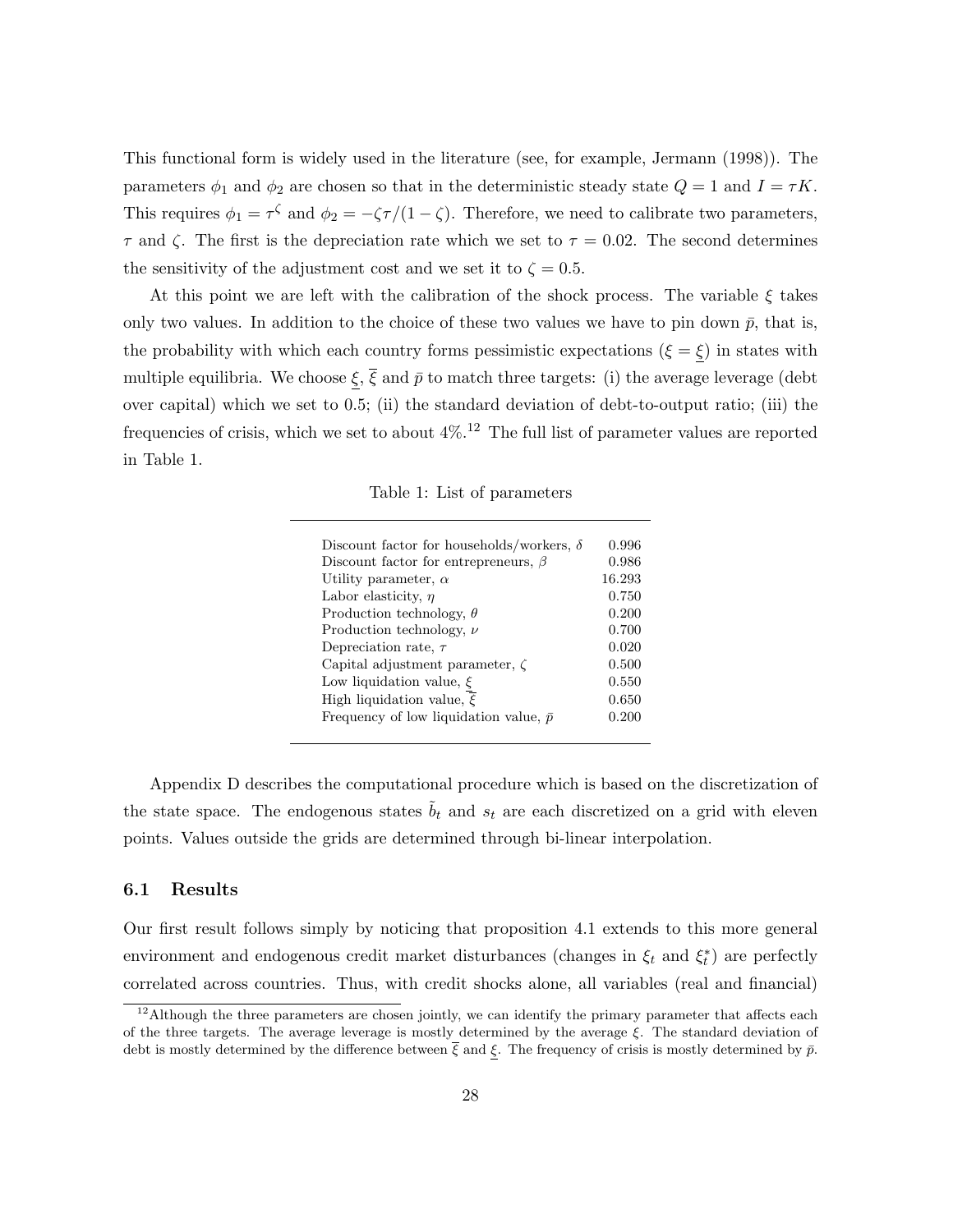This functional form is widely used in the literature (see, for example, Jermann (1998)). The parameters  $\phi_1$  and  $\phi_2$  are chosen so that in the deterministic steady state  $Q = 1$  and  $I = \tau K$ . This requires  $\phi_1 = \tau^{\zeta}$  and  $\phi_2 = -\zeta\tau/(1-\zeta)$ . Therefore, we need to calibrate two parameters,  $\tau$  and  $\zeta$ . The first is the depreciation rate which we set to  $\tau = 0.02$ . The second determines the sensitivity of the adjustment cost and we set it to  $\zeta = 0.5$ .

At this point we are left with the calibration of the shock process. The variable  $\xi$  takes only two values. In addition to the choice of these two values we have to pin down  $\bar{p}$ , that is, the probability with which each country forms pessimistic expectations ( $\xi = \xi$ ) in states with multiple equilibria. We choose  $\xi$ ,  $\overline{\xi}$  and  $\overline{p}$  to match three targets: (i) the average leverage (debt over capital) which we set to 0.5; (ii) the standard deviation of debt-to-output ratio; (iii) the frequencies of crisis, which we set to about  $4\%$ .<sup>12</sup> The full list of parameter values are reported in Table 1.

Table 1: List of parameters

| Discount factor for households/workers, $\delta$ | 0.996  |
|--------------------------------------------------|--------|
|                                                  |        |
| Discount factor for entrepreneurs, $\beta$       | 0.986  |
| Utility parameter, $\alpha$                      | 16.293 |
| Labor elasticity, $\eta$                         | 0.750  |
| Production technology, $\theta$                  | 0.200  |
| Production technology, $\nu$                     | 0.700  |
| Depreciation rate, $\tau$                        | 0.020  |
| Capital adjustment parameter, $\zeta$            | 0.500  |
| Low liquidation value, $\xi$                     | 0.550  |
| High liquidation value, $\overline{\xi}$         | 0.650  |
| Frequency of low liquidation value, $\bar{p}$    | 0.200  |

Appendix D describes the computational procedure which is based on the discretization of the state space. The endogenous states  $\tilde{b}_t$  and  $s_t$  are each discretized on a grid with eleven points. Values outside the grids are determined through bi-linear interpolation.

#### 6.1 Results

Our first result follows simply by noticing that proposition 4.1 extends to this more general environment and endogenous credit market disturbances (changes in  $\xi_t$  and  $\xi_t^*$ ) are perfectly correlated across countries. Thus, with credit shocks alone, all variables (real and financial)

<sup>&</sup>lt;sup>12</sup>Although the three parameters are chosen jointly, we can identify the primary parameter that affects each of the three targets. The average leverage is mostly determined by the average  $\xi$ . The standard deviation of debt is mostly determined by the difference between  $\bar{\xi}$  and  $\xi$ . The frequency of crisis is mostly determined by  $\bar{p}$ .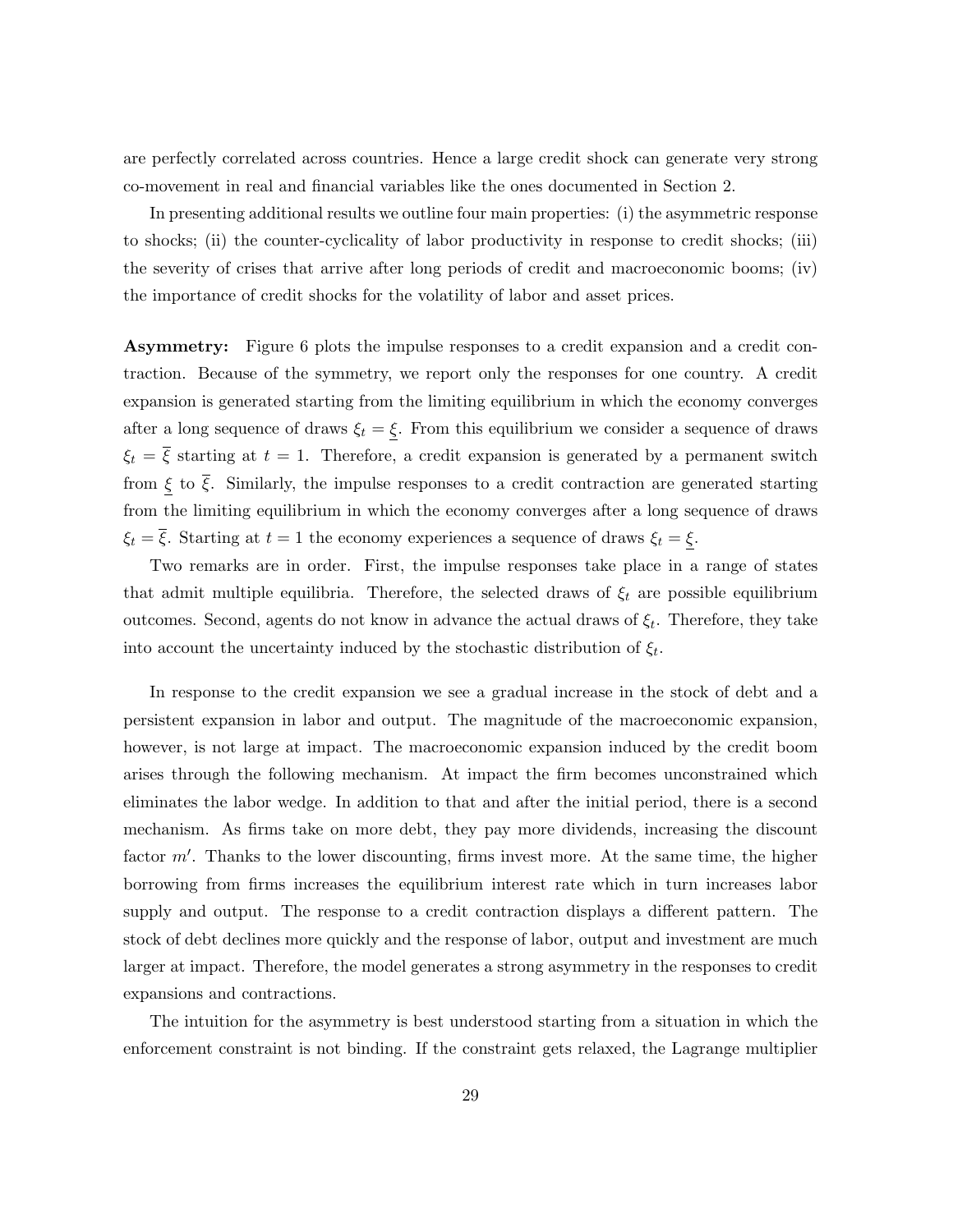are perfectly correlated across countries. Hence a large credit shock can generate very strong co-movement in real and financial variables like the ones documented in Section 2.

In presenting additional results we outline four main properties: (i) the asymmetric response to shocks; (ii) the counter-cyclicality of labor productivity in response to credit shocks; (iii) the severity of crises that arrive after long periods of credit and macroeconomic booms; (iv) the importance of credit shocks for the volatility of labor and asset prices.

Asymmetry: Figure 6 plots the impulse responses to a credit expansion and a credit contraction. Because of the symmetry, we report only the responses for one country. A credit expansion is generated starting from the limiting equilibrium in which the economy converges after a long sequence of draws  $\xi_t = \xi$ . From this equilibrium we consider a sequence of draws  $\xi_t = \overline{\xi}$  starting at  $t = 1$ . Therefore, a credit expansion is generated by a permanent switch from  $\xi$  to  $\overline{\xi}$ . Similarly, the impulse responses to a credit contraction are generated starting from the limiting equilibrium in which the economy converges after a long sequence of draws  $\xi_t = \overline{\xi}$ . Starting at  $t = 1$  the economy experiences a sequence of draws  $\xi_t = \underline{\xi}$ .

Two remarks are in order. First, the impulse responses take place in a range of states that admit multiple equilibria. Therefore, the selected draws of  $\xi_t$  are possible equilibrium outcomes. Second, agents do not know in advance the actual draws of  $\xi_t$ . Therefore, they take into account the uncertainty induced by the stochastic distribution of  $\xi_t$ .

In response to the credit expansion we see a gradual increase in the stock of debt and a persistent expansion in labor and output. The magnitude of the macroeconomic expansion, however, is not large at impact. The macroeconomic expansion induced by the credit boom arises through the following mechanism. At impact the firm becomes unconstrained which eliminates the labor wedge. In addition to that and after the initial period, there is a second mechanism. As firms take on more debt, they pay more dividends, increasing the discount factor  $m'$ . Thanks to the lower discounting, firms invest more. At the same time, the higher borrowing from firms increases the equilibrium interest rate which in turn increases labor supply and output. The response to a credit contraction displays a different pattern. The stock of debt declines more quickly and the response of labor, output and investment are much larger at impact. Therefore, the model generates a strong asymmetry in the responses to credit expansions and contractions.

The intuition for the asymmetry is best understood starting from a situation in which the enforcement constraint is not binding. If the constraint gets relaxed, the Lagrange multiplier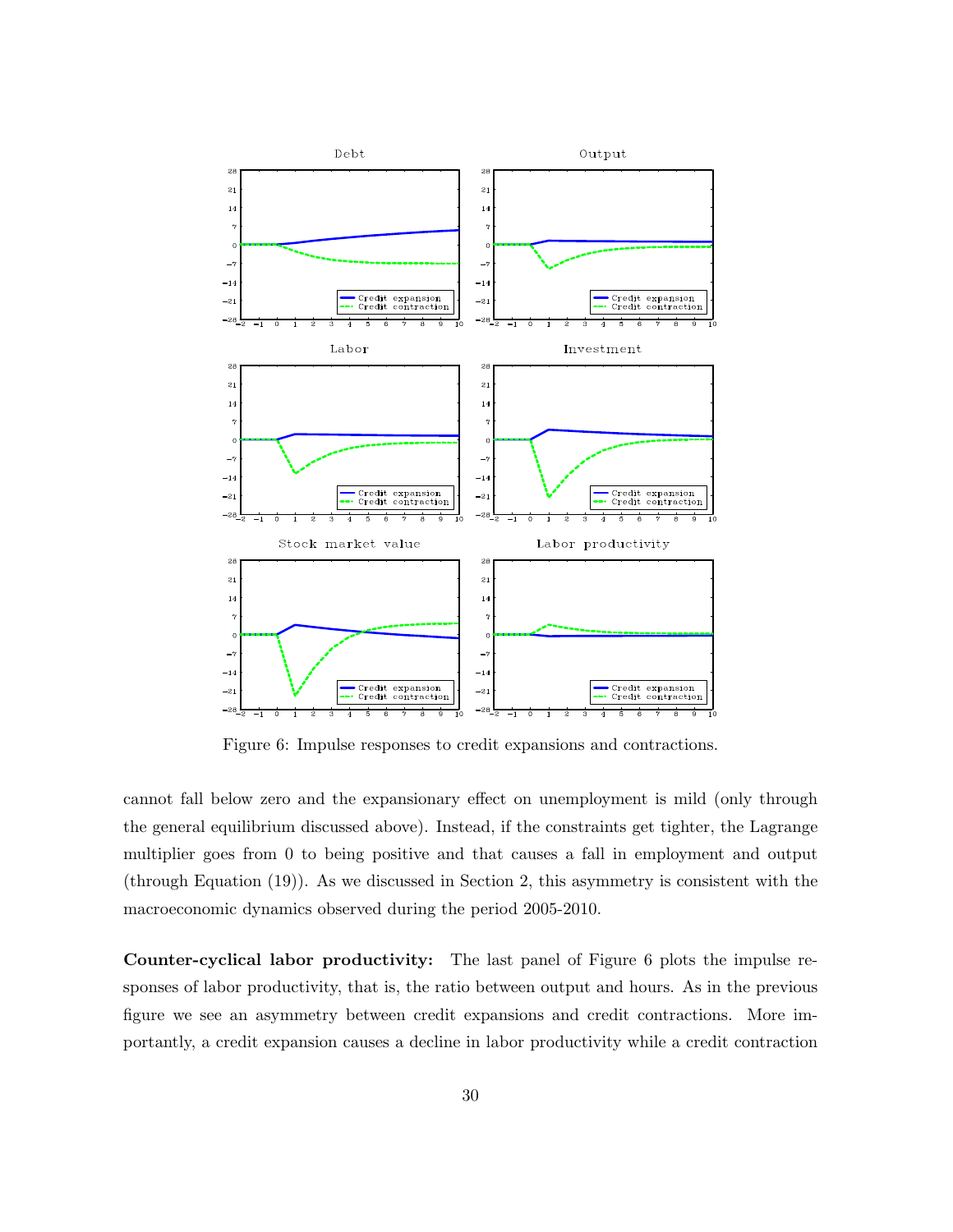

Figure 6: Impulse responses to credit expansions and contractions.

cannot fall below zero and the expansionary effect on unemployment is mild (only through the general equilibrium discussed above). Instead, if the constraints get tighter, the Lagrange multiplier goes from 0 to being positive and that causes a fall in employment and output (through Equation (19)). As we discussed in Section 2, this asymmetry is consistent with the macroeconomic dynamics observed during the period 2005-2010.

Counter-cyclical labor productivity: The last panel of Figure 6 plots the impulse responses of labor productivity, that is, the ratio between output and hours. As in the previous figure we see an asymmetry between credit expansions and credit contractions. More importantly, a credit expansion causes a decline in labor productivity while a credit contraction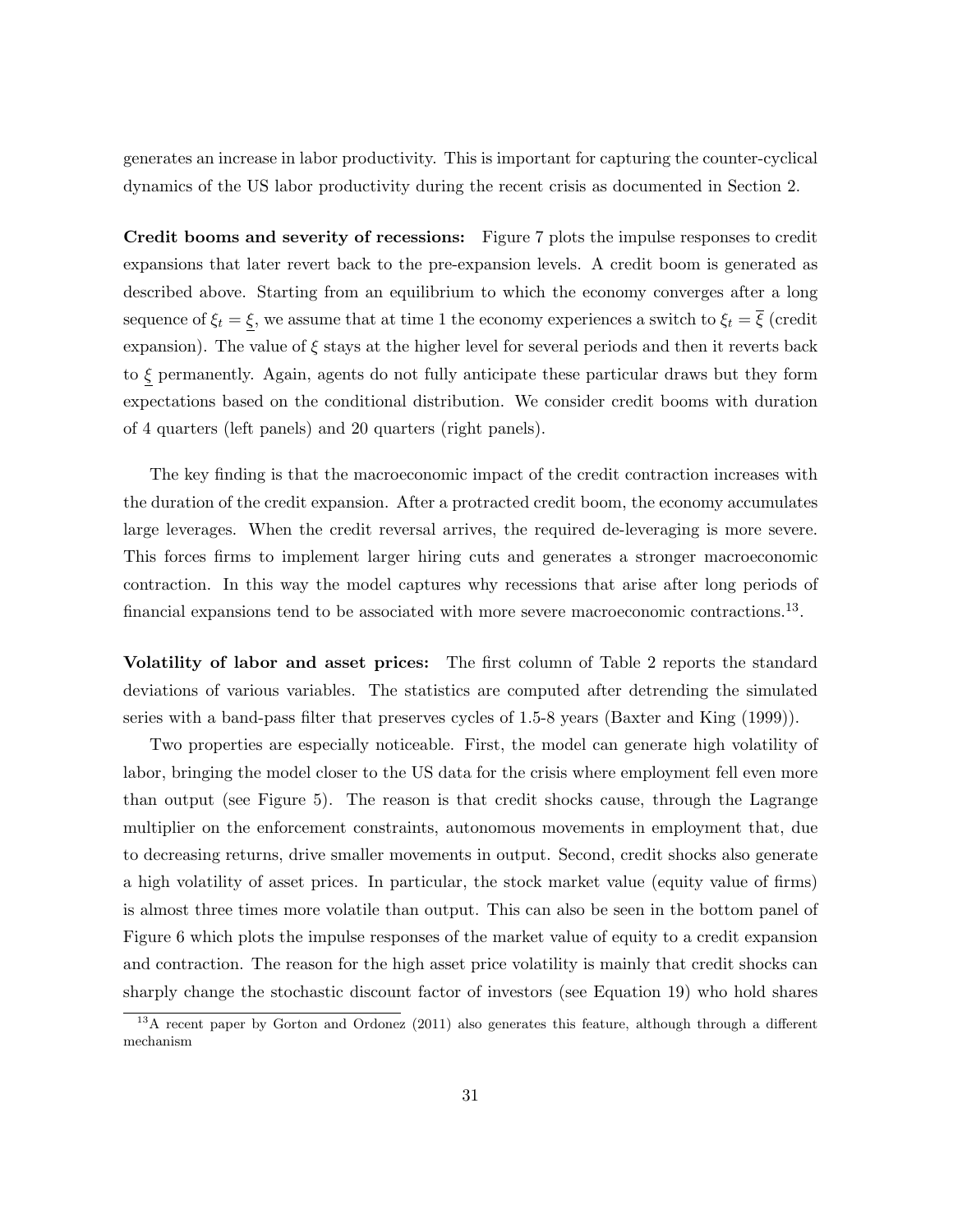generates an increase in labor productivity. This is important for capturing the counter-cyclical dynamics of the US labor productivity during the recent crisis as documented in Section 2.

Credit booms and severity of recessions: Figure 7 plots the impulse responses to credit expansions that later revert back to the pre-expansion levels. A credit boom is generated as described above. Starting from an equilibrium to which the economy converges after a long sequence of  $\xi_t = \xi$ , we assume that at time 1 the economy experiences a switch to  $\xi_t = \overline{\xi}$  (credit expansion). The value of  $\xi$  stays at the higher level for several periods and then it reverts back to  $\xi$  permanently. Again, agents do not fully anticipate these particular draws but they form expectations based on the conditional distribution. We consider credit booms with duration of 4 quarters (left panels) and 20 quarters (right panels).

The key finding is that the macroeconomic impact of the credit contraction increases with the duration of the credit expansion. After a protracted credit boom, the economy accumulates large leverages. When the credit reversal arrives, the required de-leveraging is more severe. This forces firms to implement larger hiring cuts and generates a stronger macroeconomic contraction. In this way the model captures why recessions that arise after long periods of financial expansions tend to be associated with more severe macroeconomic contractions.<sup>13</sup>.

Volatility of labor and asset prices: The first column of Table 2 reports the standard deviations of various variables. The statistics are computed after detrending the simulated series with a band-pass filter that preserves cycles of 1.5-8 years (Baxter and King (1999)).

Two properties are especially noticeable. First, the model can generate high volatility of labor, bringing the model closer to the US data for the crisis where employment fell even more than output (see Figure 5). The reason is that credit shocks cause, through the Lagrange multiplier on the enforcement constraints, autonomous movements in employment that, due to decreasing returns, drive smaller movements in output. Second, credit shocks also generate a high volatility of asset prices. In particular, the stock market value (equity value of firms) is almost three times more volatile than output. This can also be seen in the bottom panel of Figure 6 which plots the impulse responses of the market value of equity to a credit expansion and contraction. The reason for the high asset price volatility is mainly that credit shocks can sharply change the stochastic discount factor of investors (see Equation 19) who hold shares

<sup>&</sup>lt;sup>13</sup>A recent paper by Gorton and Ordonez (2011) also generates this feature, although through a different mechanism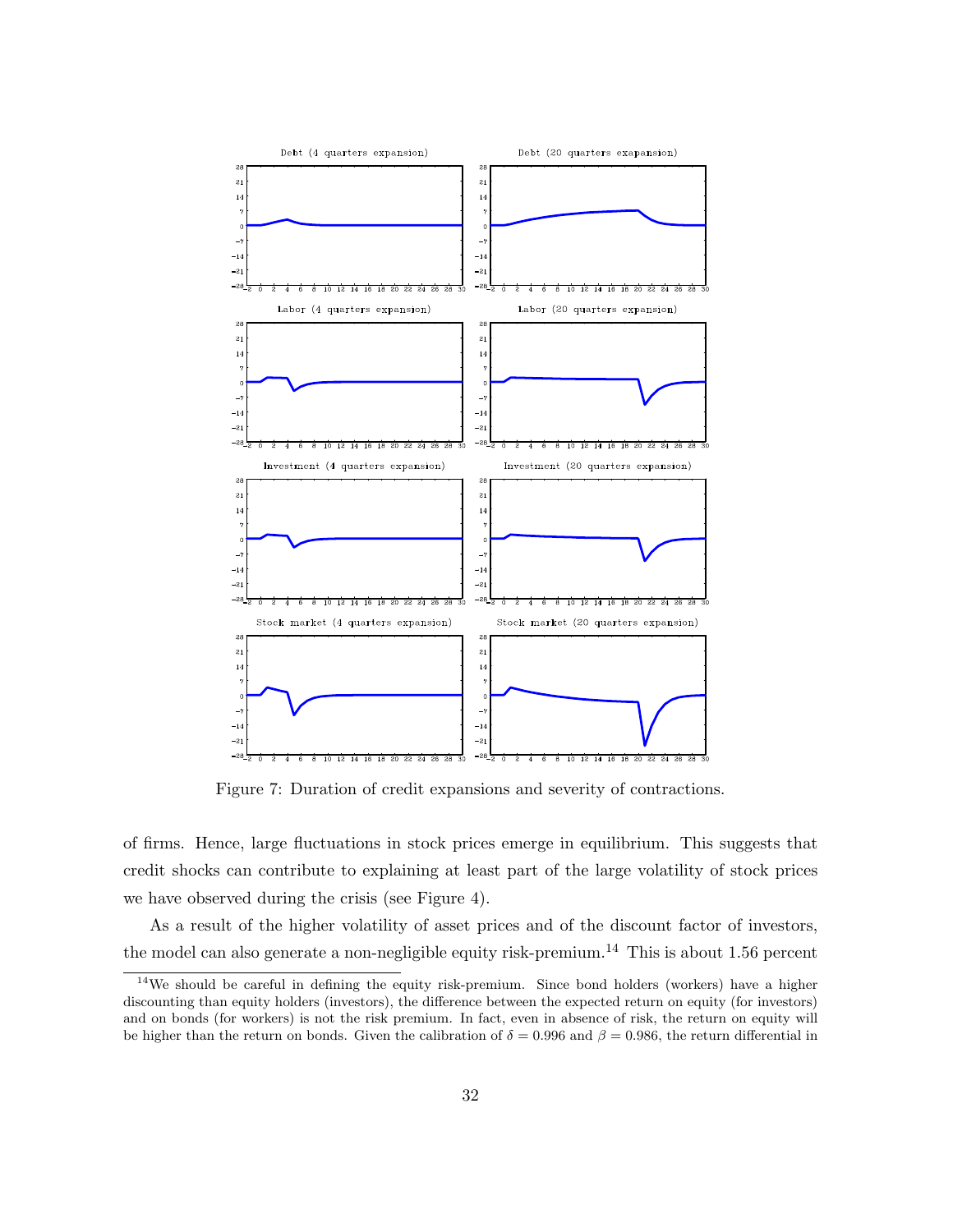

Figure 7: Duration of credit expansions and severity of contractions.

of firms. Hence, large fluctuations in stock prices emerge in equilibrium. This suggests that credit shocks can contribute to explaining at least part of the large volatility of stock prices we have observed during the crisis (see Figure 4).

As a result of the higher volatility of asset prices and of the discount factor of investors, the model can also generate a non-negligible equity risk-premium.<sup>14</sup> This is about 1.56 percent

<sup>&</sup>lt;sup>14</sup>We should be careful in defining the equity risk-premium. Since bond holders (workers) have a higher discounting than equity holders (investors), the difference between the expected return on equity (for investors) and on bonds (for workers) is not the risk premium. In fact, even in absence of risk, the return on equity will be higher than the return on bonds. Given the calibration of  $\delta = 0.996$  and  $\beta = 0.986$ , the return differential in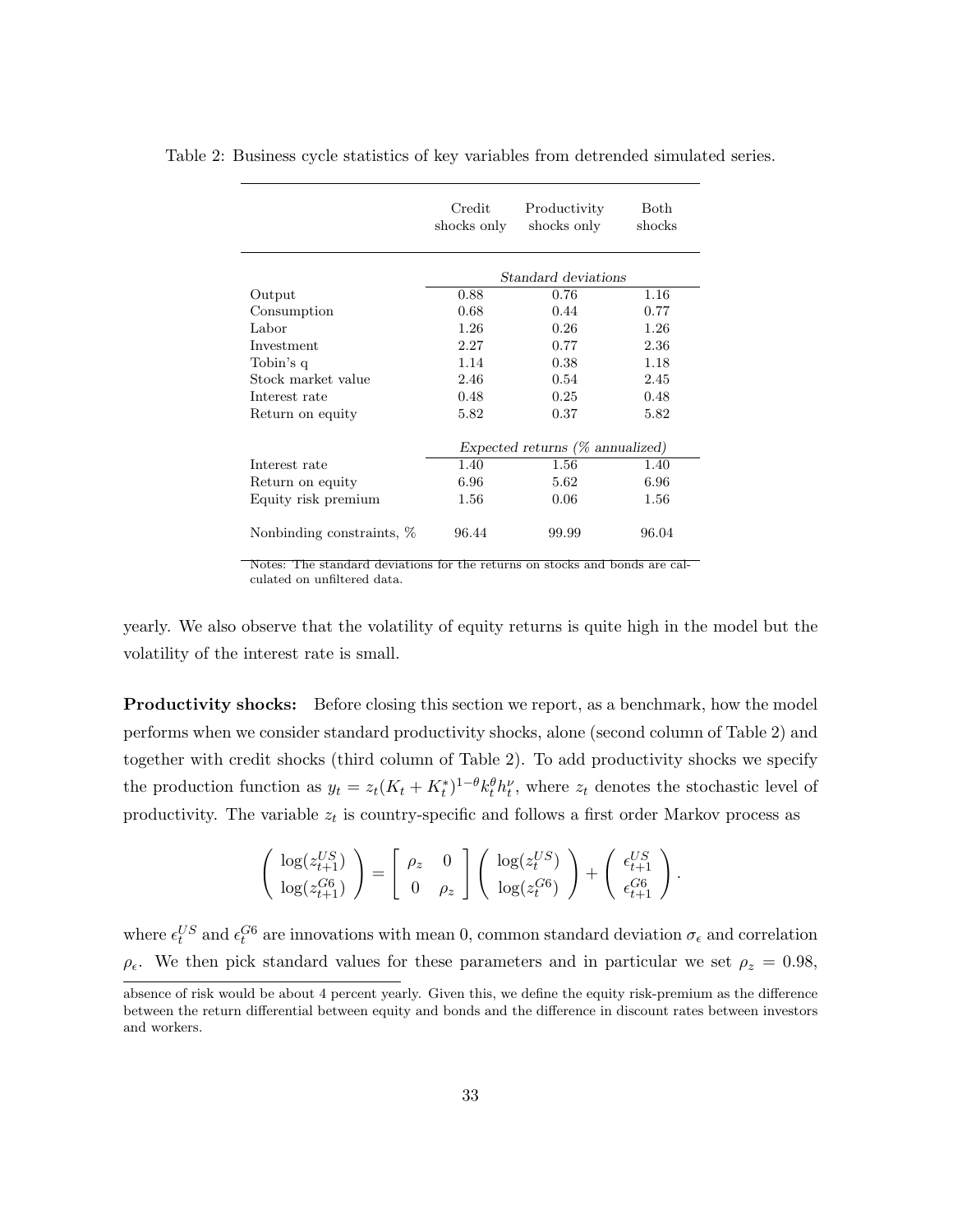|                           | Credit<br>shocks only              | Productivity<br>shocks only | <b>Both</b><br>shocks |
|---------------------------|------------------------------------|-----------------------------|-----------------------|
|                           | Standard deviations                |                             |                       |
| Output                    | 0.88                               | 0.76                        | 1.16                  |
| Consumption               | 0.68                               | 0.44                        | 0.77                  |
| Labor                     | 1.26                               | 0.26                        | 1.26                  |
| Investment                | 2.27                               | 0.77                        | 2.36                  |
| Tobin's q                 | 1.14                               | 0.38                        | 1.18                  |
| Stock market value        | 2.46                               | 0.54                        | 2.45                  |
| Interest rate             | 0.48                               | 0.25                        | 0.48                  |
| Return on equity          | 5.82                               | 0.37                        | 5.82                  |
|                           | Expected returns $(\%$ annualized) |                             |                       |
| Interest rate             | 1.40                               | 1.56                        | 1.40                  |
| Return on equity          | 6.96                               | 5.62                        | 6.96                  |
| Equity risk premium       | 1.56                               | 0.06                        | 1.56                  |
| Nonbinding constraints, % | 96.44                              | 99.99                       | 96.04                 |

Table 2: Business cycle statistics of key variables from detrended simulated series.

Notes: The standard deviations for the returns on stocks and bonds are calculated on unfiltered data.

yearly. We also observe that the volatility of equity returns is quite high in the model but the volatility of the interest rate is small.

**Productivity shocks:** Before closing this section we report, as a benchmark, how the model performs when we consider standard productivity shocks, alone (second column of Table 2) and together with credit shocks (third column of Table 2). To add productivity shocks we specify the production function as  $y_t = z_t (K_t + K_t^*)^{1-\theta} k_t^{\theta} h_t^{\nu}$ , where  $z_t$  denotes the stochastic level of productivity. The variable  $z_t$  is country-specific and follows a first order Markov process as

$$
\begin{pmatrix}\n\log(z_{t+1}^{US}) \\
\log(z_{t+1}^{G6})\n\end{pmatrix} = \begin{bmatrix}\n\rho_z & 0 \\
0 & \rho_z\n\end{bmatrix} \begin{pmatrix}\n\log(z_t^{US}) \\
\log(z_t^{G6})\n\end{pmatrix} + \begin{pmatrix}\n\epsilon_{t+1}^{US} \\
\epsilon_{t+1}^{G6}\n\end{pmatrix}.
$$

where  $\epsilon_t^{US}$  and  $\epsilon_t^{G6}$  are innovations with mean 0, common standard deviation  $\sigma_{\epsilon}$  and correlation  $\rho_{\epsilon}$ . We then pick standard values for these parameters and in particular we set  $\rho_{z} = 0.98$ ,

absence of risk would be about 4 percent yearly. Given this, we define the equity risk-premium as the difference between the return differential between equity and bonds and the difference in discount rates between investors and workers.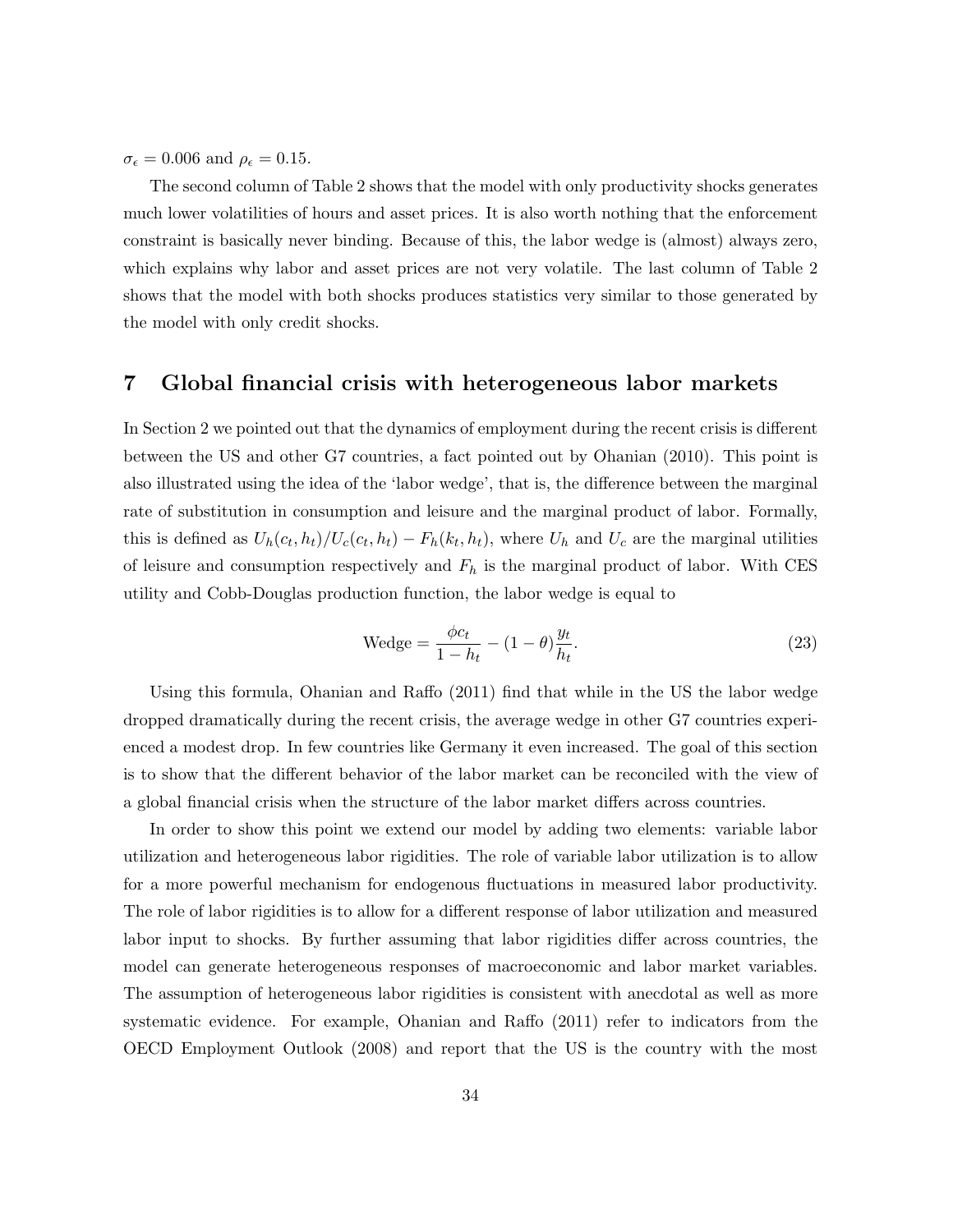$\sigma_{\epsilon} = 0.006$  and  $\rho_{\epsilon} = 0.15$ .

The second column of Table 2 shows that the model with only productivity shocks generates much lower volatilities of hours and asset prices. It is also worth nothing that the enforcement constraint is basically never binding. Because of this, the labor wedge is (almost) always zero, which explains why labor and asset prices are not very volatile. The last column of Table 2 shows that the model with both shocks produces statistics very similar to those generated by the model with only credit shocks.

### 7 Global financial crisis with heterogeneous labor markets

In Section 2 we pointed out that the dynamics of employment during the recent crisis is different between the US and other G7 countries, a fact pointed out by Ohanian (2010). This point is also illustrated using the idea of the 'labor wedge', that is, the difference between the marginal rate of substitution in consumption and leisure and the marginal product of labor. Formally, this is defined as  $U_h(c_t, h_t)/U_c(c_t, h_t) - F_h(k_t, h_t)$ , where  $U_h$  and  $U_c$  are the marginal utilities of leisure and consumption respectively and  $F_h$  is the marginal product of labor. With CES utility and Cobb-Douglas production function, the labor wedge is equal to

$$
Wedge = \frac{\phi c_t}{1 - h_t} - (1 - \theta) \frac{y_t}{h_t}.
$$
\n
$$
(23)
$$

Using this formula, Ohanian and Raffo (2011) find that while in the US the labor wedge dropped dramatically during the recent crisis, the average wedge in other G7 countries experienced a modest drop. In few countries like Germany it even increased. The goal of this section is to show that the different behavior of the labor market can be reconciled with the view of a global financial crisis when the structure of the labor market differs across countries.

In order to show this point we extend our model by adding two elements: variable labor utilization and heterogeneous labor rigidities. The role of variable labor utilization is to allow for a more powerful mechanism for endogenous fluctuations in measured labor productivity. The role of labor rigidities is to allow for a different response of labor utilization and measured labor input to shocks. By further assuming that labor rigidities differ across countries, the model can generate heterogeneous responses of macroeconomic and labor market variables. The assumption of heterogeneous labor rigidities is consistent with anecdotal as well as more systematic evidence. For example, Ohanian and Raffo (2011) refer to indicators from the OECD Employment Outlook (2008) and report that the US is the country with the most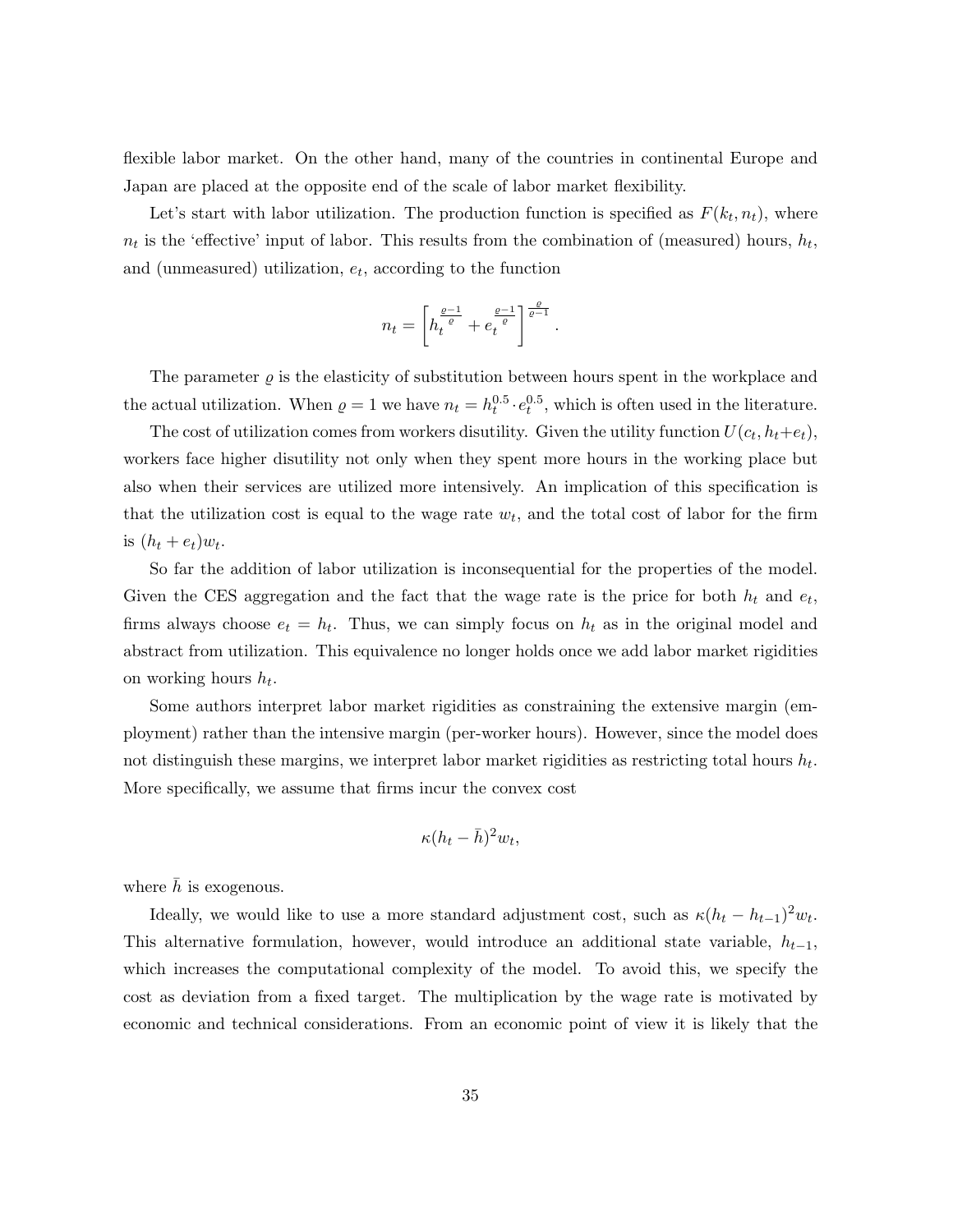flexible labor market. On the other hand, many of the countries in continental Europe and Japan are placed at the opposite end of the scale of labor market flexibility.

Let's start with labor utilization. The production function is specified as  $F(k_t, n_t)$ , where  $n_t$  is the 'effective' input of labor. This results from the combination of (measured) hours,  $h_t$ , and (unmeasured) utilization,  $e_t$ , according to the function

$$
n_t = \left[h_t^{\frac{\varrho-1}{e}} + e_t^{\frac{\varrho-1}{e}}\right]^{\frac{\varrho}{\varrho-1}}.
$$

The parameter  $\rho$  is the elasticity of substitution between hours spent in the workplace and the actual utilization. When  $\rho = 1$  we have  $n_t = h_t^{0.5} \cdot e_t^{0.5}$ , which is often used in the literature.

The cost of utilization comes from workers disutility. Given the utility function  $U(c_t, h_t + e_t)$ , workers face higher disutility not only when they spent more hours in the working place but also when their services are utilized more intensively. An implication of this specification is that the utilization cost is equal to the wage rate  $w_t$ , and the total cost of labor for the firm is  $(h_t + e_t)w_t$ .

So far the addition of labor utilization is inconsequential for the properties of the model. Given the CES aggregation and the fact that the wage rate is the price for both  $h_t$  and  $e_t$ , firms always choose  $e_t = h_t$ . Thus, we can simply focus on  $h_t$  as in the original model and abstract from utilization. This equivalence no longer holds once we add labor market rigidities on working hours  $h_t$ .

Some authors interpret labor market rigidities as constraining the extensive margin (employment) rather than the intensive margin (per-worker hours). However, since the model does not distinguish these margins, we interpret labor market rigidities as restricting total hours  $h_t$ . More specifically, we assume that firms incur the convex cost

$$
\kappa (h_t - \bar{h})^2 w_t,
$$

where  $\bar{h}$  is exogenous.

Ideally, we would like to use a more standard adjustment cost, such as  $\kappa (h_t - h_{t-1})^2 w_t$ . This alternative formulation, however, would introduce an additional state variable,  $h_{t-1}$ , which increases the computational complexity of the model. To avoid this, we specify the cost as deviation from a fixed target. The multiplication by the wage rate is motivated by economic and technical considerations. From an economic point of view it is likely that the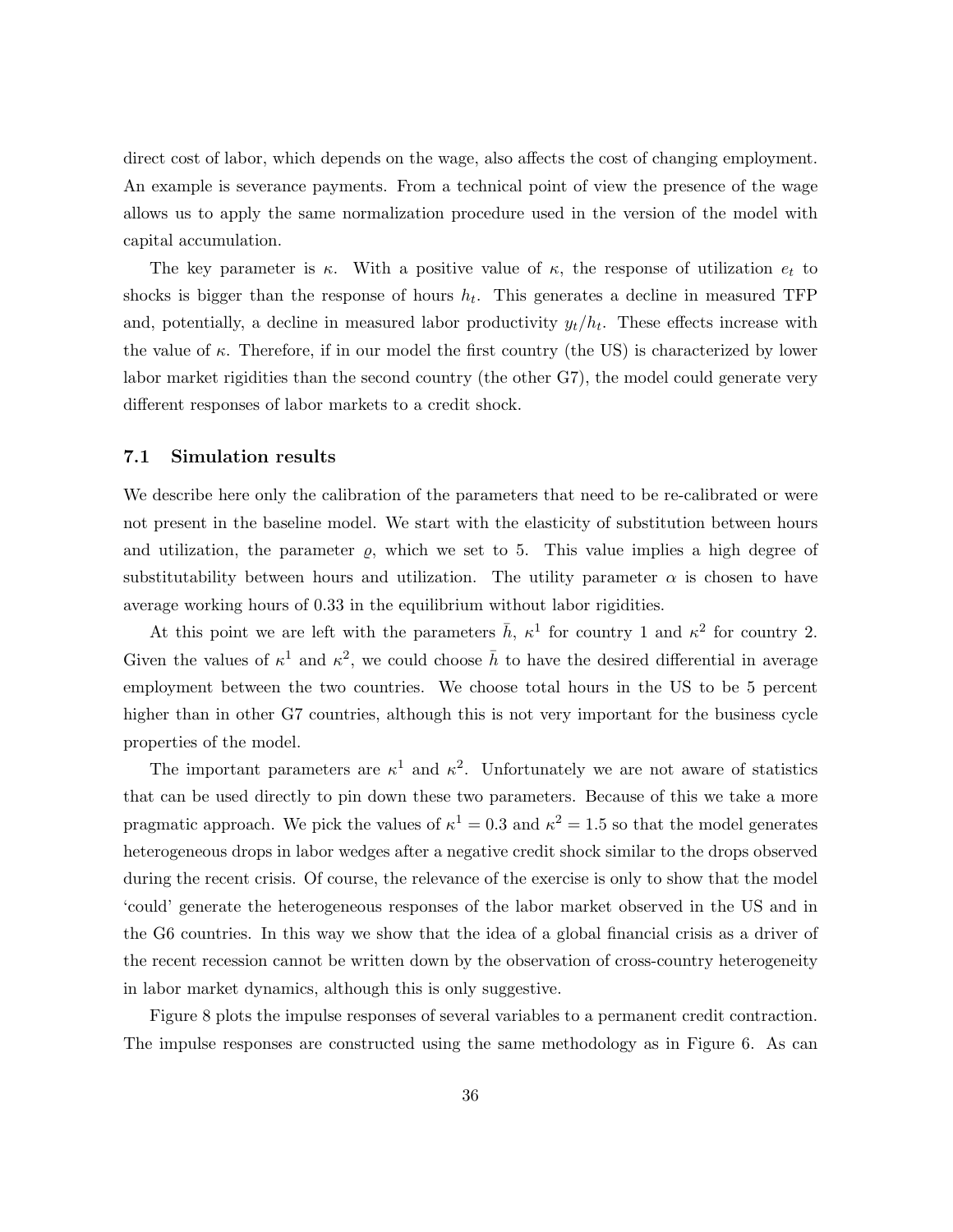direct cost of labor, which depends on the wage, also affects the cost of changing employment. An example is severance payments. From a technical point of view the presence of the wage allows us to apply the same normalization procedure used in the version of the model with capital accumulation.

The key parameter is  $\kappa$ . With a positive value of  $\kappa$ , the response of utilization  $e_t$  to shocks is bigger than the response of hours  $h_t$ . This generates a decline in measured TFP and, potentially, a decline in measured labor productivity  $y_t/h_t$ . These effects increase with the value of  $\kappa$ . Therefore, if in our model the first country (the US) is characterized by lower labor market rigidities than the second country (the other G7), the model could generate very different responses of labor markets to a credit shock.

#### 7.1 Simulation results

We describe here only the calibration of the parameters that need to be re-calibrated or were not present in the baseline model. We start with the elasticity of substitution between hours and utilization, the parameter  $\rho$ , which we set to 5. This value implies a high degree of substitutability between hours and utilization. The utility parameter  $\alpha$  is chosen to have average working hours of 0.33 in the equilibrium without labor rigidities.

At this point we are left with the parameters  $\bar{h}$ ,  $\kappa^1$  for country 1 and  $\kappa^2$  for country 2. Given the values of  $\kappa^1$  and  $\kappa^2$ , we could choose  $\bar{h}$  to have the desired differential in average employment between the two countries. We choose total hours in the US to be 5 percent higher than in other G7 countries, although this is not very important for the business cycle properties of the model.

The important parameters are  $\kappa^1$  and  $\kappa^2$ . Unfortunately we are not aware of statistics that can be used directly to pin down these two parameters. Because of this we take a more pragmatic approach. We pick the values of  $\kappa^1 = 0.3$  and  $\kappa^2 = 1.5$  so that the model generates heterogeneous drops in labor wedges after a negative credit shock similar to the drops observed during the recent crisis. Of course, the relevance of the exercise is only to show that the model 'could' generate the heterogeneous responses of the labor market observed in the US and in the G6 countries. In this way we show that the idea of a global financial crisis as a driver of the recent recession cannot be written down by the observation of cross-country heterogeneity in labor market dynamics, although this is only suggestive.

Figure 8 plots the impulse responses of several variables to a permanent credit contraction. The impulse responses are constructed using the same methodology as in Figure 6. As can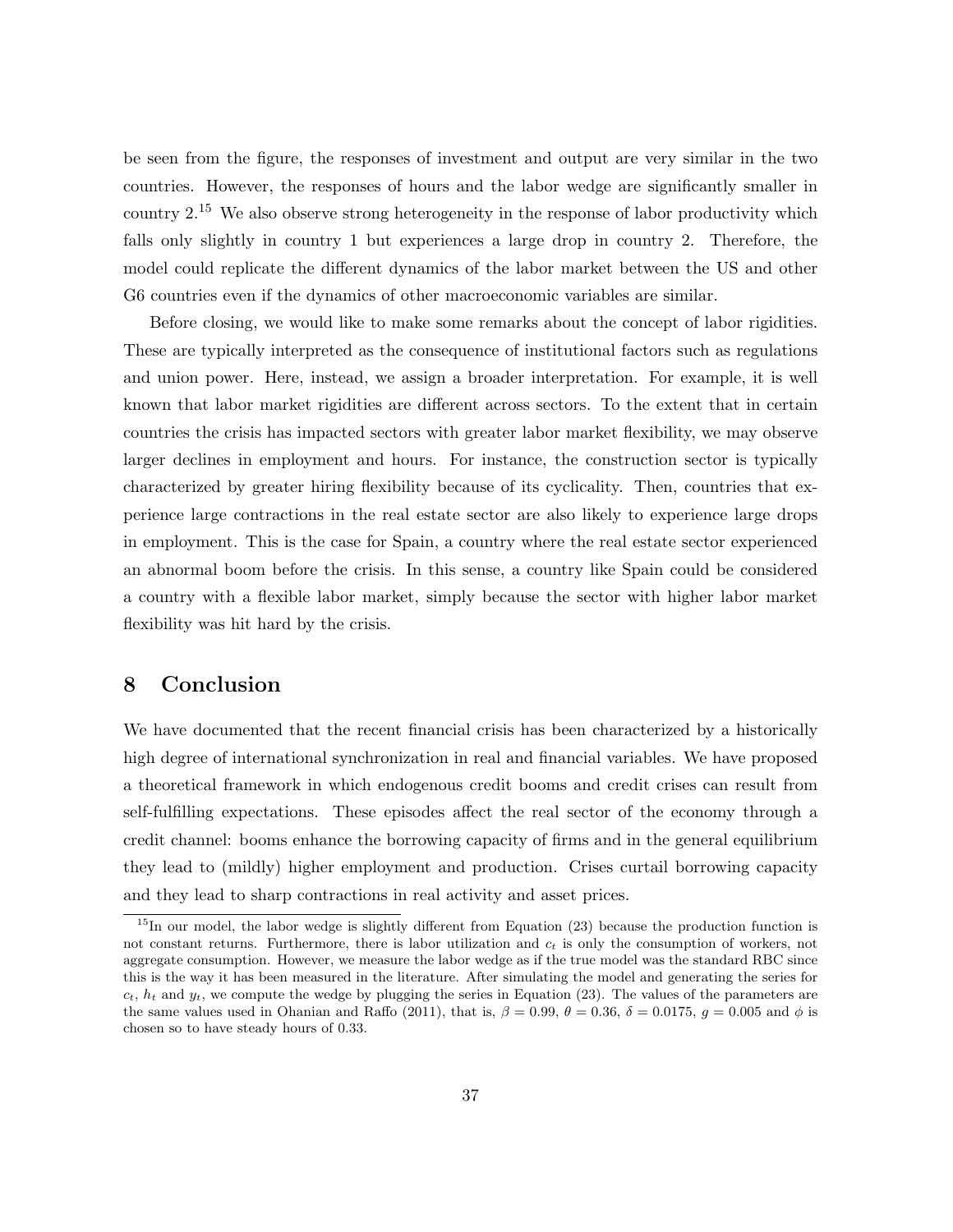be seen from the figure, the responses of investment and output are very similar in the two countries. However, the responses of hours and the labor wedge are significantly smaller in country 2.<sup>15</sup> We also observe strong heterogeneity in the response of labor productivity which falls only slightly in country 1 but experiences a large drop in country 2. Therefore, the model could replicate the different dynamics of the labor market between the US and other G6 countries even if the dynamics of other macroeconomic variables are similar.

Before closing, we would like to make some remarks about the concept of labor rigidities. These are typically interpreted as the consequence of institutional factors such as regulations and union power. Here, instead, we assign a broader interpretation. For example, it is well known that labor market rigidities are different across sectors. To the extent that in certain countries the crisis has impacted sectors with greater labor market flexibility, we may observe larger declines in employment and hours. For instance, the construction sector is typically characterized by greater hiring flexibility because of its cyclicality. Then, countries that experience large contractions in the real estate sector are also likely to experience large drops in employment. This is the case for Spain, a country where the real estate sector experienced an abnormal boom before the crisis. In this sense, a country like Spain could be considered a country with a flexible labor market, simply because the sector with higher labor market flexibility was hit hard by the crisis.

## 8 Conclusion

We have documented that the recent financial crisis has been characterized by a historically high degree of international synchronization in real and financial variables. We have proposed a theoretical framework in which endogenous credit booms and credit crises can result from self-fulfilling expectations. These episodes affect the real sector of the economy through a credit channel: booms enhance the borrowing capacity of firms and in the general equilibrium they lead to (mildly) higher employment and production. Crises curtail borrowing capacity and they lead to sharp contractions in real activity and asset prices.

<sup>&</sup>lt;sup>15</sup>In our model, the labor wedge is slightly different from Equation (23) because the production function is not constant returns. Furthermore, there is labor utilization and  $c_t$  is only the consumption of workers, not aggregate consumption. However, we measure the labor wedge as if the true model was the standard RBC since this is the way it has been measured in the literature. After simulating the model and generating the series for  $c_t$ ,  $h_t$  and  $y_t$ , we compute the wedge by plugging the series in Equation (23). The values of the parameters are the same values used in Ohanian and Raffo (2011), that is,  $\beta = 0.99$ ,  $\theta = 0.36$ ,  $\delta = 0.0175$ ,  $q = 0.005$  and  $\phi$  is chosen so to have steady hours of 0.33.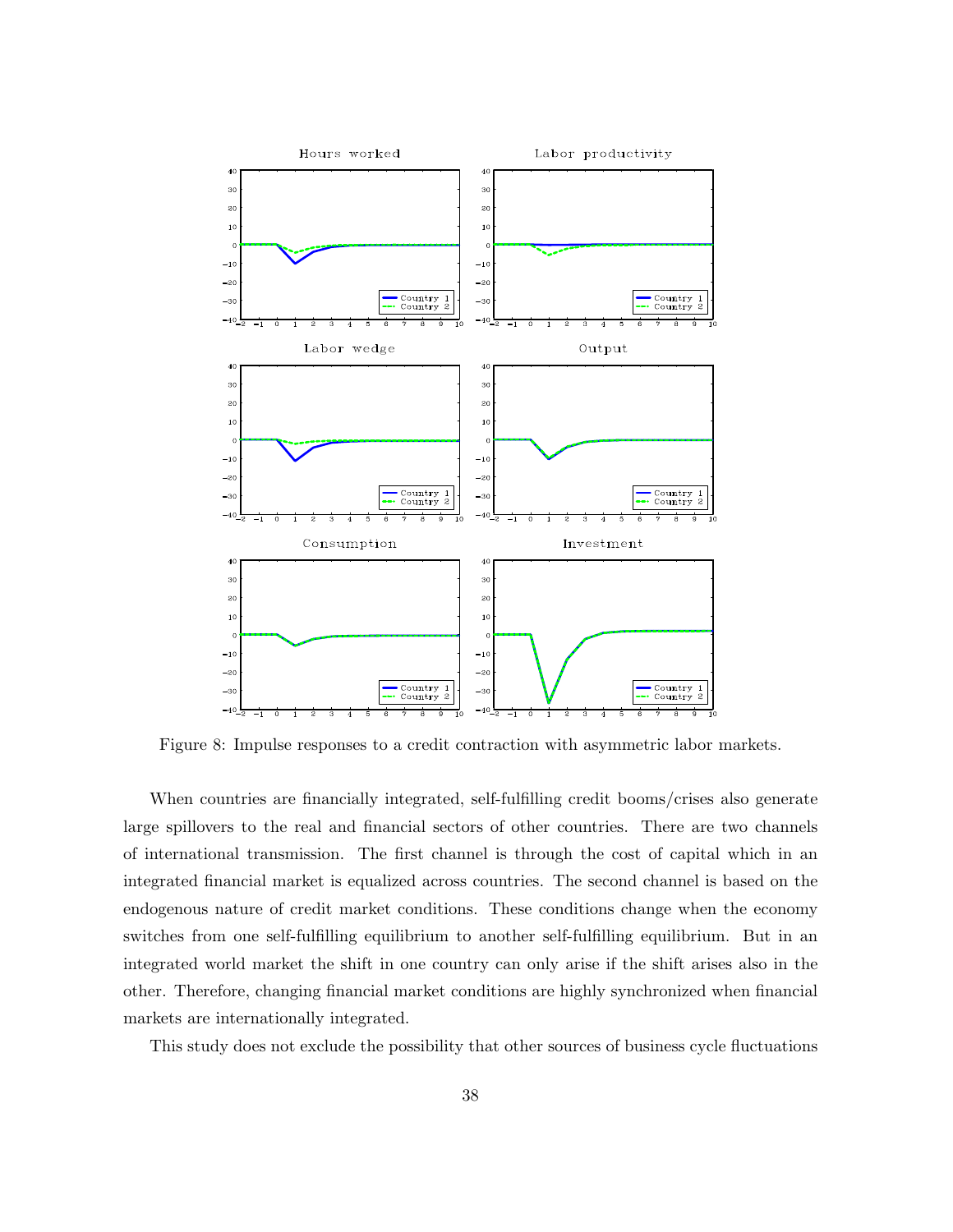

Figure 8: Impulse responses to a credit contraction with asymmetric labor markets.

When countries are financially integrated, self-fulfilling credit booms/crises also generate large spillovers to the real and financial sectors of other countries. There are two channels of international transmission. The first channel is through the cost of capital which in an integrated financial market is equalized across countries. The second channel is based on the endogenous nature of credit market conditions. These conditions change when the economy switches from one self-fulfilling equilibrium to another self-fulfilling equilibrium. But in an integrated world market the shift in one country can only arise if the shift arises also in the other. Therefore, changing financial market conditions are highly synchronized when financial markets are internationally integrated.

This study does not exclude the possibility that other sources of business cycle fluctuations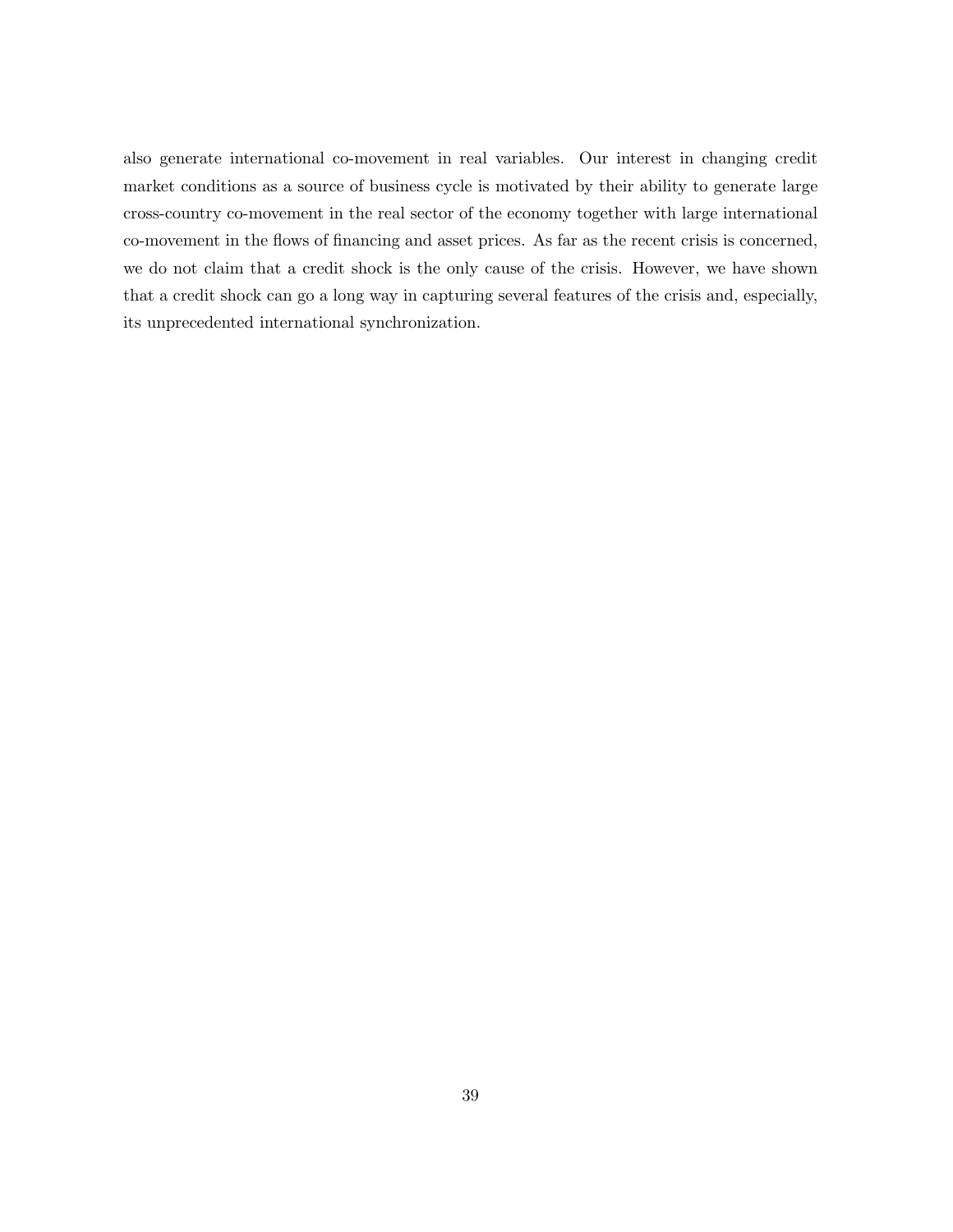also generate international co-movement in real variables. Our interest in changing credit market conditions as a source of business cycle is motivated by their ability to generate large cross-country co-movement in the real sector of the economy together with large international co-movement in the flows of financing and asset prices. As far as the recent crisis is concerned, we do not claim that a credit shock is the only cause of the crisis. However, we have shown that a credit shock can go a long way in capturing several features of the crisis and, especially, its unprecedented international synchronization.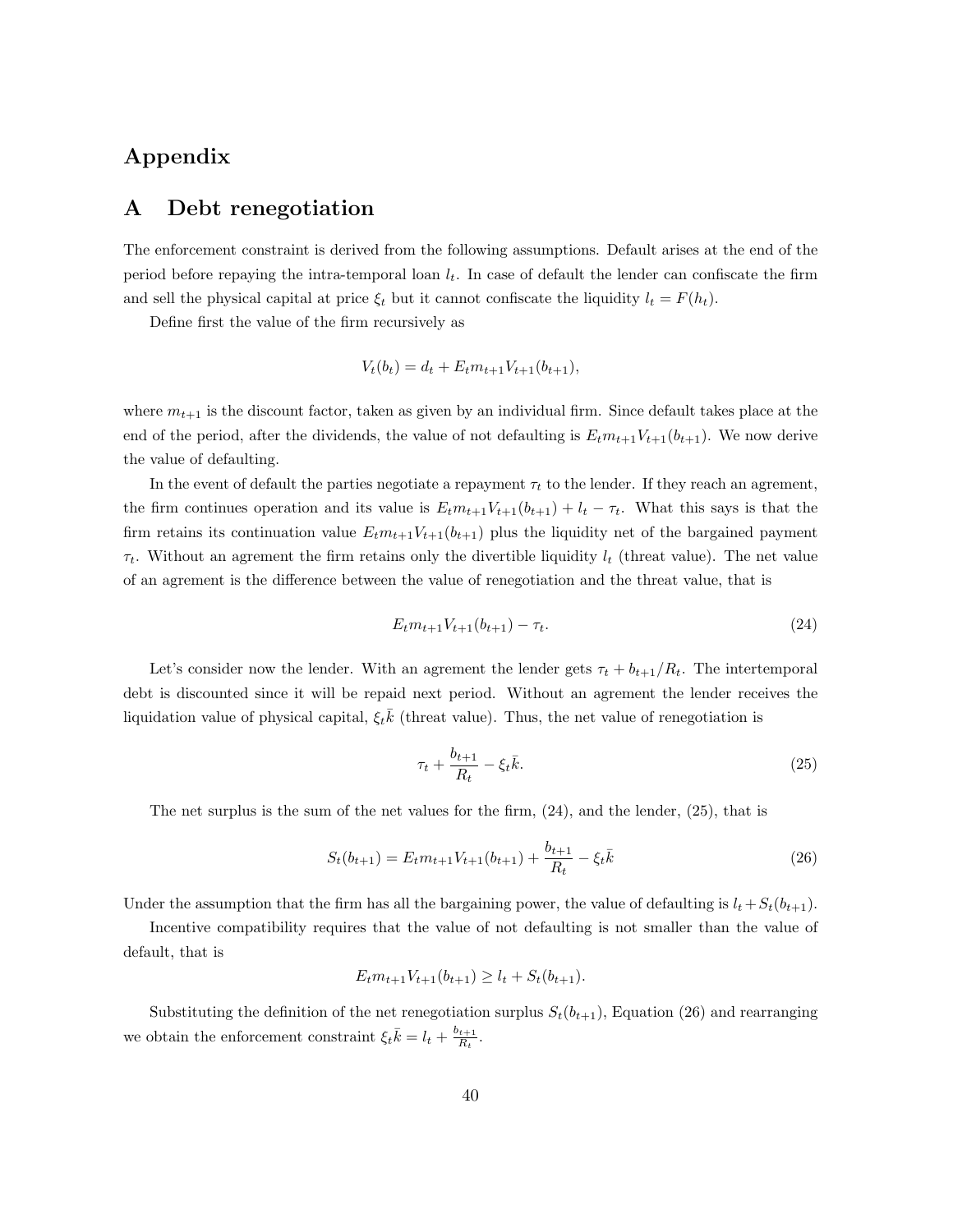# Appendix

### A Debt renegotiation

The enforcement constraint is derived from the following assumptions. Default arises at the end of the period before repaying the intra-temporal loan  $l_t$ . In case of default the lender can confiscate the firm and sell the physical capital at price  $\xi_t$  but it cannot confiscate the liquidity  $l_t = F(h_t)$ .

Define first the value of the firm recursively as

$$
V_t(b_t) = d_t + E_t m_{t+1} V_{t+1}(b_{t+1}),
$$

where  $m_{t+1}$  is the discount factor, taken as given by an individual firm. Since default takes place at the end of the period, after the dividends, the value of not defaulting is  $E_t m_{t+1} V_{t+1}(b_{t+1})$ . We now derive the value of defaulting.

In the event of default the parties negotiate a repayment  $\tau_t$  to the lender. If they reach an agrement, the firm continues operation and its value is  $E_t m_{t+1} V_{t+1}(b_{t+1}) + l_t - \tau_t$ . What this says is that the firm retains its continuation value  $E_t m_{t+1} V_{t+1}(b_{t+1})$  plus the liquidity net of the bargained payment  $\tau_t$ . Without an agrement the firm retains only the divertible liquidity  $l_t$  (threat value). The net value of an agrement is the difference between the value of renegotiation and the threat value, that is

$$
E_t m_{t+1} V_{t+1}(b_{t+1}) - \tau_t.
$$
\n(24)

Let's consider now the lender. With an agreemnt the lender gets  $\tau_t + b_{t+1}/R_t$ . The intertemporal debt is discounted since it will be repaid next period. Without an agrement the lender receives the liquidation value of physical capital,  $\xi_t \bar{k}$  (threat value). Thus, the net value of renegotiation is

$$
\tau_t + \frac{b_{t+1}}{R_t} - \xi_t \bar{k}.\tag{25}
$$

The net surplus is the sum of the net values for the firm, (24), and the lender, (25), that is

$$
S_t(b_{t+1}) = E_t m_{t+1} V_{t+1}(b_{t+1}) + \frac{b_{t+1}}{R_t} - \xi_t \bar{k}
$$
\n(26)

Under the assumption that the firm has all the bargaining power, the value of defaulting is  $l_t + S_t(b_{t+1})$ .

Incentive compatibility requires that the value of not defaulting is not smaller than the value of default, that is

$$
E_t m_{t+1} V_{t+1}(b_{t+1}) \ge l_t + S_t(b_{t+1}).
$$

Substituting the definition of the net renegotiation surplus  $S_t(b_{t+1})$ , Equation (26) and rearranging we obtain the enforcement constraint  $\xi_t \overline{k} = l_t + \frac{b_{t+1}}{B_t}$  $\frac{t+1}{R_t}$ .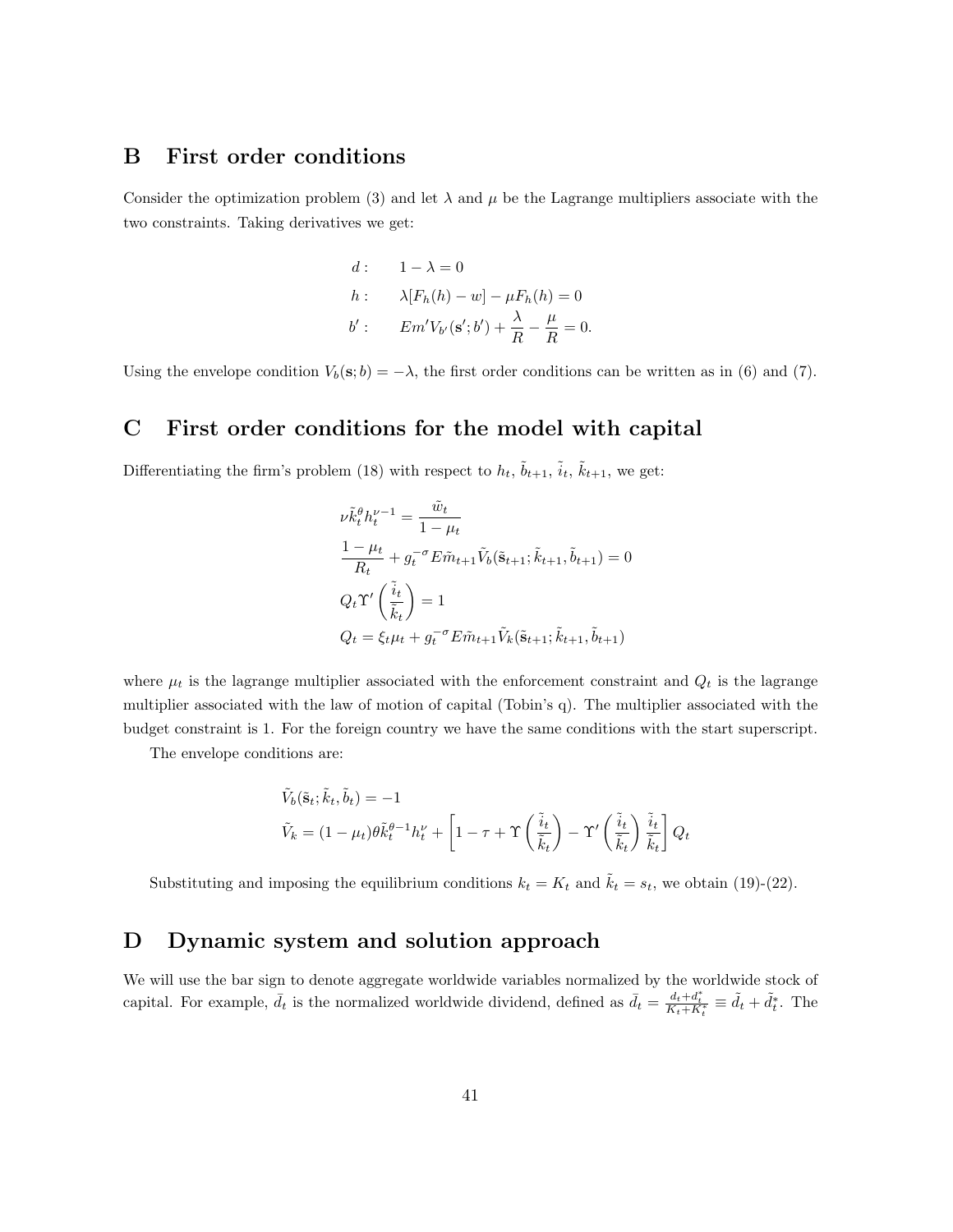# B First order conditions

Consider the optimization problem (3) and let  $\lambda$  and  $\mu$  be the Lagrange multipliers associate with the two constraints. Taking derivatives we get:

$$
d: \t1 - \lambda = 0
$$
  
\n
$$
h: \t\lambda [F_h(h) - w] - \mu F_h(h) = 0
$$
  
\n
$$
b': \tEm'V_{b'}(\mathbf{s}'; b') + \frac{\lambda}{R} - \frac{\mu}{R} = 0.
$$

Using the envelope condition  $V_b(\mathbf{s}; b) = -\lambda$ , the first order conditions can be written as in (6) and (7).

# C First order conditions for the model with capital

Differentiating the firm's problem (18) with respect to  $h_t$ ,  $\tilde{b}_{t+1}$ ,  $\tilde{i}_t$ ,  $\tilde{k}_{t+1}$ , we get:

$$
\nu \tilde{k}_t^{\theta} h_t^{\nu-1} = \frac{\tilde{w}_t}{1 - \mu_t}
$$
\n
$$
\frac{1 - \mu_t}{R_t} + g_t^{-\sigma} E \tilde{m}_{t+1} \tilde{V}_b(\tilde{\mathbf{s}}_{t+1}; \tilde{k}_{t+1}, \tilde{b}_{t+1}) = 0
$$
\n
$$
Q_t \Upsilon' \left(\frac{\tilde{i}_t}{\tilde{k}_t}\right) = 1
$$
\n
$$
Q_t = \xi_t \mu_t + g_t^{-\sigma} E \tilde{m}_{t+1} \tilde{V}_k(\tilde{\mathbf{s}}_{t+1}; \tilde{k}_{t+1}, \tilde{b}_{t+1})
$$

where  $\mu_t$  is the lagrange multiplier associated with the enforcement constraint and  $Q_t$  is the lagrange multiplier associated with the law of motion of capital (Tobin's q). The multiplier associated with the budget constraint is 1. For the foreign country we have the same conditions with the start superscript.

The envelope conditions are:

$$
\tilde{V}_b(\tilde{\mathbf{s}}_t; \tilde{k}_t, \tilde{b}_t) = -1
$$
\n
$$
\tilde{V}_k = (1 - \mu_t)\theta \tilde{k}_t^{\theta - 1} h_t^{\nu} + \left[1 - \tau + \Upsilon \left(\frac{\tilde{i}_t}{\tilde{k}_t}\right) - \Upsilon' \left(\frac{\tilde{i}_t}{\tilde{k}_t}\right) \frac{\tilde{i}_t}{\tilde{k}_t}\right] Q_t
$$

Substituting and imposing the equilibrium conditions  $k_t = K_t$  and  $\tilde{k}_t = s_t$ , we obtain (19)-(22).

# D Dynamic system and solution approach

We will use the bar sign to denote aggregate worldwide variables normalized by the worldwide stock of capital. For example,  $\bar{d}_t$  is the normalized worldwide dividend, defined as  $\bar{d}_t = \frac{d_t + d_t^*}{K_t + K_t^*} \equiv \tilde{d}_t + \tilde{d}_t^*$ . The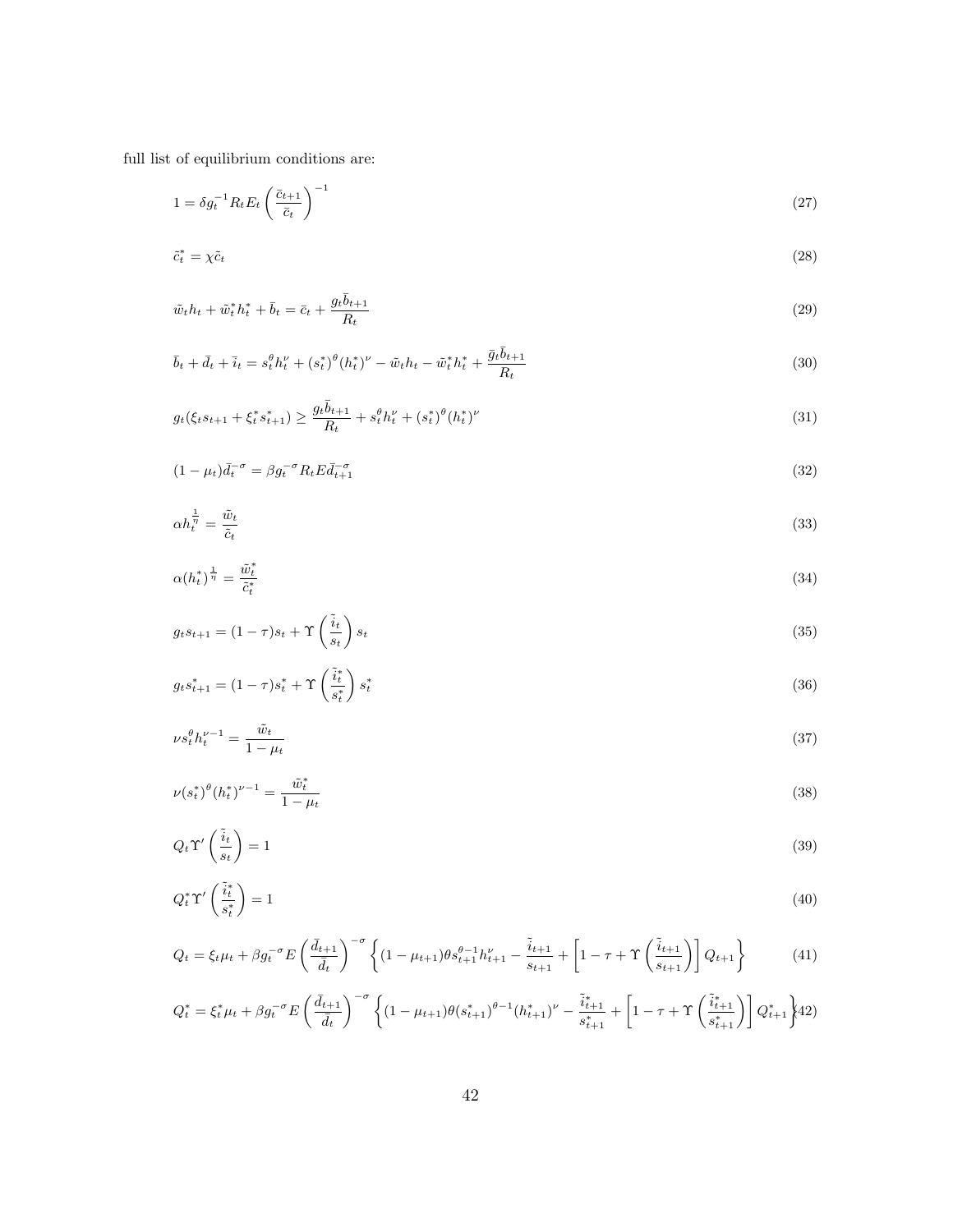full list of equilibrium conditions are:

$$
1 = \delta g_t^{-1} R_t E_t \left(\frac{\bar{c}_{t+1}}{\bar{c}_t}\right)^{-1} \tag{27}
$$

$$
\tilde{c}_t^* = \chi \tilde{c}_t \tag{28}
$$

$$
\tilde{w}_t h_t + \tilde{w}_t^* h_t^* + \bar{b}_t = \bar{c}_t + \frac{g_t \bar{b}_{t+1}}{R_t} \tag{29}
$$

$$
\bar{b}_t + \bar{d}_t + \bar{i}_t = s_t^{\theta} h_t^{\nu} + (s_t^*)^{\theta} (h_t^*)^{\nu} - \tilde{w}_t h_t - \tilde{w}_t^* h_t^* + \frac{\bar{g}_t \bar{b}_{t+1}}{R_t}
$$
\n(30)

$$
g_t(\xi_t s_{t+1} + \xi_t^* s_{t+1}^*) \ge \frac{g_t \bar{b}_{t+1}}{R_t} + s_t^{\theta} h_t^{\nu} + (s_t^*)^{\theta} (h_t^*)^{\nu}
$$
\n(31)

$$
(1 - \mu_t)\overline{d_t}^{\sigma} = \beta g_t^{\sigma} R_t E \overline{d_{t+1}}^{\sigma} \tag{32}
$$

$$
\alpha h_t^{\frac{1}{\eta}} = \frac{\tilde{w}_t}{\tilde{c}_t} \tag{33}
$$

$$
\alpha(h_t^*)^{\frac{1}{\eta}} = \frac{\tilde{w}_t^*}{\tilde{c}_t^*} \tag{34}
$$

$$
g_t s_{t+1} = (1 - \tau)s_t + \Upsilon \left(\frac{\tilde{i}_t}{s_t}\right) s_t \tag{35}
$$

$$
g_t s_{t+1}^* = (1 - \tau) s_t^* + \Upsilon \left(\frac{\tilde{i}_t^*}{s_t^*}\right) s_t^* \tag{36}
$$

$$
\nu s_t^{\theta} h_t^{\nu - 1} = \frac{\tilde{w}_t}{1 - \mu_t} \tag{37}
$$

$$
\nu(s_t^*)^{\theta}(h_t^*)^{\nu-1} = \frac{\tilde{w}_t^*}{1 - \mu_t}
$$
\n(38)

$$
Q_t \Upsilon' \left(\frac{\tilde{i}_t}{s_t}\right) = 1\tag{39}
$$

$$
Q_t^* \Upsilon' \left(\frac{\tilde{i}_t^*}{s_t^*}\right) = 1\tag{40}
$$

$$
Q_t = \xi_t \mu_t + \beta g_t^{-\sigma} E\left(\frac{\bar{d}_{t+1}}{\bar{d}_t}\right)^{-\sigma} \left\{ (1 - \mu_{t+1}) \theta s_{t+1}^{\theta - 1} h_{t+1}^{\nu} - \frac{\tilde{i}_{t+1}}{s_{t+1}} + \left[1 - \tau + \Upsilon \left(\frac{\tilde{i}_{t+1}}{s_{t+1}}\right) \right] Q_{t+1} \right\}
$$
(41)

$$
Q_t^* = \xi_t^* \mu_t + \beta g_t^{-\sigma} E\left(\frac{\bar{d}_{t+1}}{\bar{d}_t}\right)^{-\sigma} \left\{ (1 - \mu_{t+1}) \theta(s_{t+1}^*)^{\theta - 1} (h_{t+1}^*)^{\nu} - \frac{\tilde{i}_{t+1}^*}{s_{t+1}^*} + \left[1 - \tau + \Upsilon \left(\frac{\tilde{i}_{t+1}^*}{s_{t+1}^*}\right) \right] Q_{t+1}^* \right\} 42)
$$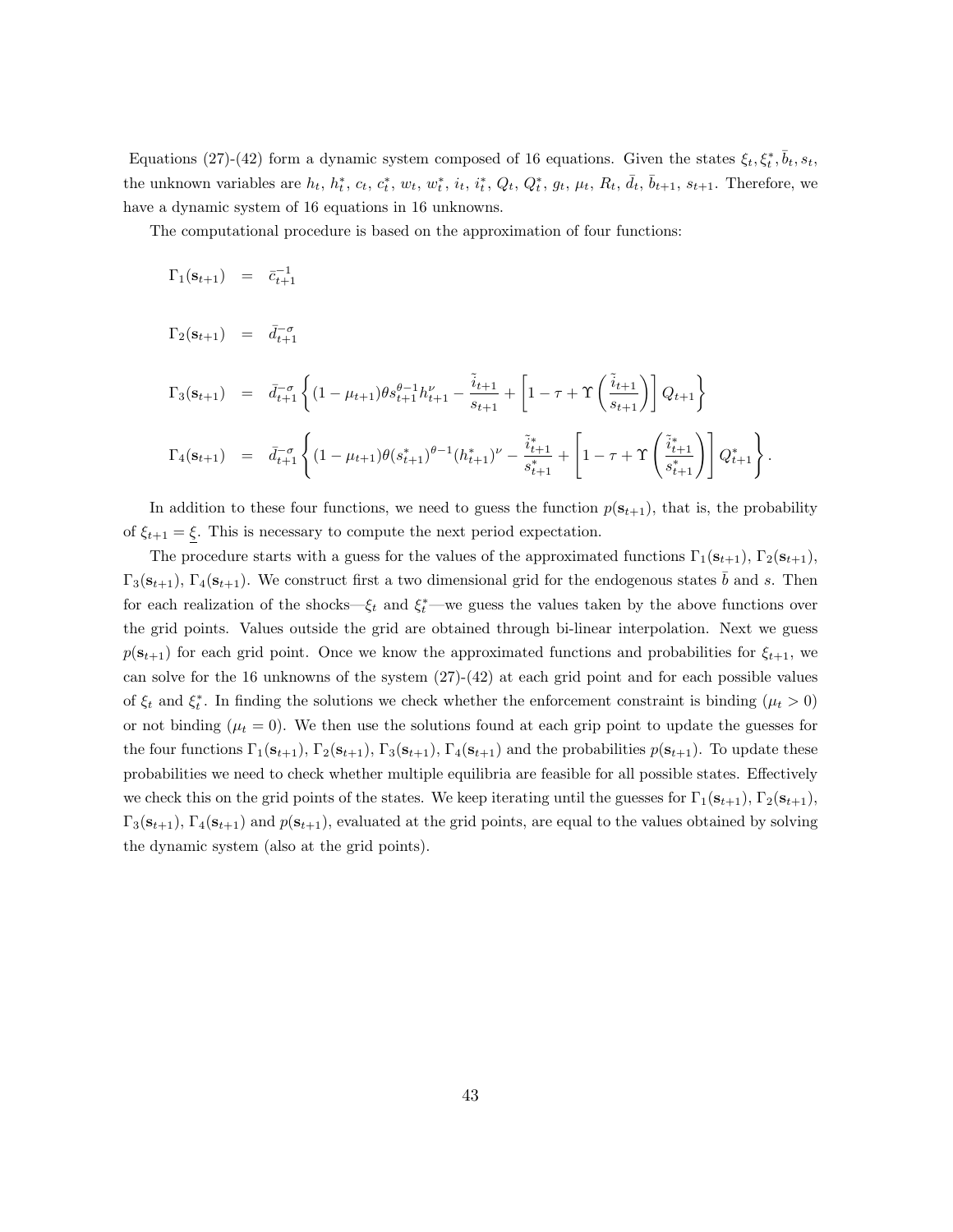Equations (27)-(42) form a dynamic system composed of 16 equations. Given the states  $\xi_t, \xi_t^*, \bar{b}_t, s_t$ , the unknown variables are  $h_t$ ,  $h_t^*$ ,  $c_t$ ,  $c_t^*$ ,  $w_t$ ,  $w_t^*$ ,  $i_t$ ,  $i_t^*$ ,  $Q_t$ ,  $Q_t^*$ ,  $g_t$ ,  $\mu_t$ ,  $R_t$ ,  $\bar{d}_t$ ,  $\bar{b}_{t+1}$ ,  $s_{t+1}$ . Therefore, we have a dynamic system of 16 equations in 16 unknowns.

The computational procedure is based on the approximation of four functions:

 $\Gamma_1({\bf s}_{t+1}) = \bar{c}_{t+1}^{-1}$ 

$$
\Gamma_2(\mathbf{s}_{t+1}) = \bar{d}_{t+1}^{-\sigma}
$$

$$
\Gamma_3(\mathbf{s}_{t+1}) = \bar{d}_{t+1}^{-\sigma} \left\{ (1 - \mu_{t+1}) \theta s_{t+1}^{\theta - 1} h_{t+1}^{\nu} - \frac{\tilde{i}_{t+1}}{s_{t+1}} + \left[ 1 - \tau + \Upsilon \left( \frac{\tilde{i}_{t+1}}{s_{t+1}} \right) \right] Q_{t+1} \right\}
$$
  

$$
\Gamma_4(\mathbf{s}_{t+1}) = \bar{d}_{t+1}^{-\sigma} \left\{ (1 - \mu_{t+1}) \theta (s_{t+1}^*)^{\theta - 1} (h_{t+1}^*)^{\nu} - \frac{\tilde{i}_{t+1}^*}{s_{t+1}^*} + \left[ 1 - \tau + \Upsilon \left( \frac{\tilde{i}_{t+1}^*}{s_{t+1}^*} \right) \right] Q_{t+1}^* \right\}.
$$

In addition to these four functions, we need to guess the function  $p(s_{t+1})$ , that is, the probability of  $\xi_{t+1} = \xi$ . This is necessary to compute the next period expectation.

The procedure starts with a guess for the values of the approximated functions  $\Gamma_1(\mathbf{s}_{t+1}), \Gamma_2(\mathbf{s}_{t+1}),$  $\Gamma_3(\mathbf{s}_{t+1}), \Gamma_4(\mathbf{s}_{t+1}).$  We construct first a two dimensional grid for the endogenous states b and s. Then for each realization of the shocks— $\xi_t$  and  $\xi_t^*$ —we guess the values taken by the above functions over the grid points. Values outside the grid are obtained through bi-linear interpolation. Next we guess  $p(\mathbf{s}_{t+1})$  for each grid point. Once we know the approximated functions and probabilities for  $\xi_{t+1}$ , we can solve for the 16 unknowns of the system (27)-(42) at each grid point and for each possible values of  $\xi_t$  and  $\xi_t^*$ . In finding the solutions we check whether the enforcement constraint is binding  $(\mu_t > 0)$ or not binding  $(\mu_t = 0)$ . We then use the solutions found at each grip point to update the guesses for the four functions  $\Gamma_1(\mathbf{s}_{t+1}), \Gamma_2(\mathbf{s}_{t+1}), \Gamma_3(\mathbf{s}_{t+1}), \Gamma_4(\mathbf{s}_{t+1})$  and the probabilities  $p(\mathbf{s}_{t+1})$ . To update these probabilities we need to check whether multiple equilibria are feasible for all possible states. Effectively we check this on the grid points of the states. We keep iterating until the guesses for  $\Gamma_1(\mathbf{s}_{t+1}), \Gamma_2(\mathbf{s}_{t+1}),$  $\Gamma_3(\mathbf{s}_{t+1}), \Gamma_4(\mathbf{s}_{t+1})$  and  $p(\mathbf{s}_{t+1}),$  evaluated at the grid points, are equal to the values obtained by solving the dynamic system (also at the grid points).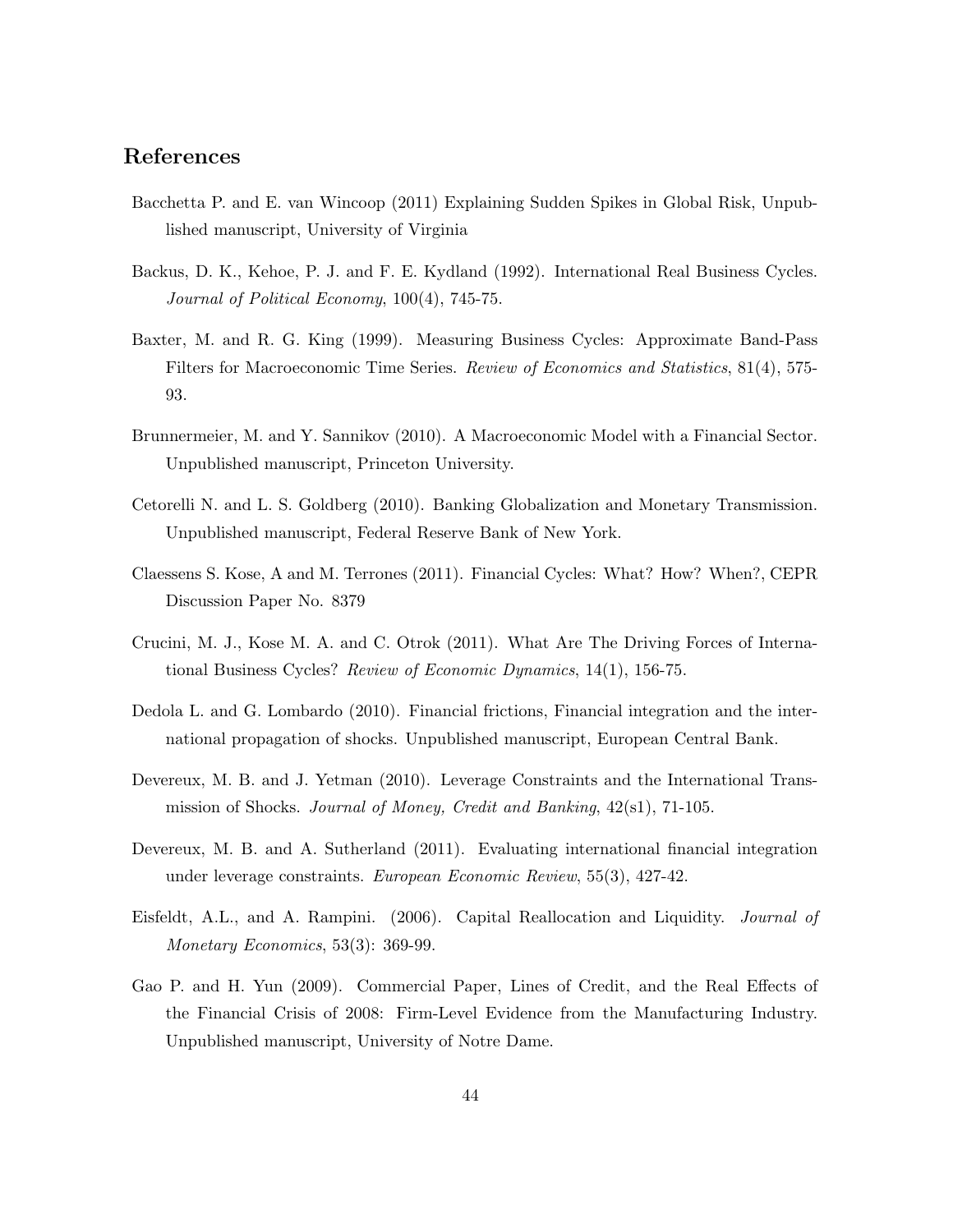# References

- Bacchetta P. and E. van Wincoop (2011) Explaining Sudden Spikes in Global Risk, Unpublished manuscript, University of Virginia
- Backus, D. K., Kehoe, P. J. and F. E. Kydland (1992). International Real Business Cycles. Journal of Political Economy, 100(4), 745-75.
- Baxter, M. and R. G. King (1999). Measuring Business Cycles: Approximate Band-Pass Filters for Macroeconomic Time Series. *Review of Economics and Statistics*, 81(4), 575-93.
- Brunnermeier, M. and Y. Sannikov (2010). A Macroeconomic Model with a Financial Sector. Unpublished manuscript, Princeton University.
- Cetorelli N. and L. S. Goldberg (2010). Banking Globalization and Monetary Transmission. Unpublished manuscript, Federal Reserve Bank of New York.
- Claessens S. Kose, A and M. Terrones (2011). Financial Cycles: What? How? When?, CEPR Discussion Paper No. 8379
- Crucini, M. J., Kose M. A. and C. Otrok (2011). What Are The Driving Forces of International Business Cycles? Review of Economic Dynamics, 14(1), 156-75.
- Dedola L. and G. Lombardo (2010). Financial frictions, Financial integration and the international propagation of shocks. Unpublished manuscript, European Central Bank.
- Devereux, M. B. and J. Yetman (2010). Leverage Constraints and the International Transmission of Shocks. Journal of Money, Credit and Banking, 42(s1), 71-105.
- Devereux, M. B. and A. Sutherland (2011). Evaluating international financial integration under leverage constraints. European Economic Review, 55(3), 427-42.
- Eisfeldt, A.L., and A. Rampini. (2006). Capital Reallocation and Liquidity. Journal of Monetary Economics, 53(3): 369-99.
- Gao P. and H. Yun (2009). Commercial Paper, Lines of Credit, and the Real Effects of the Financial Crisis of 2008: Firm-Level Evidence from the Manufacturing Industry. Unpublished manuscript, University of Notre Dame.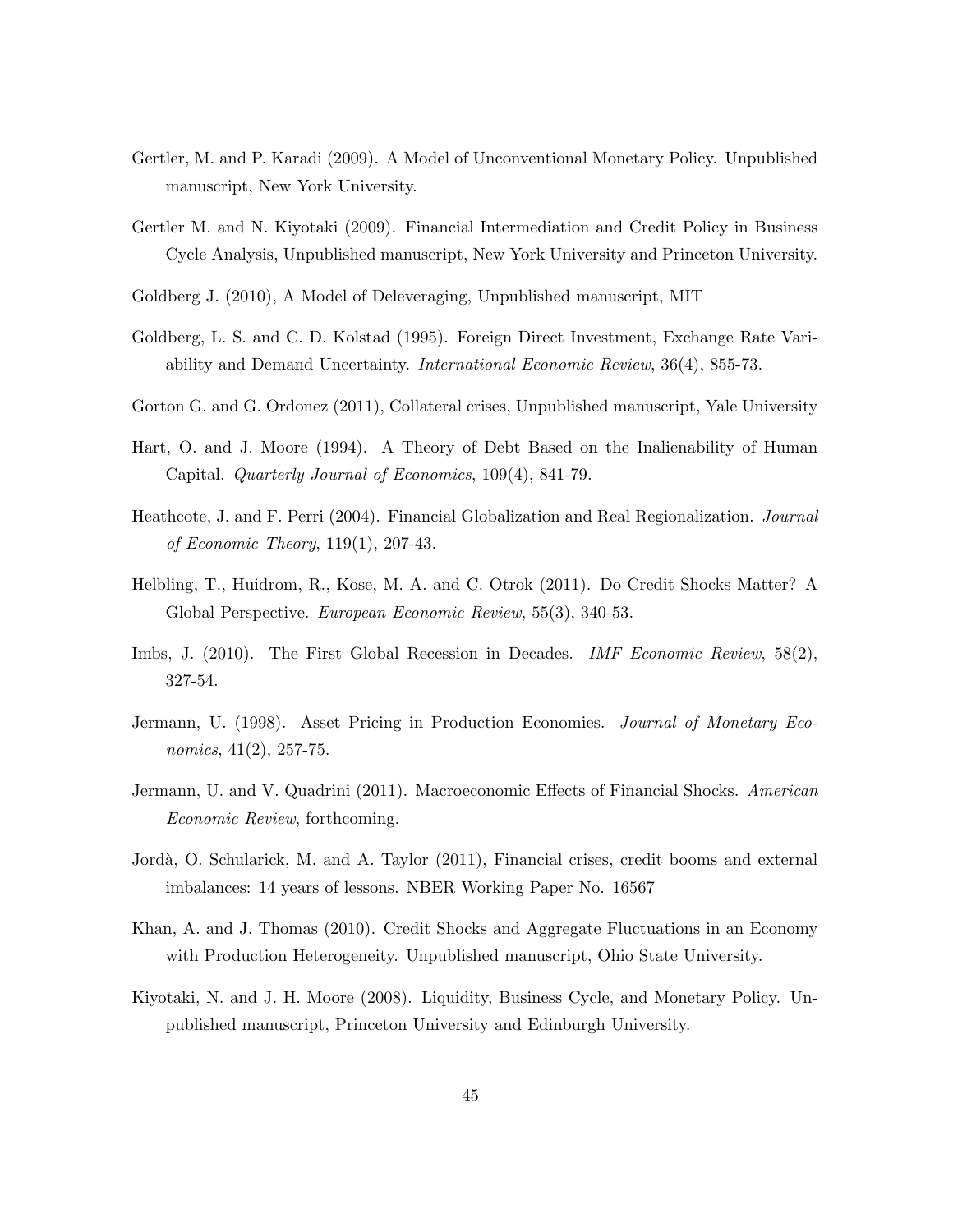- Gertler, M. and P. Karadi (2009). A Model of Unconventional Monetary Policy. Unpublished manuscript, New York University.
- Gertler M. and N. Kiyotaki (2009). Financial Intermediation and Credit Policy in Business Cycle Analysis, Unpublished manuscript, New York University and Princeton University.
- Goldberg J. (2010), A Model of Deleveraging, Unpublished manuscript, MIT
- Goldberg, L. S. and C. D. Kolstad (1995). Foreign Direct Investment, Exchange Rate Variability and Demand Uncertainty. International Economic Review, 36(4), 855-73.
- Gorton G. and G. Ordonez (2011), Collateral crises, Unpublished manuscript, Yale University
- Hart, O. and J. Moore (1994). A Theory of Debt Based on the Inalienability of Human Capital. Quarterly Journal of Economics, 109(4), 841-79.
- Heathcote, J. and F. Perri (2004). Financial Globalization and Real Regionalization. Journal of Economic Theory, 119(1), 207-43.
- Helbling, T., Huidrom, R., Kose, M. A. and C. Otrok (2011). Do Credit Shocks Matter? A Global Perspective. European Economic Review, 55(3), 340-53.
- Imbs, J. (2010). The First Global Recession in Decades. *IMF Economic Review*, 58(2), 327-54.
- Jermann, U. (1998). Asset Pricing in Production Economies. Journal of Monetary Economics, 41(2), 257-75.
- Jermann, U. and V. Quadrini (2011). Macroeconomic Effects of Financial Shocks. American Economic Review, forthcoming.
- Jordà, O. Schularick, M. and A. Taylor (2011), Financial crises, credit booms and external imbalances: 14 years of lessons. NBER Working Paper No. 16567
- Khan, A. and J. Thomas (2010). Credit Shocks and Aggregate Fluctuations in an Economy with Production Heterogeneity. Unpublished manuscript, Ohio State University.
- Kiyotaki, N. and J. H. Moore (2008). Liquidity, Business Cycle, and Monetary Policy. Unpublished manuscript, Princeton University and Edinburgh University.